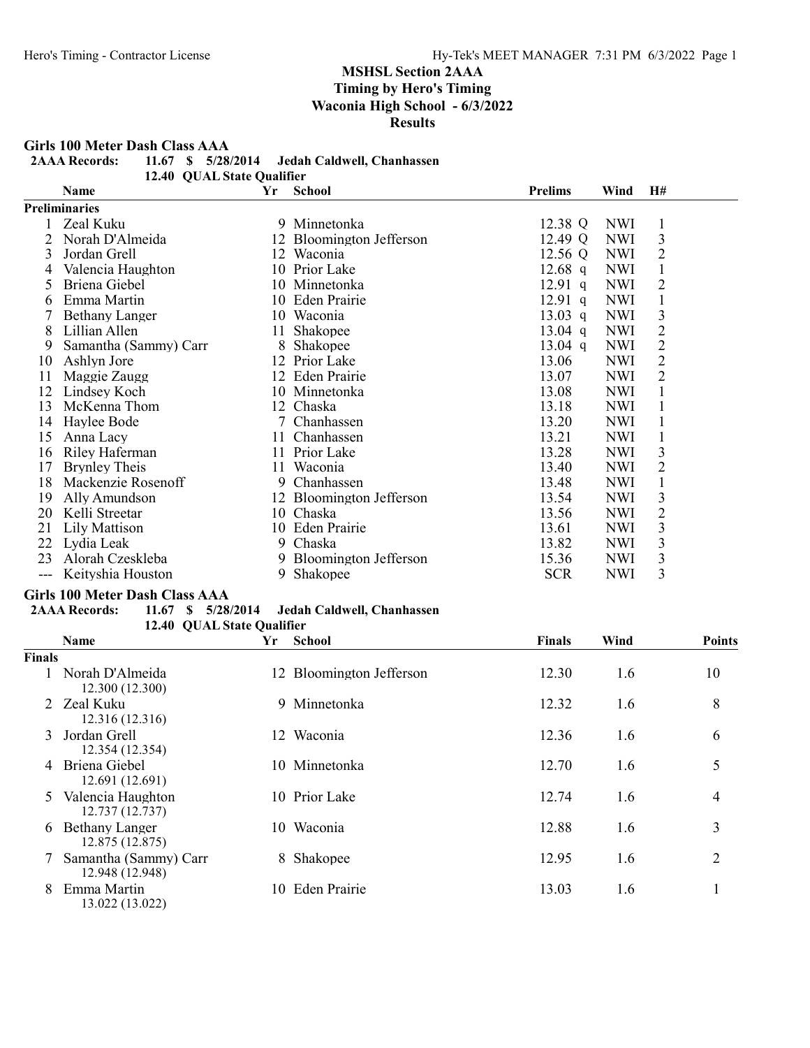Girls 100 Meter Dash Class AAA<br>2AAA Records: 11.67 \$ 5/28

11.67 \$ 5/28/2014 Jedah Caldwell, Chanhassen

12.40 QUAL State Qualifier

|     | Name                  | Yr | <b>School</b>            | <b>Prelims</b> | Wind       | H#             |  |
|-----|-----------------------|----|--------------------------|----------------|------------|----------------|--|
|     | <b>Preliminaries</b>  |    |                          |                |            |                |  |
|     | Zeal Kuku             | 9  | Minnetonka               | 12.38 Q        | <b>NWI</b> | 1              |  |
|     | Norah D'Almeida       |    | 12 Bloomington Jefferson | 12.49 Q        | <b>NWI</b> | 3              |  |
| 3   | Jordan Grell          |    | 12 Waconia               | 12.56 Q        | <b>NWI</b> | $\overline{2}$ |  |
| 4   | Valencia Haughton     |    | 10 Prior Lake            | 12.68 q        | <b>NWI</b> |                |  |
| 5   | Briena Giebel         |    | 10 Minnetonka            | $12.91$ q      | <b>NWI</b> | 2              |  |
| b   | Emma Martin           |    | 10 Eden Prairie          | $12.91$ q      | <b>NWI</b> |                |  |
|     | <b>Bethany Langer</b> |    | 10 Waconia               | 13.03 q        | <b>NWI</b> | 3              |  |
| 8   | Lillian Allen         | 11 | Shakopee                 | 13.04 q        | <b>NWI</b> | $\overline{2}$ |  |
| 9   | Samantha (Sammy) Carr | 8  | Shakopee                 | $13.04$ q      | <b>NWI</b> | $\overline{2}$ |  |
| 10  | Ashlyn Jore           |    | 12 Prior Lake            | 13.06          | <b>NWI</b> | $\overline{2}$ |  |
| 11  | Maggie Zaugg          |    | 12 Eden Prairie          | 13.07          | <b>NWI</b> | $\overline{2}$ |  |
| 12  | Lindsey Koch          |    | 10 Minnetonka            | 13.08          | <b>NWI</b> |                |  |
| 13  | McKenna Thom          |    | 12 Chaska                | 13.18          | <b>NWI</b> |                |  |
| 14  | Haylee Bode           | 7  | Chanhassen               | 13.20          | <b>NWI</b> |                |  |
| 15  | Anna Lacy             |    | 11 Chanhassen            | 13.21          | <b>NWI</b> |                |  |
| 16  | Riley Haferman        | 11 | Prior Lake               | 13.28          | <b>NWI</b> | 3              |  |
| 17  | <b>Brynley Theis</b>  |    | 11 Waconia               | 13.40          | <b>NWI</b> | 2              |  |
| 18  | Mackenzie Rosenoff    | 9  | Chanhassen               | 13.48          | <b>NWI</b> |                |  |
| 19  | Ally Amundson         |    | 12 Bloomington Jefferson | 13.54          | <b>NWI</b> | 3              |  |
| 20  | Kelli Streetar        |    | 10 Chaska                | 13.56          | <b>NWI</b> | $\overline{2}$ |  |
| 21  | Lily Mattison         |    | 10 Eden Prairie          | 13.61          | <b>NWI</b> | 3              |  |
| 22  | Lydia Leak            | 9  | Chaska                   | 13.82          | <b>NWI</b> | 3              |  |
| 23  | Alorah Czeskleba      | 9  | Bloomington Jefferson    | 15.36          | <b>NWI</b> | 3              |  |
| --- | Keityshia Houston     | 9  | Shakopee                 | <b>SCR</b>     | <b>NWI</b> | 3              |  |

# Girls 100 Meter Dash Class AAA<br>2AAA Records: 11.67 \$ 5/28

# 11.67 \$ 5/28/2014 Jedah Caldwell, Chanhassen

12.40 QUAL State Qualifier

|               | <b>Name</b>                              | Yr  | <b>School</b>            | <b>Finals</b> | Wind | <b>Points</b> |
|---------------|------------------------------------------|-----|--------------------------|---------------|------|---------------|
| <b>Finals</b> |                                          |     |                          |               |      |               |
|               | Norah D'Almeida<br>12.300 (12.300)       |     | 12 Bloomington Jefferson | 12.30         | 1.6  | 10            |
| $\mathcal{L}$ | Zeal Kuku<br>12.316 (12.316)             |     | 9 Minnetonka             | 12.32         | 1.6  | 8             |
| 3             | Jordan Grell<br>12.354 (12.354)          |     | 12 Waconia               | 12.36         | 1.6  | 6             |
| 4             | Briena Giebel<br>12.691 (12.691)         |     | 10 Minnetonka            | 12.70         | 1.6  | 5             |
| 5.            | Valencia Haughton<br>12.737 (12.737)     |     | 10 Prior Lake            | 12.74         | 1.6  | 4             |
| 6             | <b>Bethany Langer</b><br>12.875 (12.875) | 10- | Waconia                  | 12.88         | 1.6  | 3             |
| 7             | Samantha (Sammy) Carr<br>12.948 (12.948) |     | 8 Shakopee               | 12.95         | 1.6  | 2             |
| 8             | Emma Martin<br>13.022 (13.022)           |     | 10 Eden Prairie          | 13.03         | 1.6  |               |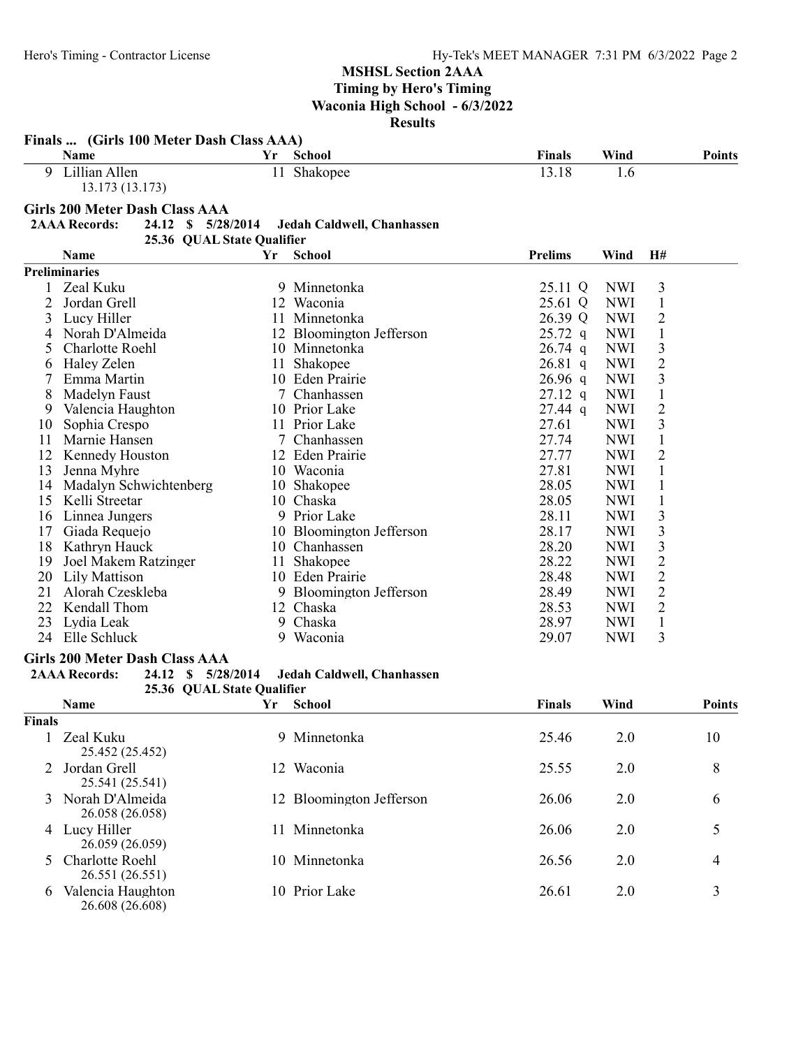|               | Finals  (Girls 100 Meter Dash Class AAA)     |    |                            |                |            |                         |               |
|---------------|----------------------------------------------|----|----------------------------|----------------|------------|-------------------------|---------------|
|               | Name                                         | Yr | School                     | <b>Finals</b>  | Wind       |                         | <b>Points</b> |
|               | 9 Lillian Allen<br>13.173 (13.173)           |    | 11 Shakopee                | 13.18          | 1.6        |                         |               |
|               | <b>Girls 200 Meter Dash Class AAA</b>        |    |                            |                |            |                         |               |
|               | <b>2AAA Records:</b><br>24.12 \$ 5/28/2014   |    | Jedah Caldwell, Chanhassen |                |            |                         |               |
|               | 25.36 QUAL State Qualifier                   |    |                            |                |            |                         |               |
|               | Name                                         | Yr | <b>School</b>              | <b>Prelims</b> | Wind       | H#                      |               |
|               | <b>Preliminaries</b>                         |    |                            |                |            |                         |               |
|               | Zeal Kuku                                    |    | 9 Minnetonka               | 25.11 Q        | <b>NWI</b> | 3                       |               |
| 2             | Jordan Grell                                 |    | 12 Waconia                 | 25.61 Q        | <b>NWI</b> | $\mathbf{1}$            |               |
| 3             | Lucy Hiller                                  |    | 11 Minnetonka              | 26.39 Q        | <b>NWI</b> | $\overline{2}$          |               |
| 4             | Norah D'Almeida                              |    | 12 Bloomington Jefferson   | $25.72$ q      | <b>NWI</b> | $\mathbf{1}$            |               |
| 5             | Charlotte Roehl                              |    | 10 Minnetonka              | $26.74$ q      | <b>NWI</b> | $\overline{\mathbf{3}}$ |               |
| 6             | Haley Zelen                                  | 11 | Shakopee                   | $26.81$ q      | <b>NWI</b> | $\overline{2}$          |               |
|               | Emma Martin                                  |    | 10 Eden Prairie            | $26.96$ q      | <b>NWI</b> | $\overline{\mathbf{3}}$ |               |
| 8             | Madelyn Faust                                |    | 7 Chanhassen               | $27.12$ q      | <b>NWI</b> | $\mathbf{1}$            |               |
| 9             | Valencia Haughton                            |    | 10 Prior Lake              | $27.44$ q      | <b>NWI</b> | $\overline{c}$          |               |
| 10            | Sophia Crespo                                |    | 11 Prior Lake              | 27.61          | <b>NWI</b> | 3                       |               |
| 11            | Marnie Hansen                                |    | 7 Chanhassen               | 27.74          | <b>NWI</b> | $\mathbf{1}$            |               |
| 12            | Kennedy Houston                              |    | 12 Eden Prairie            | 27.77          | <b>NWI</b> | $\overline{2}$          |               |
| 13            | Jenna Myhre                                  |    | 10 Waconia                 | 27.81          | <b>NWI</b> | $\mathbf{1}$            |               |
| 14            | Madalyn Schwichtenberg                       |    | 10 Shakopee                | 28.05          | <b>NWI</b> | $\mathbf{1}$            |               |
| 15            | Kelli Streetar                               |    | 10 Chaska                  | 28.05          | <b>NWI</b> | $\mathbf{1}$            |               |
|               |                                              |    | 9 Prior Lake               | 28.11          | <b>NWI</b> | $\overline{\mathbf{3}}$ |               |
| 16<br>17      | Linnea Jungers                               |    |                            | 28.17          | <b>NWI</b> | $\overline{\mathbf{3}}$ |               |
|               | Giada Requejo                                |    | 10 Bloomington Jefferson   |                |            |                         |               |
| 18            | Kathryn Hauck                                |    | 10 Chanhassen              | 28.20          | <b>NWI</b> | $\overline{\mathbf{3}}$ |               |
| 19            | Joel Makem Ratzinger                         |    | 11 Shakopee                | 28.22          | <b>NWI</b> | $\overline{2}$          |               |
| 20            | Lily Mattison                                |    | 10 Eden Prairie            | 28.48          | <b>NWI</b> | $\overline{2}$          |               |
| 21            | Alorah Czeskleba                             |    | 9 Bloomington Jefferson    | 28.49          | <b>NWI</b> | $\overline{2}$          |               |
| 22            | Kendall Thom                                 |    | 12 Chaska                  | 28.53          | <b>NWI</b> | $\overline{2}$          |               |
| 23            | Lydia Leak                                   |    | 9 Chaska                   | 28.97          | <b>NWI</b> | $\mathbf{1}$            |               |
|               | 24 Elle Schluck                              |    | 9 Waconia                  | 29.07          | <b>NWI</b> | 3                       |               |
|               | <b>Girls 200 Meter Dash Class AAA</b>        |    |                            |                |            |                         |               |
|               | <b>2AAA Records:</b><br>24.12 S<br>5/28/2014 |    | Jedah Caldwell, Chanhassen |                |            |                         |               |
|               | 25.36 QUAL State Qualifier                   |    |                            |                |            |                         |               |
|               | Name                                         | Yr | <b>School</b>              | <b>Finals</b>  | Wind       |                         | <b>Points</b> |
| <b>Finals</b> |                                              |    |                            |                |            |                         |               |
|               | Zeal Kuku                                    |    | 9 Minnetonka               | 25.46          | 2.0        |                         | 10            |
|               | 25.452 (25.452)                              |    |                            |                |            |                         |               |
|               | Jordan Grell                                 |    | 12 Waconia                 | 25.55          | 2.0        |                         | 8             |
|               | 25.541 (25.541)                              |    |                            |                |            |                         |               |
|               | Norah D'Almeida                              |    | 12 Bloomington Jefferson   | 26.06          | 2.0        |                         | 6             |
|               | 26.058 (26.058)                              |    |                            |                |            |                         |               |
|               | 4 Lucy Hiller                                |    | 11 Minnetonka              | 26.06          | 2.0        |                         | 5             |
|               | 26.059 (26.059)                              |    |                            |                |            |                         |               |

5 Charlotte Roehl 10 Minnetonka 26.56 2.0 4

26.551 (26.551) 6 Valencia Haughton 10 Prior Lake 26.61 2.0 3 26.608 (26.608)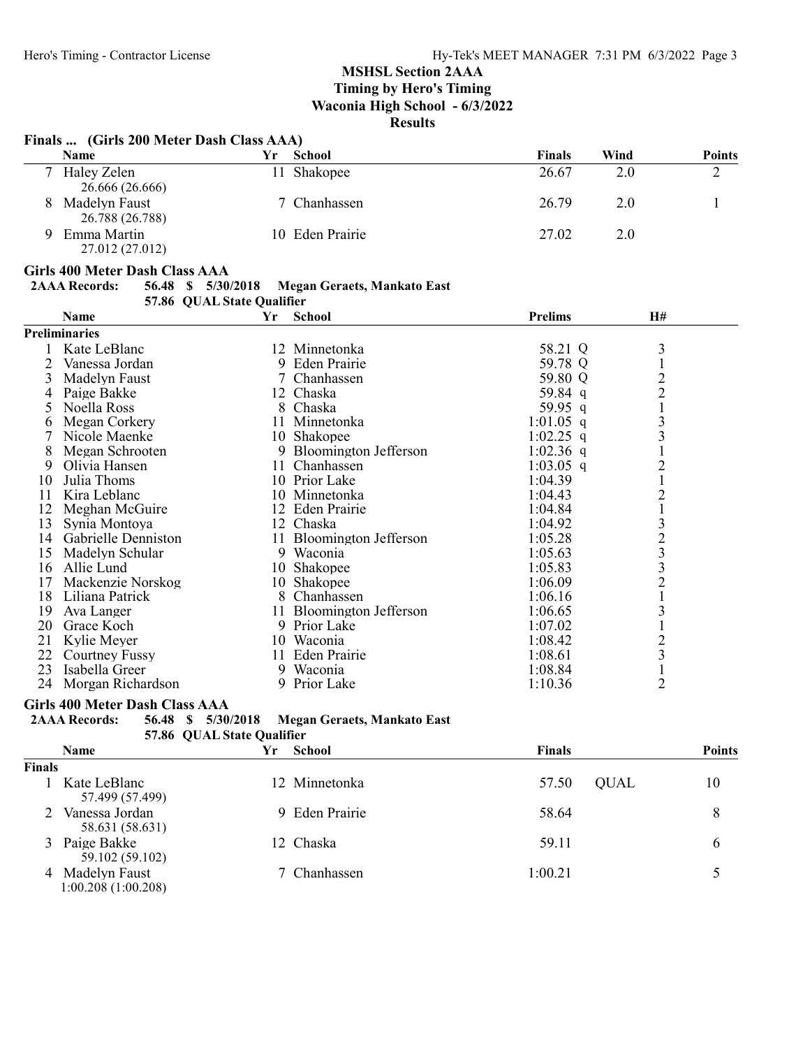Timing by Hero's Timing Waconia High School - 6/3/2022

# Results

# Finals ... (Girls 200 Meter Dash Class AAA)

|   | <b>Name</b>                      | ٢r  | School          | <b>Finals</b> | Wind | <b>Points</b> |
|---|----------------------------------|-----|-----------------|---------------|------|---------------|
|   | Haley Zelen<br>26.666 (26.666)   | 11. | Shakopee        | 26.67         | 2.0  |               |
| 8 | Madelyn Faust<br>26.788 (26.788) |     | 7 Chanhassen    | 26.79         | 2.0  |               |
| Q | Emma Martin<br>27.012 (27.012)   |     | 10 Eden Prairie | 27.02         | 2.0  |               |

#### Girls 400 Meter Dash Class AAA

# 2AAA Records: 56.48 \$ 5/30/2018 Megan Geraets, Mankato East 57.86 QUAL State Qualifier

| <b>And State Andrew</b> |                      |     |                          |                |                |  |
|-------------------------|----------------------|-----|--------------------------|----------------|----------------|--|
|                         | <b>Name</b>          | Yr  | School                   | <b>Prelims</b> | <b>H#</b>      |  |
|                         | <b>Preliminaries</b> |     |                          |                |                |  |
|                         | Kate LeBlanc         |     | 12 Minnetonka            | 58.21 Q        | 3              |  |
| 2                       | Vanessa Jordan       |     | 9 Eden Prairie           | 59.78 Q        |                |  |
| 3                       | Madelyn Faust        | 7   | Chanhassen               | 59.80 Q        | $\overline{c}$ |  |
|                         | Paige Bakke          |     | 12 Chaska                | 59.84 q        | $\overline{2}$ |  |
| 5.                      | Noella Ross          |     | 8 Chaska                 | 59.95 q        |                |  |
| 6                       | Megan Corkery        | 11  | Minnetonka               | $1:01.05$ q    | 3              |  |
|                         | Nicole Maenke        |     | 10 Shakopee              | 1:02.25 q      | 3              |  |
| 8                       | Megan Schrooten      | 9   | Bloomington Jefferson    | 1:02.36 q      |                |  |
| 9                       | Olivia Hansen        | 11. | Chanhassen               | $1:03.05$ q    | $\overline{2}$ |  |
| 10                      | Julia Thoms          |     | 10 Prior Lake            | 1:04.39        |                |  |
| 11                      | Kira Leblanc         |     | 10 Minnetonka            | 1:04.43        | $\overline{2}$ |  |
| 12                      | Meghan McGuire       |     | 12 Eden Prairie          | 1:04.84        |                |  |
| 13                      | Synia Montoya        |     | 12 Chaska                | 1:04.92        | $\mathfrak{Z}$ |  |
| 14                      | Gabrielle Denniston  |     | 11 Bloomington Jefferson | 1:05.28        | $\frac{2}{3}$  |  |
| 15                      | Madelyn Schular      | 9   | Waconia                  | 1:05.63        |                |  |
| 16                      | Allie Lund           |     | 10 Shakopee              | 1:05.83        | 3              |  |
| 17                      | Mackenzie Norskog    |     | 10 Shakopee              | 1:06.09        | $\overline{2}$ |  |
| 18                      | Liliana Patrick      | 8   | Chanhassen               | 1:06.16        |                |  |
| 19                      | Ava Langer           | 11. | Bloomington Jefferson    | 1:06.65        | 3              |  |
| 20                      | Grace Koch           | 9   | Prior Lake               | 1:07.02        |                |  |
| 21                      | Kylie Meyer          | 10  | Waconia                  | 1:08.42        | $\frac{2}{3}$  |  |
| 22                      | Courtney Fussy       | 11  | Eden Prairie             | 1:08.61        |                |  |
| 23                      | Isabella Greer       |     | 9 Waconia                | 1:08.84        |                |  |
| 24                      | Morgan Richardson    |     | 9 Prior Lake             | 1:10.36        | $\overline{2}$ |  |

# Girls 400 Meter Dash Class AAA

| <b>2AAA Records:</b> |  | 56.48 \$ 5/30/2018         | Megan Geraets, Mankato East |  |
|----------------------|--|----------------------------|-----------------------------|--|
|                      |  | 57.86 OUAL State Qualifier |                             |  |

|               | <b>Name</b>                         | Yr | School         | <b>Finals</b> | <b>Points</b>     |
|---------------|-------------------------------------|----|----------------|---------------|-------------------|
| <b>Finals</b> |                                     |    |                |               |                   |
|               | Kate LeBlanc<br>57.499 (57.499)     |    | 12 Minnetonka  | 57.50         | 10<br><b>QUAL</b> |
|               | Vanessa Jordan<br>58.631 (58.631)   |    | 9 Eden Prairie | 58.64         | 8                 |
|               | 3 Paige Bakke<br>59.102 (59.102)    |    | 12 Chaska      | 59.11         | 6                 |
| 4             | Madelyn Faust<br>1:00.208(1:00.208) |    | 7 Chanhassen   | 1:00.21       |                   |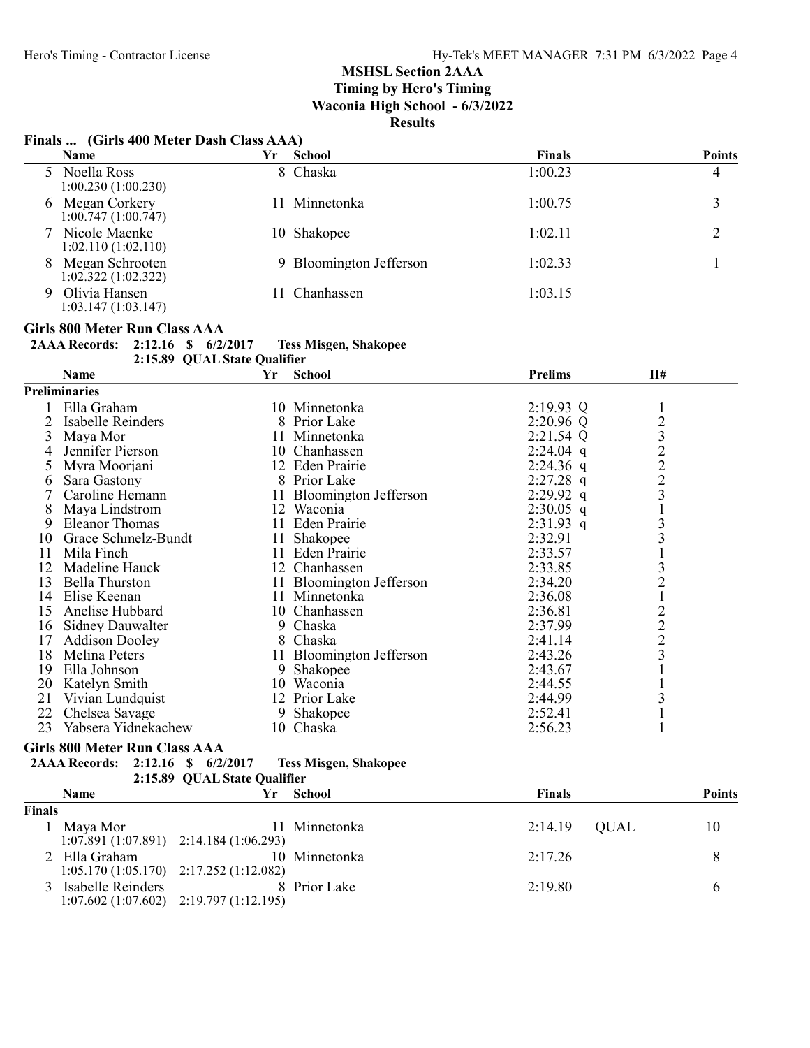# Finals ... (Girls 400 Meter Dash Class AAA)

|   | <b>Name</b>                           | Yr | <b>School</b>           | <b>Finals</b> | <b>Points</b> |
|---|---------------------------------------|----|-------------------------|---------------|---------------|
|   | 5 Noella Ross<br>1:00.230(1:00.230)   |    | 8 Chaska                | 1:00.23       | 4             |
|   | 6 Megan Corkery<br>1:00.747(1:00.747) | 11 | Minnetonka              | 1:00.75       |               |
|   | 7 Nicole Maenke<br>1:02.110(1:02.110) | 10 | Shakopee                | 1:02.11       |               |
| 8 | Megan Schrooten<br>1:02.322(1:02.322) |    | 9 Bloomington Jefferson | 1:02.33       |               |
| 9 | Olivia Hansen<br>1:03.147(1:03.147)   |    | Chanhassen              | 1:03.15       |               |

### Girls 800 Meter Run Class AAA

2AAA Records: 2:12.16 \$ 6/2/2017 Tess Misgen, Shakopee

2:15.89 QUAL State Qualifier

|    | Name                    | Yr | <b>School</b>            | <b>Prelims</b> | H#                                               |  |
|----|-------------------------|----|--------------------------|----------------|--------------------------------------------------|--|
|    | Preliminaries           |    |                          |                |                                                  |  |
|    | Ella Graham             |    | 10 Minnetonka            | $2:19.93$ Q    |                                                  |  |
|    | Isabelle Reinders       |    | 8 Prior Lake             | $2:20.96$ Q    |                                                  |  |
| 3  | Maya Mor                |    | 11 Minnetonka            | $2:21.54$ Q    | $\frac{2}{3}$                                    |  |
|    | Jennifer Pierson        |    | 10 Chanhassen            | $2:24.04$ q    |                                                  |  |
| 5  | Myra Moorjani           |    | 12 Eden Prairie          | $2:24.36$ q    | $\begin{array}{c} 2 \\ 2 \\ 3 \end{array}$       |  |
| 6  | Sara Gastony            |    | 8 Prior Lake             | $2:27.28$ q    |                                                  |  |
|    | Caroline Hemann         |    | 11 Bloomington Jefferson | $2:29.92$ q    |                                                  |  |
| 8  | Maya Lindstrom          |    | 12 Waconia               | $2:30.05$ q    |                                                  |  |
| 9  | Eleanor Thomas          |    | 11 Eden Prairie          | $2:31.93$ q    | $\overline{\mathbf{3}}$                          |  |
| 10 | Grace Schmelz-Bundt     |    | 11 Shakopee              | 2:32.91        | 3                                                |  |
| 11 | Mila Finch              |    | 11 Eden Prairie          | 2:33.57        |                                                  |  |
| 12 | Madeline Hauck          |    | 12 Chanhassen            | 2:33.85        | 3                                                |  |
| 13 | <b>Bella Thurston</b>   |    | 11 Bloomington Jefferson | 2:34.20        | $\overline{c}$                                   |  |
| 14 | Elise Keenan            |    | 11 Minnetonka            | 2:36.08        |                                                  |  |
| 15 | Anelise Hubbard         |    | 10 Chanhassen            | 2:36.81        |                                                  |  |
| 16 | <b>Sidney Dauwalter</b> |    | 9 Chaska                 | 2:37.99        | $\begin{smallmatrix}2\\2\\2\\3\end{smallmatrix}$ |  |
| 17 | <b>Addison Dooley</b>   |    | 8 Chaska                 | 2:41.14        |                                                  |  |
| 18 | Melina Peters           |    | 11 Bloomington Jefferson | 2:43.26        |                                                  |  |
| 19 | Ella Johnson            |    | 9 Shakopee               | 2:43.67        |                                                  |  |
| 20 | Katelyn Smith           | 10 | Waconia                  | 2:44.55        |                                                  |  |
| 21 | Vivian Lundquist        |    | 12 Prior Lake            | 2:44.99        | 3                                                |  |
| 22 | Chelsea Savage          | 9. | Shakopee                 | 2:52.41        |                                                  |  |
| 23 | Yabsera Yidnekachew     |    | 10 Chaska                | 2:56.23        |                                                  |  |

### Girls 800 Meter Run Class AAA

| 2AAA Records: 2:12.16 \$ 6/2/2017 |  | <b>Tess Misgen, Shakopee</b> |
|-----------------------------------|--|------------------------------|
|                                   |  |                              |

| 71 M M M MUUTTUS. | <i><b>A.LA.LV</b></i> | $\mathbf{H}$ | V/HUV11 | <b>LUDD L</b>                |
|-------------------|-----------------------|--------------|---------|------------------------------|
|                   |                       |              |         | 2:15.89 OUAL State Oualifier |
|                   |                       |              |         |                              |

|               | <b>Name</b>                                                | ٧r                                        | School        | <b>Finals</b>  | <b>Points</b> |
|---------------|------------------------------------------------------------|-------------------------------------------|---------------|----------------|---------------|
| <b>Finals</b> |                                                            |                                           |               |                |               |
|               | Maya Mor                                                   | $1:07.891(1:07.891)$ $2:14.184(1:06.293)$ | 11 Minnetonka | $2:14.19$ QUAL | 10            |
|               | 2 Ella Graham<br>$1:05.170(1:05.170)$ $2:17.252(1:12.082)$ |                                           | 10 Minnetonka | 2:17.26        | 8             |
|               | 3 Isabelle Reinders                                        | $1:07.602(1:07.602)$ $2:19.797(1:12.195)$ | 8 Prior Lake  | 2:19.80        | b             |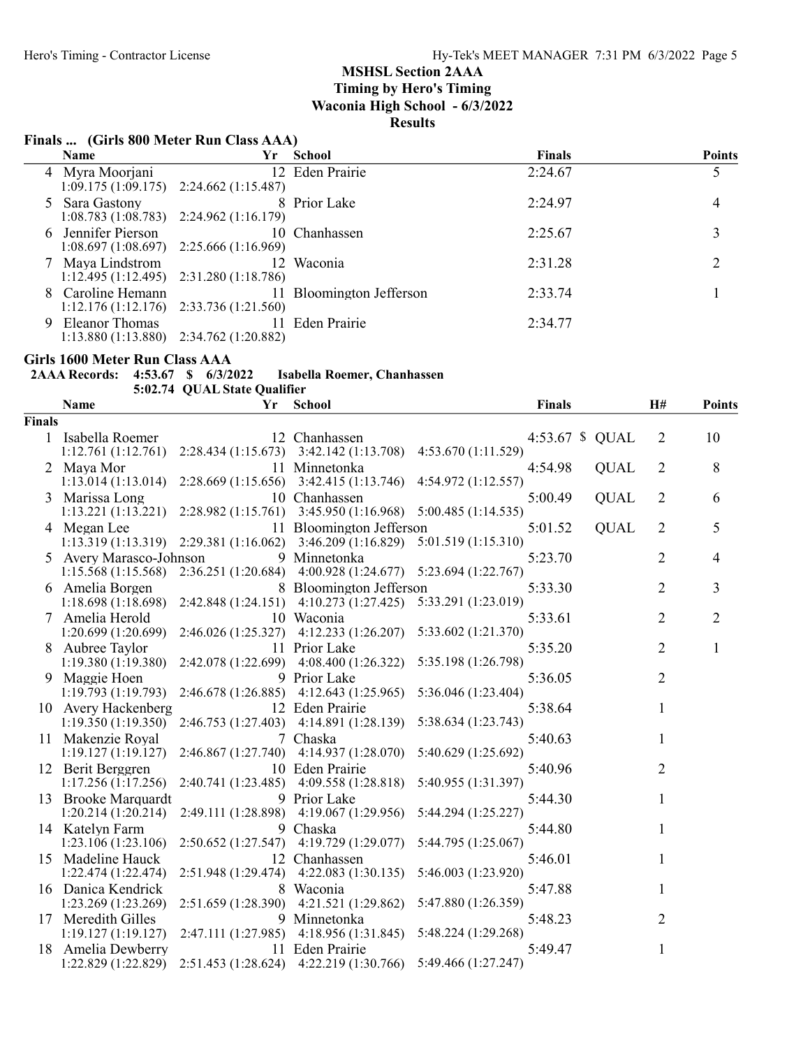# Finals ... (Girls 800 Meter Run Class AAA)

| Name               | Yr                                        | School                   | <b>Finals</b> | <b>Points</b> |
|--------------------|-------------------------------------------|--------------------------|---------------|---------------|
| 4 Myra Moorjani    |                                           | 12 Eden Prairie          | 2:24.67       |               |
|                    | $1:09.175(1:09.175)$ $2:24.662(1:15.487)$ |                          |               |               |
| 5 Sara Gastony     |                                           | 8 Prior Lake             | 2:24.97       | 4             |
|                    | $1:08.783(1:08.783)$ $2:24.962(1:16.179)$ |                          |               |               |
| 6 Jennifer Pierson |                                           | 10 Chanhassen            | 2:25.67       |               |
|                    | $1:08.697(1:08.697)$ $2:25.666(1:16.969)$ |                          |               |               |
| 7 Maya Lindstrom   |                                           | 12 Waconia               | 2:31.28       |               |
|                    | $1:12.495(1:12.495)$ $2:31.280(1:18.786)$ |                          |               |               |
| 8 Caroline Hemann  |                                           | 11 Bloomington Jefferson | 2:33.74       |               |
|                    | $1:12.176(1:12.176)$ $2:33.736(1:21.560)$ |                          |               |               |
| Eleanor Thomas     |                                           | 11 Eden Prairie          | 2:34.77       |               |
|                    | $1:13.880(1:13.880)$ $2:34.762(1:20.882)$ |                          |               |               |

#### Girls 1600 Meter Run Class AAA

| 2AAA Records: 4:53.67 \$ 6/3/2022 |  | Isabella Roemer, Chanhassen |
|-----------------------------------|--|-----------------------------|
|                                   |  |                             |

5:02.74 QUAL State Qualifier

| 5:02.74 QUAL State Qualifier |                         |                     |                                           |                     |                 |                |                |
|------------------------------|-------------------------|---------------------|-------------------------------------------|---------------------|-----------------|----------------|----------------|
|                              | <b>Name</b>             | Yr                  | <b>School</b>                             | <b>Finals</b>       |                 | H#             | <b>Points</b>  |
| <b>Finals</b>                |                         |                     |                                           |                     |                 |                |                |
| $\mathbf{1}$                 | Isabella Roemer         |                     | 12 Chanhassen                             |                     | 4:53.67 \$ QUAL | $\overline{2}$ | 10             |
|                              | 1:12.761(1:12.761)      |                     | $2:28.434(1:15.673)$ $3:42.142(1:13.708)$ | 4:53.670 (1:11.529) |                 |                |                |
|                              | 2 Maya Mor              |                     | 11 Minnetonka                             | 4:54.98             | <b>QUAL</b>     | 2              | 8              |
|                              | 1:13.014(1:13.014)      |                     | $2:28.669(1:15.656)$ $3:42.415(1:13.746)$ | 4:54.972 (1:12.557) |                 |                |                |
|                              | 3 Marissa Long          |                     | 10 Chanhassen                             | 5:00.49             | <b>QUAL</b>     | 2              | 6              |
|                              | 1:13.221(1:13.221)      |                     | $2:28.982(1:15.761)$ $3:45.950(1:16.968)$ | 5:00.485(1:14.535)  |                 |                |                |
|                              | 4 Megan Lee             |                     | 11 Bloomington Jefferson                  | 5:01.52             | <b>QUAL</b>     | $\overline{2}$ | 5              |
|                              | 1:13.319(1:13.319)      | 2:29.381(1:16.062)  | 3:46.209(1:16.829)                        | 5:01.519(1:15.310)  |                 |                |                |
|                              | 5 Avery Marasco-Johnson |                     | 9 Minnetonka                              | 5:23.70             |                 | 2              | 4              |
|                              | 1:15.568(1:15.568)      | 2:36.251 (1:20.684) | 4:00.928 (1:24.677) 5:23.694 (1:22.767)   |                     |                 |                |                |
|                              | 6 Amelia Borgen         |                     | 8 Bloomington Jefferson                   | 5:33.30             |                 | $\overline{2}$ | 3              |
|                              | 1:18.698(1:18.698)      | 2:42.848 (1:24.151) | 4:10.273 (1:27.425)                       | 5:33.291 (1:23.019) |                 |                |                |
|                              | Amelia Herold           |                     | 10 Waconia                                | 5:33.61             |                 | $\overline{2}$ | $\overline{2}$ |
|                              | 1:20.699(1:20.699)      | 2:46.026 (1:25.327) | 4:12.233(1:26.207)                        | 5:33.602 (1:21.370) |                 |                |                |
|                              | 8 Aubree Taylor         |                     | 11 Prior Lake                             | 5:35.20             |                 | 2              | 1              |
|                              | 1:19.380(1:19.380)      | 2:42.078 (1:22.699) | 4:08.400 (1:26.322)                       | 5:35.198 (1:26.798) |                 |                |                |
|                              | 9 Maggie Hoen           |                     | 9 Prior Lake                              | 5:36.05             |                 | $\overline{2}$ |                |
|                              | 1:19.793(1:19.793)      | 2:46.678(1:26.885)  | 4:12.643 (1:25.965)                       | 5:36.046 (1:23.404) |                 |                |                |
|                              | 10 Avery Hackenberg     |                     | 12 Eden Prairie                           | 5:38.64             |                 | 1              |                |
|                              | 1:19.350(1:19.350)      |                     | 2:46.753 (1:27.403) 4:14.891 (1:28.139)   | 5:38.634 (1:23.743) |                 |                |                |
|                              | 11 Makenzie Royal       |                     | 7 Chaska                                  | 5:40.63             |                 | 1              |                |
|                              | 1:19.127(1:19.127)      | 2:46.867(1:27.740)  | 4:14.937(1:28.070)                        | 5:40.629 (1:25.692) |                 |                |                |
|                              | 12 Berit Berggren       |                     | 10 Eden Prairie                           | 5:40.96             |                 | 2              |                |
|                              | 1:17.256(1:17.256)      | 2:40.741 (1:23.485) | 4:09.558(1:28.818)                        | 5:40.955 (1:31.397) |                 |                |                |
|                              | 13 Brooke Marquardt     |                     | 9 Prior Lake                              | 5:44.30             |                 | 1              |                |
|                              | 1:20.214(1:20.214)      | 2:49.111 (1:28.898) | 4:19.067(1:29.956)                        | 5:44.294 (1:25.227) |                 |                |                |
|                              | 14 Katelyn Farm         |                     | 9 Chaska                                  | 5:44.80             |                 | 1              |                |
|                              | 1:23.106(1:23.106)      | 2:50.652(1:27.547)  | 4:19.729 (1:29.077)                       | 5:44.795 (1:25.067) |                 |                |                |
|                              | 15 Madeline Hauck       |                     | 12 Chanhassen                             | 5:46.01             |                 | 1              |                |
|                              | 1:22.474 (1:22.474)     | 2:51.948 (1:29.474) | 4:22.083(1:30.135)                        | 5:46.003 (1:23.920) |                 |                |                |
|                              | 16 Danica Kendrick      |                     | 8 Waconia                                 | 5:47.88             |                 | 1              |                |
|                              | 1:23.269 (1:23.269)     | 2:51.659 (1:28.390) | 4:21.521 (1:29.862)                       | 5:47.880 (1:26.359) |                 |                |                |
|                              | 17 Meredith Gilles      |                     | 9 Minnetonka                              | 5:48.23             |                 | 2              |                |
|                              | 1:19.127(1:19.127)      | 2:47.111 (1:27.985) | 4:18.956(1:31.845)                        | 5:48.224 (1:29.268) |                 |                |                |
| 18                           | Amelia Dewberry         |                     | 11 Eden Prairie                           | 5:49.47             |                 | $\mathbf{1}$   |                |
|                              | 1:22.829 (1:22.829)     |                     | 2:51.453 (1:28.624) 4:22.219 (1:30.766)   | 5:49.466 (1:27.247) |                 |                |                |
|                              |                         |                     |                                           |                     |                 |                |                |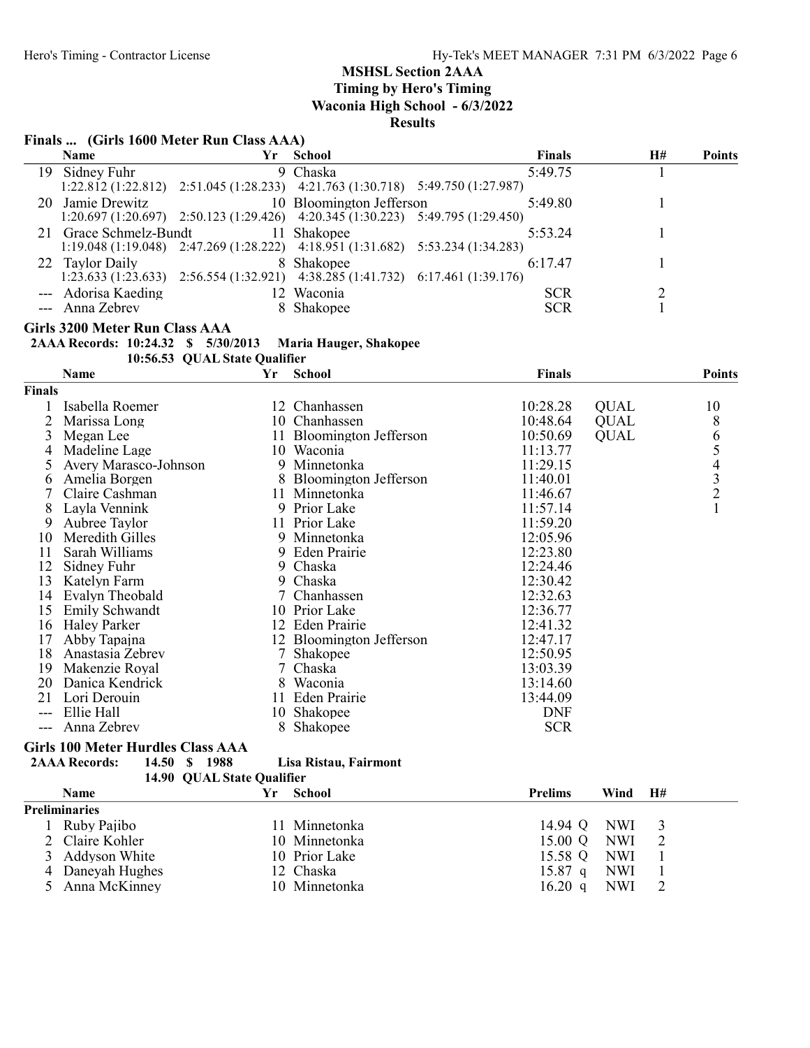# Finals ... (Girls 1600 Meter Run Class AAA)

| <b>Name</b>         | Yr | School                                                                                          | Finals     | H# | <b>Points</b> |
|---------------------|----|-------------------------------------------------------------------------------------------------|------------|----|---------------|
| 19 Sidney Fuhr      |    | 9 Chaska                                                                                        | 5:49.75    |    |               |
|                     |    | $1:22.812$ $(1:22.812)$ $2:51.045$ $(1:28.233)$ $4:21.763$ $(1:30.718)$ $5:49.750$ $(1:27.987)$ |            |    |               |
| 20 Jamie Drewitz    |    | 10 Bloomington Jefferson                                                                        | 5:49.80    |    |               |
|                     |    | 1:20.697 (1:20.697) 2:50.123 (1:29.426) 4:20.345 (1:30.223) 5:49.795 (1:29.450)                 |            |    |               |
| Grace Schmelz-Bundt |    | 11 Shakopee                                                                                     | 5:53.24    |    |               |
|                     |    | $1:19.048(1:19.048)$ $2:47.269(1:28.222)$ $4:18.951(1:31.682)$ $5:53.234(1:34.283)$             |            |    |               |
| 22 Taylor Daily     |    | 8 Shakopee                                                                                      | 6:17.47    |    |               |
|                     |    | 1:23.633 (1:23.633) 2:56.554 (1:32.921) 4:38.285 (1:41.732) 6:17.461 (1:39.176)                 |            |    |               |
| --- Adorisa Kaeding |    | 12 Waconia                                                                                      | <b>SCR</b> |    |               |
| --- Anna Zebrev     |    | 8 Shakopee                                                                                      | <b>SCR</b> |    |               |

#### Girls 3200 Meter Run Class AAA

2AAA Records: 10:24.32 \$ 5/30/2013 Maria Hauger, Shakopee

10:56.53 QUAL State Qualifier

|               | Name                          | Yr | <b>School</b>            | Finals     |             | <b>Points</b>                                   |
|---------------|-------------------------------|----|--------------------------|------------|-------------|-------------------------------------------------|
| <b>Finals</b> |                               |    |                          |            |             |                                                 |
|               | Isabella Roemer               |    | 12 Chanhassen            | 10:28.28   | <b>QUAL</b> | 10                                              |
|               | Marissa Long                  |    | 10 Chanhassen            | 10:48.64   | <b>QUAL</b> | 8                                               |
| 3             | Megan Lee                     |    | 11 Bloomington Jefferson | 10:50.69   | <b>QUAL</b> |                                                 |
| 4             | Madeline Lage                 |    | 10 Waconia               | 11:13.77   |             | $\frac{6}{5}$                                   |
|               | Avery Marasco-Johnson         |    | 9 Minnetonka             | 11:29.15   |             |                                                 |
| 6             | Amelia Borgen                 |    | 8 Bloomington Jefferson  | 11:40.01   |             | $\begin{array}{c} 4 \\ 3 \\ 2 \\ 1 \end{array}$ |
|               | Claire Cashman                |    | 11 Minnetonka            | 11:46.67   |             |                                                 |
| 8             | Layla Vennink                 |    | 9 Prior Lake             | 11:57.14   |             |                                                 |
| 9             | Aubree Taylor                 |    | 11 Prior Lake            | 11:59.20   |             |                                                 |
| 10            | Meredith Gilles               |    | 9 Minnetonka             | 12:05.96   |             |                                                 |
| 11            | Sarah Williams                |    | 9 Eden Prairie           | 12:23.80   |             |                                                 |
| 12            | Sidney Fuhr                   |    | 9 Chaska                 | 12:24.46   |             |                                                 |
| 13            | Katelyn Farm                  | 9  | Chaska                   | 12:30.42   |             |                                                 |
| 14            | Evalyn Theobald               |    | Chanhassen               | 12:32.63   |             |                                                 |
| 15            | <b>Emily Schwandt</b>         |    | 10 Prior Lake            | 12:36.77   |             |                                                 |
| 16            | Haley Parker                  |    | 12 Eden Prairie          | 12:41.32   |             |                                                 |
| 17            | Abby Tapajna                  |    | 12 Bloomington Jefferson | 12:47.17   |             |                                                 |
| 18            | Anastasia Zebrev              |    | Shakopee                 | 12:50.95   |             |                                                 |
| 19            | Makenzie Royal                |    | Chaska                   | 13:03.39   |             |                                                 |
| 20            | Danica Kendrick               | 8  | Waconia                  | 13:14.60   |             |                                                 |
| 21            | Lori Derouin                  |    | 11 Eden Prairie          | 13:44.09   |             |                                                 |
| $---$         | Ellie Hall                    | 10 | Shakopee                 | <b>DNF</b> |             |                                                 |
| ---           | Anna Zebrev                   | 8  | Shakopee                 | <b>SCR</b> |             |                                                 |
|               | $C: 1.400 M + H$ if $C1 = AA$ |    |                          |            |             |                                                 |

# Girls 100 Meter Hurdles Class AAA

```
2AAA Records: 14.50 $ 1988 Lisa Ristau, Fairmont
```

| 14.90 QUAL State Qualifier |    |               |                   |            |    |
|----------------------------|----|---------------|-------------------|------------|----|
| <b>Name</b>                | Yг | <b>School</b> | <b>Prelims</b>    | Wind       | H# |
| <b>Preliminaries</b>       |    |               |                   |            |    |
| Ruby Pajibo                |    | 11 Minnetonka | 14.94 Q           | <b>NWI</b> |    |
| 2 Claire Kohler            |    | 10 Minnetonka | 15.00 Q           | <b>NWI</b> |    |
| 3 Addyson White            |    | 10 Prior Lake | 15.58 Q           | <b>NWI</b> |    |
| 4 Daneyah Hughes           |    | 12 Chaska     | $15.87$ q         | NWI        |    |
| 5 Anna McKinney            |    | 10 Minnetonka | $16.20 \text{ q}$ | <b>NWI</b> |    |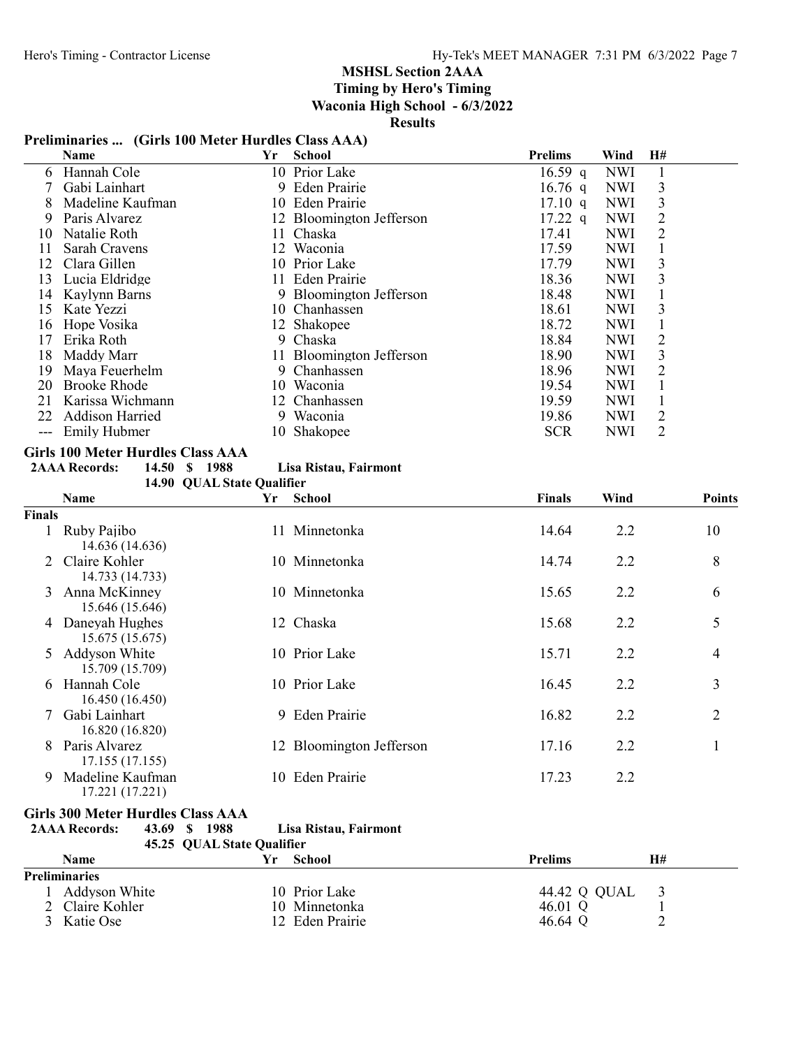# MSHSL Section 2AAA Timing by Hero's Timing

Waconia High School - 6/3/2022

Results

# Preliminaries ... (Girls 100 Meter Hurdles Class AAA)

|    | Name                   | Yr | <b>School</b>            | <b>Prelims</b>    | Wind       | H#             |  |
|----|------------------------|----|--------------------------|-------------------|------------|----------------|--|
| 6  | Hannah Cole            |    | 10 Prior Lake            | 16.59 q           | <b>NWI</b> |                |  |
|    | Gabi Lainhart          |    | 9 Eden Prairie           | $16.76$ q         | <b>NWI</b> | 3              |  |
| 8  | Madeline Kaufman       |    | 10 Eden Prairie          | $17.10 \text{ q}$ | <b>NWI</b> | 3              |  |
| 9  | Paris Alvarez          |    | 12 Bloomington Jefferson | $17.22$ q         | <b>NWI</b> |                |  |
| 10 | Natalie Roth           |    | 11 Chaska                | 17.41             | <b>NWI</b> | 2              |  |
|    | Sarah Cravens          |    | 12 Waconia               | 17.59             | <b>NWI</b> |                |  |
| 12 | Clara Gillen           |    | 10 Prior Lake            | 17.79             | <b>NWI</b> | 3              |  |
| 13 | Lucia Eldridge         |    | 11 Eden Prairie          | 18.36             | <b>NWI</b> | 3              |  |
| 14 | Kaylynn Barns          |    | 9 Bloomington Jefferson  | 18.48             | <b>NWI</b> |                |  |
| 15 | Kate Yezzi             |    | 10 Chanhassen            | 18.61             | <b>NWI</b> | 3              |  |
| 16 | Hope Vosika            |    | 12 Shakopee              | 18.72             | <b>NWI</b> |                |  |
|    | Erika Roth             |    | 9 Chaska                 | 18.84             | <b>NWI</b> | 2              |  |
| 18 | Maddy Marr             |    | 11 Bloomington Jefferson | 18.90             | <b>NWI</b> | 3              |  |
| 19 | Maya Feuerhelm         |    | 9 Chanhassen             | 18.96             | <b>NWI</b> | 2              |  |
| 20 | <b>Brooke Rhode</b>    | 10 | Waconia                  | 19.54             | <b>NWI</b> |                |  |
| 21 | Karissa Wichmann       |    | 12 Chanhassen            | 19.59             | NWI.       |                |  |
| 22 | <b>Addison Harried</b> |    | 9 Waconia                | 19.86             | NWI.       | $\overline{2}$ |  |
|    | <b>Emily Hubmer</b>    |    | 10 Shakopee              | <b>SCR</b>        | <b>NWI</b> | 2              |  |

### Girls 100 Meter Hurdles Class AAA

| <b>2AAA Records:</b> | 14.50 \$ 1988 |  | Lisa Ristau, Fairmont |
|----------------------|---------------|--|-----------------------|
|                      |               |  |                       |

|               | 14.90 QUAL State Qualifier              |     |                          |               |      |                |
|---------------|-----------------------------------------|-----|--------------------------|---------------|------|----------------|
|               | <b>Name</b>                             | Yr  | <b>School</b>            | <b>Finals</b> | Wind | <b>Points</b>  |
| <b>Finals</b> |                                         |     |                          |               |      |                |
|               | Ruby Pajibo<br>14.636 (14.636)          | 11. | Minnetonka               | 14.64         | 2.2  | 10             |
|               | Claire Kohler<br>14.733 (14.733)        |     | 10 Minnetonka            | 14.74         | 2.2  | 8              |
| 3             | Anna McKinney<br>15.646 (15.646)        |     | 10 Minnetonka            | 15.65         | 2.2  | 6              |
| 4             | Daneyah Hughes<br>15.675 (15.675)       |     | 12 Chaska                | 15.68         | 2.2  | 5              |
| 5.            | <b>Addyson White</b><br>15.709 (15.709) |     | 10 Prior Lake            | 15.71         | 2.2  | 4              |
| 6             | Hannah Cole<br>16.450 (16.450)          | 10  | Prior Lake               | 16.45         | 2.2  | 3              |
|               | Gabi Lainhart<br>16.820 (16.820)        |     | 9 Eden Prairie           | 16.82         | 2.2  | $\overline{2}$ |
| 8             | Paris Alvarez<br>17.155 (17.155)        |     | 12 Bloomington Jefferson | 17.16         | 2.2  |                |
| 9             | Madeline Kaufman<br>17.221 (17.221)     | 10  | Eden Prairie             | 17.23         | 2.2  |                |

Girls 300 Meter Hurdles Class AAA<br>2AAA Records: 43.69 \$ 1988 2AAA Records: 43.69 \$ 1988 Lisa Ristau, Fairmont

| 45.25 QUAL State Qualifier |    |                 |                |    |
|----------------------------|----|-----------------|----------------|----|
| <b>Name</b>                | Vг | School          | <b>Prelims</b> | H# |
| <b>Preliminaries</b>       |    |                 |                |    |
| Addyson White              |    | 10 Prior Lake   | 44.42 Q QUAL   |    |
| 2 Claire Kohler            |    | 10 Minnetonka   | 46.01 Q        |    |
| Katie Ose                  |    | 12 Eden Prairie | 46.64 Q        | ∠  |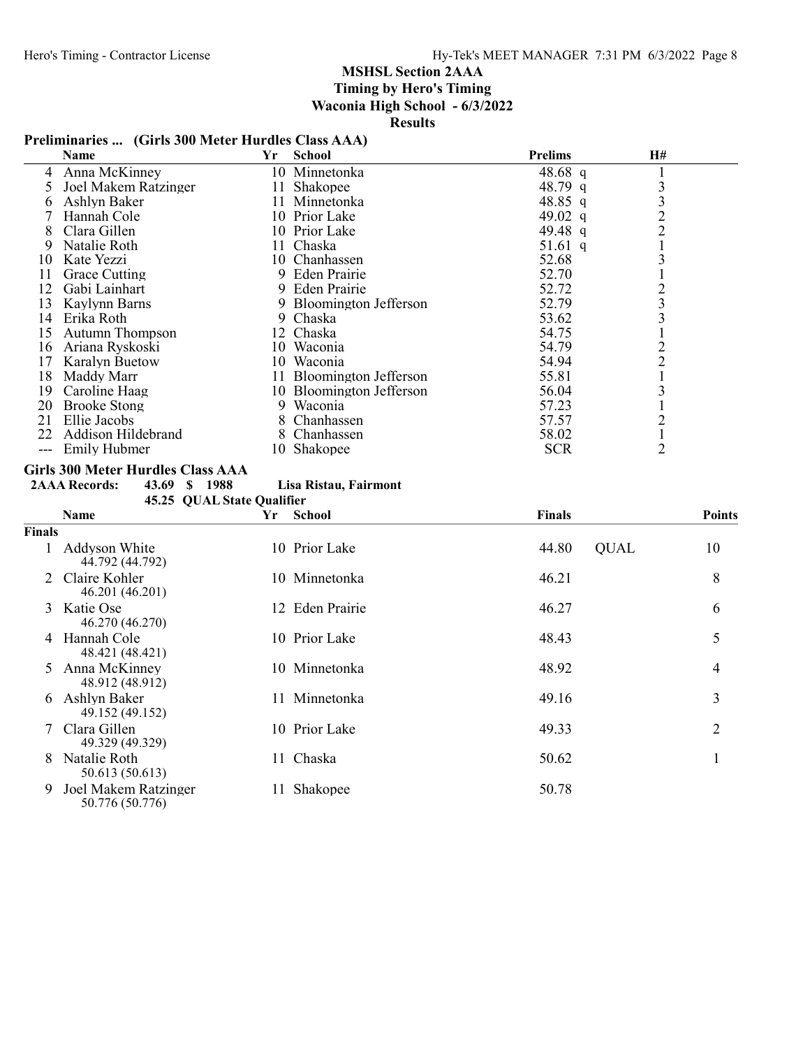# MSHSL Section 2AAA Timing by Hero's Timing

Waconia High School - 6/3/2022

Results

# Preliminaries ... (Girls 300 Meter Hurdles Class AAA)

|       | Name                   | Yr  | <b>School</b>            | <b>Prelims</b> | <b>H#</b>      |  |
|-------|------------------------|-----|--------------------------|----------------|----------------|--|
| 4     | Anna McKinney          |     | 10 Minnetonka            | 48.68 q        |                |  |
|       | Joel Makem Ratzinger   |     | 11 Shakopee              | 48.79 q        |                |  |
|       | Ashlyn Baker           | 11. | Minnetonka               | 48.85 q        | 3              |  |
|       | Hannah Cole            |     | 10 Prior Lake            | 49.02 q        | $\overline{2}$ |  |
| 8     | Clara Gillen           |     | 10 Prior Lake            | 49.48 q        | $\overline{2}$ |  |
| 9     | Natalie Roth           |     | 11 Chaska                | 51.61 q        |                |  |
| 10    | Kate Yezzi             |     | 10 Chanhassen            | 52.68          |                |  |
| 11    | Grace Cutting          |     | 9 Eden Prairie           | 52.70          |                |  |
| 12    | Gabi Lainhart          |     | 9 Eden Prairie           | 52.72          | 2              |  |
| 13    | Kaylynn Barns          |     | 9 Bloomington Jefferson  | 52.79          | 3              |  |
| 14    | Erika Roth             |     | 9 Chaska                 | 53.62          | 3              |  |
| 15    | <b>Autumn Thompson</b> |     | 12 Chaska                | 54.75          |                |  |
| 16    | Ariana Ryskoski        | 10  | Waconia                  | 54.79          | 2              |  |
| 17    | <b>Karalyn Buetow</b>  |     | 10 Waconia               | 54.94          | $\overline{2}$ |  |
| 18    | Maddy Marr             |     | 11 Bloomington Jefferson | 55.81          |                |  |
| 19    | Caroline Haag          |     | 10 Bloomington Jefferson | 56.04          |                |  |
| 20    | <b>Brooke Stong</b>    | 9.  | Waconia                  | 57.23          |                |  |
| 21    | Ellie Jacobs           |     | 8 Chanhassen             | 57.57          | 2              |  |
| 22    | Addison Hildebrand     |     | Chanhassen               | 58.02          |                |  |
| $---$ | <b>Emily Hubmer</b>    |     | 10 Shakopee              | <b>SCR</b>     | 2              |  |

# Girls 300 Meter Hurdles Class AAA<br>2AAA Records: 43.69 \$ 1988

2AAA Records: 43.69 \$ 1988 Lisa Ristau, Fairmont

|                             | 45.25 QUAL State Qualifier              |     |                 |                      |               |
|-----------------------------|-----------------------------------------|-----|-----------------|----------------------|---------------|
|                             | <b>Name</b>                             | Yr  | School          | <b>Finals</b>        | <b>Points</b> |
| Finals                      |                                         |     |                 |                      |               |
|                             | Addyson White<br>44.792 (44.792)        |     | 10 Prior Lake   | 44.80<br><b>QUAL</b> | 10            |
| $\mathcal{D}_{\mathcal{L}}$ | Claire Kohler<br>46.201 (46.201)        |     | 10 Minnetonka   | 46.21                | 8             |
| 3                           | Katie Ose<br>46.270 (46.270)            |     | 12 Eden Prairie | 46.27                | 6             |
| 4                           | Hannah Cole<br>48.421 (48.421)          |     | 10 Prior Lake   | 48.43                | 5             |
| 5.                          | Anna McKinney<br>48.912 (48.912)        |     | 10 Minnetonka   | 48.92                | 4             |
| 6                           | Ashlyn Baker<br>49.152 (49.152)         | 11. | Minnetonka      | 49.16                | 3             |
|                             | Clara Gillen<br>49.329 (49.329)         |     | 10 Prior Lake   | 49.33                | 2             |
| 8                           | Natalie Roth<br>50.613 (50.613)         |     | 11 Chaska       | 50.62                |               |
| 9                           | Joel Makem Ratzinger<br>50.776 (50.776) | 11  | Shakopee        | 50.78                |               |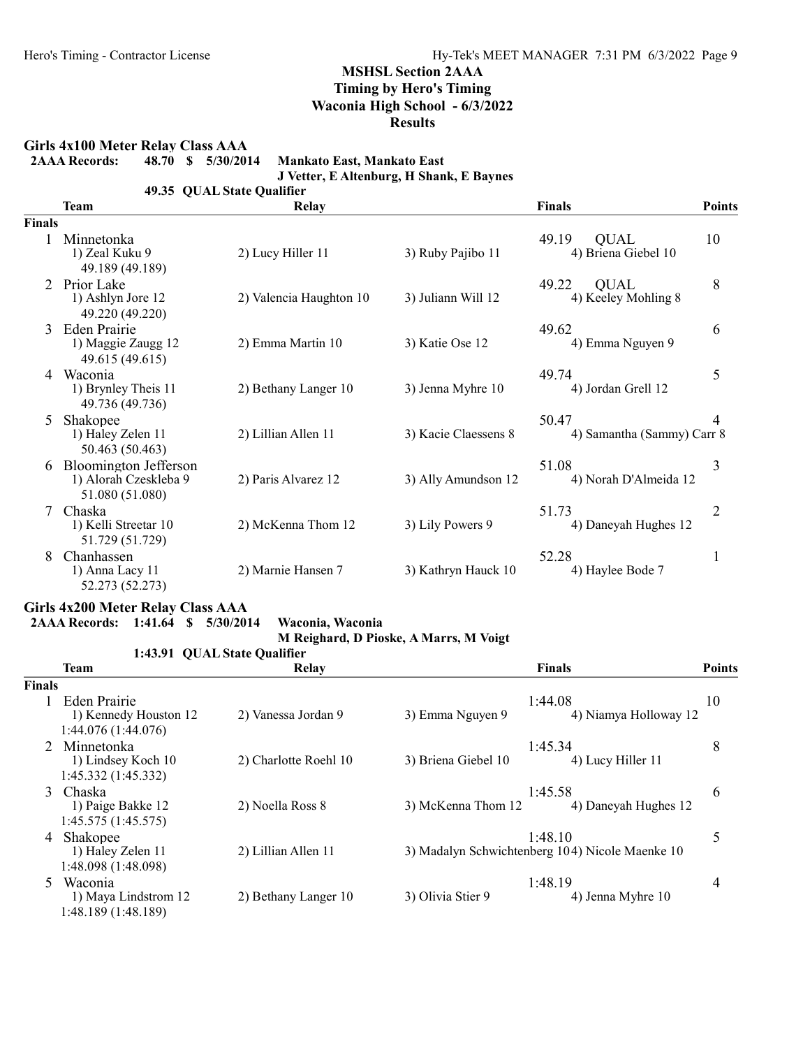Girls 4x100 Meter Relay Class AAA<br>2AAA Records: 48.70 \$ 5/30/2014

Mankato East, Mankato East

J Vetter, E Altenburg, H Shank, E Baynes

49.35 QUAL State Qualifier

|               | <b>Team</b>                                                              | Relay                   |                      | <b>Finals</b>                               | <b>Points</b>  |
|---------------|--------------------------------------------------------------------------|-------------------------|----------------------|---------------------------------------------|----------------|
| <b>Finals</b> |                                                                          |                         |                      |                                             |                |
|               | Minnetonka<br>1) Zeal Kuku 9<br>49.189 (49.189)                          | 2) Lucy Hiller 11       | 3) Ruby Pajibo 11    | 49.19<br><b>QUAL</b><br>4) Briena Giebel 10 | 10             |
|               | Prior Lake<br>1) Ashlyn Jore 12<br>49.220 (49.220)                       | 2) Valencia Haughton 10 | 3) Juliann Will 12   | 49.22<br><b>OUAL</b><br>4) Keeley Mohling 8 | 8              |
| $\mathcal{E}$ | Eden Prairie<br>1) Maggie Zaugg 12<br>49.615 (49.615)                    | 2) Emma Martin 10       | 3) Katie Ose 12      | 49.62<br>4) Emma Nguyen 9                   | 6              |
| 4             | Waconia<br>1) Brynley Theis 11<br>49.736 (49.736)                        | 2) Bethany Langer 10    | 3) Jenna Myhre 10    | 49.74<br>4) Jordan Grell 12                 | 5              |
| 5             | Shakopee<br>1) Haley Zelen 11<br>50.463 (50.463)                         | 2) Lillian Allen 11     | 3) Kacie Claessens 8 | 50.47<br>4) Samantha (Sammy) Carr 8         | 4              |
| 6             | <b>Bloomington Jefferson</b><br>1) Alorah Czeskleba 9<br>51.080 (51.080) | 2) Paris Alvarez 12     | 3) Ally Amundson 12  | 51.08<br>4) Norah D'Almeida 12              | 3              |
|               | Chaska<br>1) Kelli Streetar 10<br>51.729 (51.729)                        | 2) McKenna Thom 12      | 3) Lily Powers 9     | 51.73<br>4) Daneyah Hughes 12               | $\overline{2}$ |
| 8             | Chanhassen<br>1) Anna Lacy 11<br>52.273 (52.273)                         | 2) Marnie Hansen 7      | 3) Kathryn Hauck 10  | 52.28<br>4) Haylee Bode 7                   | 1              |

## Girls 4x200 Meter Relay Class AAA

2AAA Records: 1:41.64 \$ 5/30/2014 Waconia, Waconia

M Reighard, D Pioske, A Marrs, M Voigt

|        |                                                              | 1:43.91 QUAL State Qualifier |                                                            |               |
|--------|--------------------------------------------------------------|------------------------------|------------------------------------------------------------|---------------|
|        | Team                                                         | Relay                        | <b>Finals</b>                                              | <b>Points</b> |
| Finals |                                                              |                              |                                                            |               |
|        | Eden Prairie<br>1) Kennedy Houston 12<br>1:44.076 (1:44.076) | 2) Vanessa Jordan 9          | 1:44.08<br>3) Emma Nguyen 9<br>4) Niamya Holloway 12       | 10            |
|        | 2 Minnetonka<br>1) Lindsey Koch 10<br>1:45.332 (1:45.332)    | 2) Charlotte Roehl 10        | 1:45.34<br>3) Briena Giebel 10<br>4) Lucy Hiller 11        | 8             |
|        | 3 Chaska<br>1) Paige Bakke 12<br>1:45.575(1:45.575)          | 2) Noella Ross 8             | 1:45.58<br>3) McKenna Thom 12<br>4) Daneyah Hughes 12      | 6             |
| 4      | Shakopee<br>1) Haley Zelen 11<br>1:48.098 (1:48.098)         | 2) Lillian Allen 11          | 1:48.10<br>3) Madalyn Schwichtenberg 104) Nicole Maenke 10 | 5             |
| 5.     | Waconia<br>1) Maya Lindstrom 12<br>1:48.189 (1:48.189)       | 2) Bethany Langer 10         | 1:48.19<br>3) Olivia Stier 9<br>4) Jenna Myhre 10          | 4             |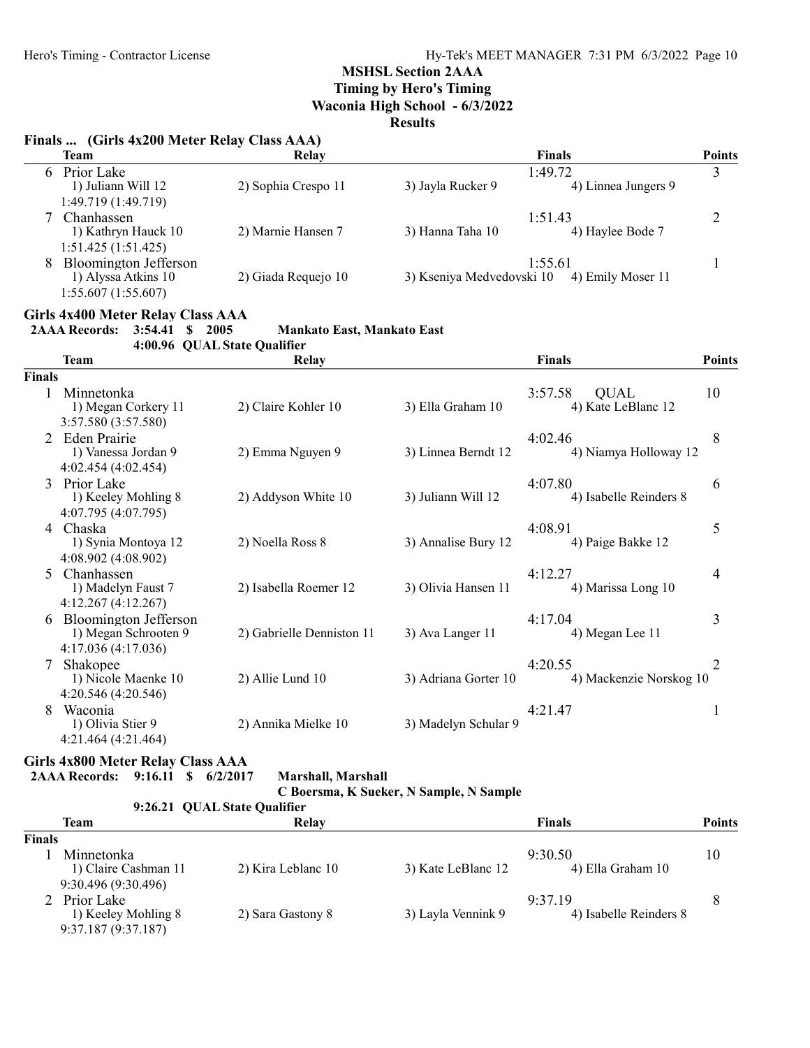Timing by Hero's Timing

Waconia High School - 6/3/2022

Results

# Finals ... (Girls 4x200 Meter Relay Class AAA)

|   | Team                  | Relay               | <b>Finals</b>                                  | <b>Points</b> |
|---|-----------------------|---------------------|------------------------------------------------|---------------|
| 6 | Prior Lake            |                     | 1:49.72                                        |               |
|   | 1) Juliann Will 12    | 2) Sophia Crespo 11 | 3) Jayla Rucker 9<br>4) Linnea Jungers 9       |               |
|   | 1:49.719 (1:49.719)   |                     |                                                |               |
|   | Chanhassen            |                     | 1:51.43                                        |               |
|   | 1) Kathryn Hauck 10   | 2) Marnie Hansen 7  | 3) Hanna Taha 10<br>4) Haylee Bode 7           |               |
|   | 1:51.425(1:51.425)    |                     |                                                |               |
| 8 | Bloomington Jefferson |                     | 1:55.61                                        |               |
|   | 1) Alyssa Atkins 10   | 2) Giada Requejo 10 | 3) Kseniya Medvedovski 10<br>4) Emily Moser 11 |               |
|   | 1:55.607 (1:55.607)   |                     |                                                |               |

#### Girls 4x400 Meter Relay Class AAA

4:00.96 QUAL State Qualifier

|                | <b>Team</b>                                                                | <b>Relay</b>              |                      | <b>Finals</b>                                | <b>Points</b> |
|----------------|----------------------------------------------------------------------------|---------------------------|----------------------|----------------------------------------------|---------------|
| <b>Finals</b>  |                                                                            |                           |                      |                                              |               |
|                | Minnetonka<br>1) Megan Corkery 11<br>3:57.580 (3:57.580)                   | 2) Claire Kohler 10       | 3) Ella Graham 10    | 3:57.58<br><b>QUAL</b><br>4) Kate LeBlanc 12 | 10            |
|                | <b>Eden Prairie</b><br>1) Vanessa Jordan 9<br>4:02.454 (4:02.454)          | 2) Emma Nguyen 9          | 3) Linnea Berndt 12  | 4:02.46<br>4) Niamya Holloway 12             | 8             |
| $\mathcal{L}$  | Prior Lake<br>1) Keeley Mohling 8<br>4:07.795 (4:07.795)                   | 2) Addyson White 10       | 3) Juliann Will 12   | 4:07.80<br>4) Isabelle Reinders 8            | 6             |
| $\overline{4}$ | Chaska<br>1) Synia Montoya 12<br>4:08.902 (4:08.902)                       | 2) Noella Ross 8          | 3) Annalise Bury 12  | 4:08.91<br>4) Paige Bakke 12                 | 5             |
| 5              | Chanhassen<br>1) Madelyn Faust 7<br>4:12.267(4:12.267)                     | 2) Isabella Roemer 12     | 3) Olivia Hansen 11  | 4:12.27<br>4) Marissa Long 10                | 4             |
| 6              | <b>Bloomington Jefferson</b><br>1) Megan Schrooten 9<br>4:17.036(4:17.036) | 2) Gabrielle Denniston 11 | 3) Ava Langer 11     | 4:17.04<br>4) Megan Lee 11                   | 3             |
|                | Shakopee<br>1) Nicole Maenke 10<br>4:20.546 (4:20.546)                     | 2) Allie Lund 10          | 3) Adriana Gorter 10 | 4:20.55<br>4) Mackenzie Norskog 10           | 2             |
| 8              | Waconia<br>1) Olivia Stier 9<br>4:21.464 (4:21.464)                        | 2) Annika Mielke 10       | 3) Madelyn Schular 9 | 4:21.47                                      | -1            |

### Girls 4x800 Meter Relay Class AAA 2AAA Records: 9:16.11 \$ 6/2/2017 Marshall, Marshall

| C Boersma, K Sueker, N Sample, N Sample |  |  |  |  |  |  |
|-----------------------------------------|--|--|--|--|--|--|
|-----------------------------------------|--|--|--|--|--|--|

|               |                      |                              | $\sim$ Doctoma, it outnot, it outmon, it outmon |                        |               |  |  |
|---------------|----------------------|------------------------------|-------------------------------------------------|------------------------|---------------|--|--|
|               |                      | 9:26.21 QUAL State Qualifier |                                                 |                        |               |  |  |
|               | Team                 | Relay                        |                                                 | Finals                 | <b>Points</b> |  |  |
| <b>Finals</b> |                      |                              |                                                 |                        |               |  |  |
|               | Minnetonka           |                              |                                                 | 9:30.50                | 10            |  |  |
|               | 1) Claire Cashman 11 | 2) Kira Leblanc 10           | 3) Kate LeBlanc 12                              | 4) Ella Graham 10      |               |  |  |
|               | 9:30.496 (9:30.496)  |                              |                                                 |                        |               |  |  |
|               | 2 Prior Lake         |                              |                                                 | 9:37.19                | 8             |  |  |
|               | 1) Keeley Mohling 8  | 2) Sara Gastony 8            | 3) Layla Vennink 9                              | 4) Isabelle Reinders 8 |               |  |  |
|               | 9:37.187 (9:37.187)  |                              |                                                 |                        |               |  |  |

<sup>2</sup>AAA Records: 3:54.41 \$ 2005 Mankato East, Mankato East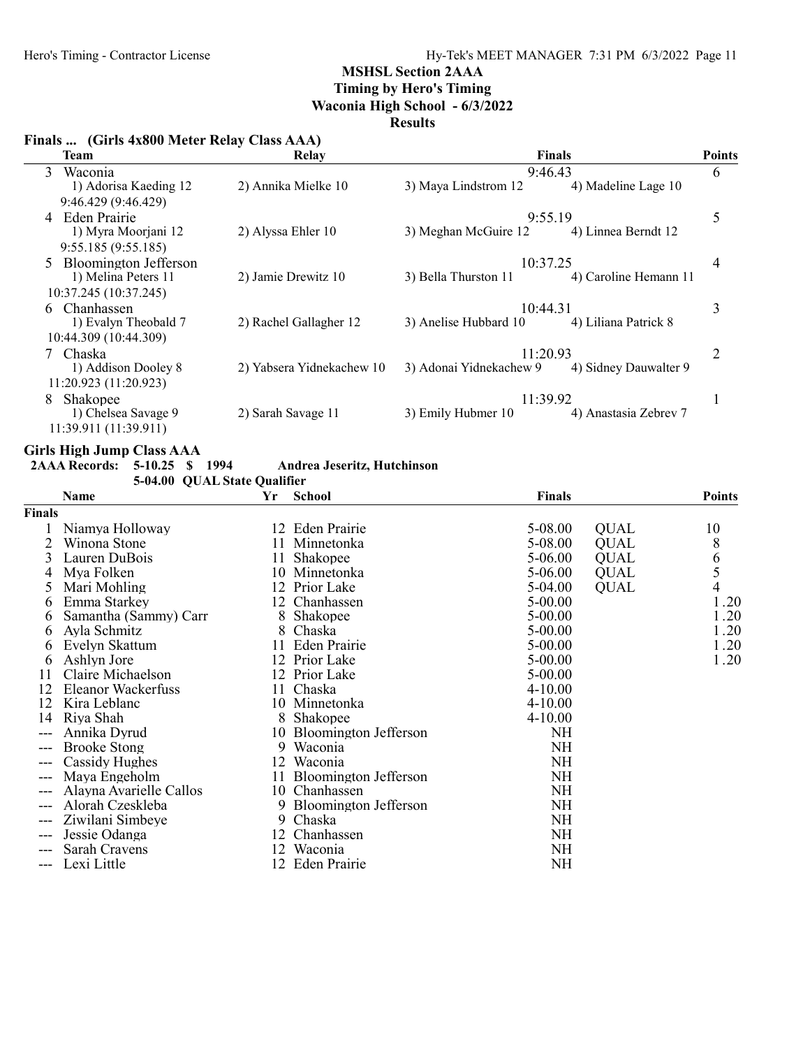# Timing by Hero's Timing

Waconia High School - 6/3/2022

## Results

# Finals ... (Girls 4x800 Meter Relay Class AAA)

| <b>Team</b>             | Relay                     |                         | Finals                | <b>Points</b> |
|-------------------------|---------------------------|-------------------------|-----------------------|---------------|
| 3<br>Waconia            |                           | 9:46.43                 |                       | 6             |
| 1) Adorisa Kaeding 12   | 2) Annika Mielke 10       | 3) Maya Lindstrom 12    | 4) Madeline Lage 10   |               |
| 9:46.429 (9:46.429)     |                           |                         |                       |               |
| 4 Eden Prairie          |                           | 9:55.19                 |                       | 5             |
| 1) Myra Moorjani 12     | 2) Alyssa Ehler 10        | 3) Meghan McGuire 12    | 4) Linnea Berndt 12   |               |
| 9:55.185(9:55.185)      |                           |                         |                       |               |
| 5 Bloomington Jefferson |                           | 10:37.25                |                       | 4             |
| 1) Melina Peters 11     | 2) Jamie Drewitz 10       | 3) Bella Thurston 11    | 4) Caroline Hemann 11 |               |
| 10:37.245 (10:37.245)   |                           |                         |                       |               |
| 6 Chanhassen            |                           | 10:44.31                |                       | 3             |
| 1) Evalyn Theobald 7    | 2) Rachel Gallagher 12    | 3) Anelise Hubbard 10   | 4) Liliana Patrick 8  |               |
| 10:44.309 (10:44.309)   |                           |                         |                       |               |
| 7 Chaska                |                           | 11:20.93                |                       | 2             |
| 1) Addison Dooley 8     | 2) Yabsera Yidnekachew 10 | 3) Adonai Yidnekachew 9 | 4) Sidney Dauwalter 9 |               |
| 11:20.923 (11:20.923)   |                           |                         |                       |               |
| Shakopee<br>8           |                           | 11:39.92                |                       |               |
| 1) Chelsea Savage 9     | 2) Sarah Savage 11        | 3) Emily Hubmer 10      | 4) Anastasia Zebrev 7 |               |
| 11:39.911 (11:39.911)   |                           |                         |                       |               |

# Girls High Jump Class AAA

2AAA Records: 5-10.25 \$ 1994 Andrea Jeseritz, Hutchinson

|               | 5-04.00 QUAL State Qualifier |    |                          |               |             |                |
|---------------|------------------------------|----|--------------------------|---------------|-------------|----------------|
|               | <b>Name</b>                  | Yr | <b>School</b>            | <b>Finals</b> |             | <b>Points</b>  |
| <b>Finals</b> |                              |    |                          |               |             |                |
|               | Niamya Holloway              |    | 12 Eden Prairie          | 5-08.00       | <b>QUAL</b> | 10             |
|               | Winona Stone                 |    | 11 Minnetonka            | 5-08.00       | <b>QUAL</b> | 8              |
| 3             | Lauren DuBois                | 11 | Shakopee                 | 5-06.00       | <b>QUAL</b> |                |
| 4             | Mya Folken                   | 10 | Minnetonka               | $5-06.00$     | <b>QUAL</b> | $\frac{6}{5}$  |
| $\Delta$      | Mari Mohling                 |    | 12 Prior Lake            | 5-04.00       | <b>QUAL</b> | $\overline{4}$ |
| 6             | Emma Starkey                 |    | 12 Chanhassen            | 5-00.00       |             | 1.20           |
| <sub>0</sub>  | Samantha (Sammy) Carr        | 8  | Shakopee                 | $5 - 00.00$   |             | 1.20           |
| 6             | Ayla Schmitz                 | 8  | Chaska                   | $5-00.00$     |             | 1.20           |
| 6             | Evelyn Skattum               | 11 | Eden Prairie             | 5-00.00       |             | 1.20           |
| b             | Ashlyn Jore                  |    | 12 Prior Lake            | 5-00.00       |             | 1.20           |
| 11            | Claire Michaelson            |    | 12 Prior Lake            | 5-00.00       |             |                |
| 12            | Eleanor Wackerfuss           | 11 | Chaska                   | $4 - 10.00$   |             |                |
| 12            | Kira Leblanc                 |    | 10 Minnetonka            | $4 - 10.00$   |             |                |
| 14            | Riya Shah                    |    | 8 Shakopee               | $4 - 10.00$   |             |                |
| ---           | Annika Dyrud                 | 10 | Bloomington Jefferson    | NH            |             |                |
| ---           | <b>Brooke Stong</b>          | 9  | Waconia                  | NH            |             |                |
|               | Cassidy Hughes               | 12 | Waconia                  | <b>NH</b>     |             |                |
| $---$         | Maya Engeholm                |    | 11 Bloomington Jefferson | NH            |             |                |
| ---           | Alayna Avarielle Callos      | 10 | Chanhassen               | <b>NH</b>     |             |                |
|               | Alorah Czeskleba             |    | 9 Bloomington Jefferson  | NH            |             |                |
| $---$         | Ziwilani Simbeye             | 9  | Chaska                   | NH            |             |                |
| ---           | Jessie Odanga                | 12 | Chanhassen               | <b>NH</b>     |             |                |
|               | Sarah Cravens                | 12 | Waconia                  | NH            |             |                |
|               | Lexi Little                  | 12 | Eden Prairie             | <b>NH</b>     |             |                |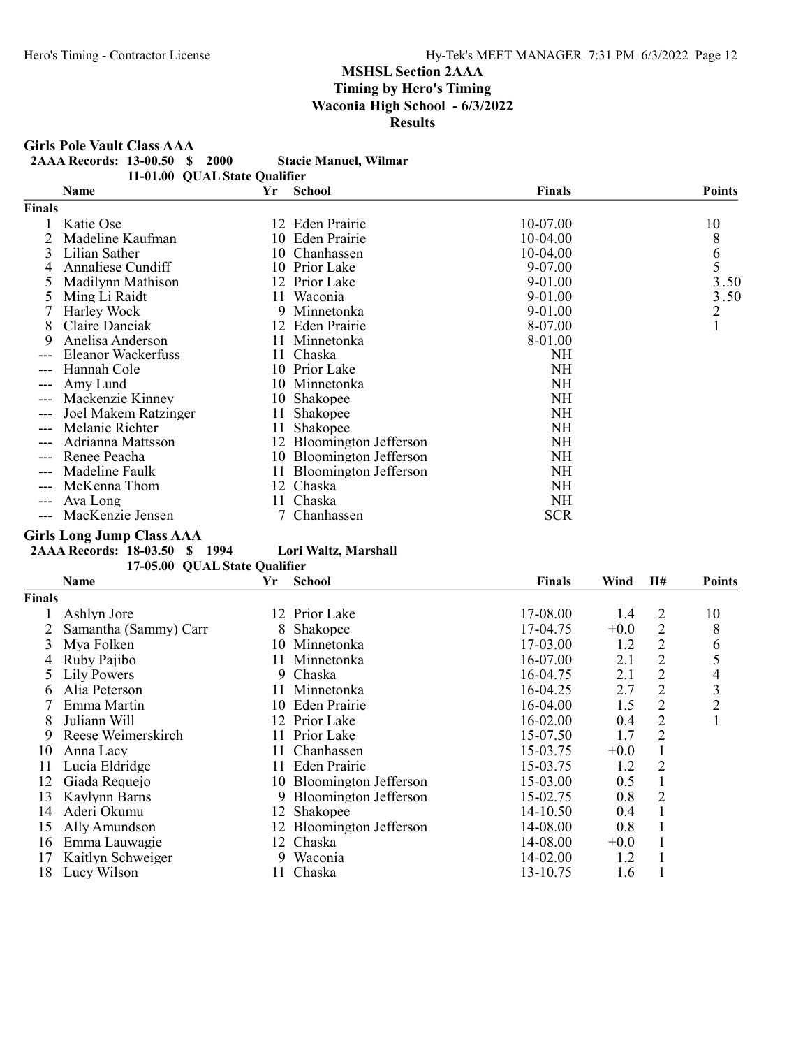Girls Pole Vault Class AAA

2AAA Records: 13-00.50 \$ 2000 Stacie Manuel, Wilmar

|  | 11-01.00 QUAL State Qualifier |                       |  |
|--|-------------------------------|-----------------------|--|
|  |                               | $\mathbf{v}$ $\alpha$ |  |

|        | Name                 | Yr | <b>School</b>            | <b>Finals</b> | <b>Points</b>                         |
|--------|----------------------|----|--------------------------|---------------|---------------------------------------|
| Finals |                      |    |                          |               |                                       |
|        | Katie Ose            |    | 12 Eden Prairie          | 10-07.00      | 10                                    |
|        | Madeline Kaufman     |    | 10 Eden Prairie          | 10-04.00      | 8                                     |
| 3      | Lilian Sather        |    | 10 Chanhassen            | 10-04.00      |                                       |
|        | Annaliese Cundiff    |    | 10 Prior Lake            | 9-07.00       | $\begin{array}{c} 6 \\ 5 \end{array}$ |
|        | Madilynn Mathison    |    | 12 Prior Lake            | 9-01.00       | 3.50                                  |
|        | Ming Li Raidt        | 11 | Waconia                  | 9-01.00       | 3.50                                  |
|        | Harley Wock          | 9  | Minnetonka               | 9-01.00       | $\overline{c}$                        |
| 8      | Claire Danciak       |    | 12 Eden Prairie          | 8-07.00       |                                       |
| 9      | Anelisa Anderson     | 11 | Minnetonka               | 8-01.00       |                                       |
|        | Eleanor Wackerfuss   | 11 | Chaska                   | NH            |                                       |
|        | Hannah Cole          |    | 10 Prior Lake            | NH            |                                       |
|        | Amy Lund             |    | 10 Minnetonka            | NH            |                                       |
|        | Mackenzie Kinney     |    | 10 Shakopee              | NH            |                                       |
|        | Joel Makem Ratzinger | 11 | Shakopee                 | NH            |                                       |
|        | Melanie Richter      | 11 | Shakopee                 | NH            |                                       |
|        | Adrianna Mattsson    |    | 12 Bloomington Jefferson | NH            |                                       |
|        | Renee Peacha         | 10 | Bloomington Jefferson    | NH            |                                       |
|        | Madeline Faulk       | 11 | Bloomington Jefferson    | NH.           |                                       |
|        | McKenna Thom         |    | 12 Chaska                | NH            |                                       |
|        | Ava Long             | П  | Chaska                   | NH            |                                       |
| $---$  | MacKenzie Jensen     |    | 7 Chanhassen             | <b>SCR</b>    |                                       |

### Girls Long Jump Class AAA

2AAA Records: 18-03.50 \$ 1994 Lori Waltz, Marshall 17-05.00 QUAL State Qualifier

|               | 17-03.00 QUAL State Quannel |     |                          |          |        |                |                |
|---------------|-----------------------------|-----|--------------------------|----------|--------|----------------|----------------|
|               | Name                        | Yr  | <b>School</b>            | Finals   | Wind   | H#             | <b>Points</b>  |
| <b>Finals</b> |                             |     |                          |          |        |                |                |
|               | Ashlyn Jore                 |     | 12 Prior Lake            | 17-08.00 | 1.4    | 2              | 10             |
|               | Samantha (Sammy) Carr       | 8   | Shakopee                 | 17-04.75 | $+0.0$ | $\overline{2}$ | 8              |
| 3             | Mya Folken                  |     | 10 Minnetonka            | 17-03.00 | 1.2    | $\overline{2}$ | 6              |
| 4             | Ruby Pajibo                 | 11. | Minnetonka               | 16-07.00 | 2.1    | $\overline{2}$ | 5              |
|               | Lily Powers                 |     | 9 Chaska                 | 16-04.75 | 2.1    | $\overline{2}$ | 4              |
| 6             | Alia Peterson               | 11. | Minnetonka               | 16-04.25 | 2.7    | $\overline{2}$ | 3              |
|               | Emma Martin                 |     | 10 Eden Prairie          | 16-04.00 | 1.5    | $\overline{2}$ | $\overline{2}$ |
| 8             | Juliann Will                |     | 12 Prior Lake            | 16-02.00 | 0.4    | $\overline{2}$ | $\mathbf{1}$   |
| 9             | Reese Weimerskirch          |     | 11 Prior Lake            | 15-07.50 | 1.7    | 2              |                |
| 10            | Anna Lacy                   |     | 11 Chanhassen            | 15-03.75 | $+0.0$ |                |                |
| 11            | Lucia Eldridge              |     | 11 Eden Prairie          | 15-03.75 | 1.2    | 2              |                |
| 12            | Giada Requejo               |     | 10 Bloomington Jefferson | 15-03.00 | 0.5    |                |                |
| 13            | Kaylynn Barns               |     | 9 Bloomington Jefferson  | 15-02.75 | 0.8    | 2              |                |
| 14            | Aderi Okumu                 | 12  | Shakopee                 | 14-10.50 | 0.4    |                |                |
| 15            | Ally Amundson               |     | 12 Bloomington Jefferson | 14-08.00 | 0.8    |                |                |
| 16            | Emma Lauwagie               |     | 12 Chaska                | 14-08.00 | $+0.0$ |                |                |
| 17            | Kaitlyn Schweiger           | 9.  | Waconia                  | 14-02.00 | 1.2    |                |                |
| 18            | Lucy Wilson                 |     | Chaska                   | 13-10.75 | 1.6    |                |                |
|               |                             |     |                          |          |        |                |                |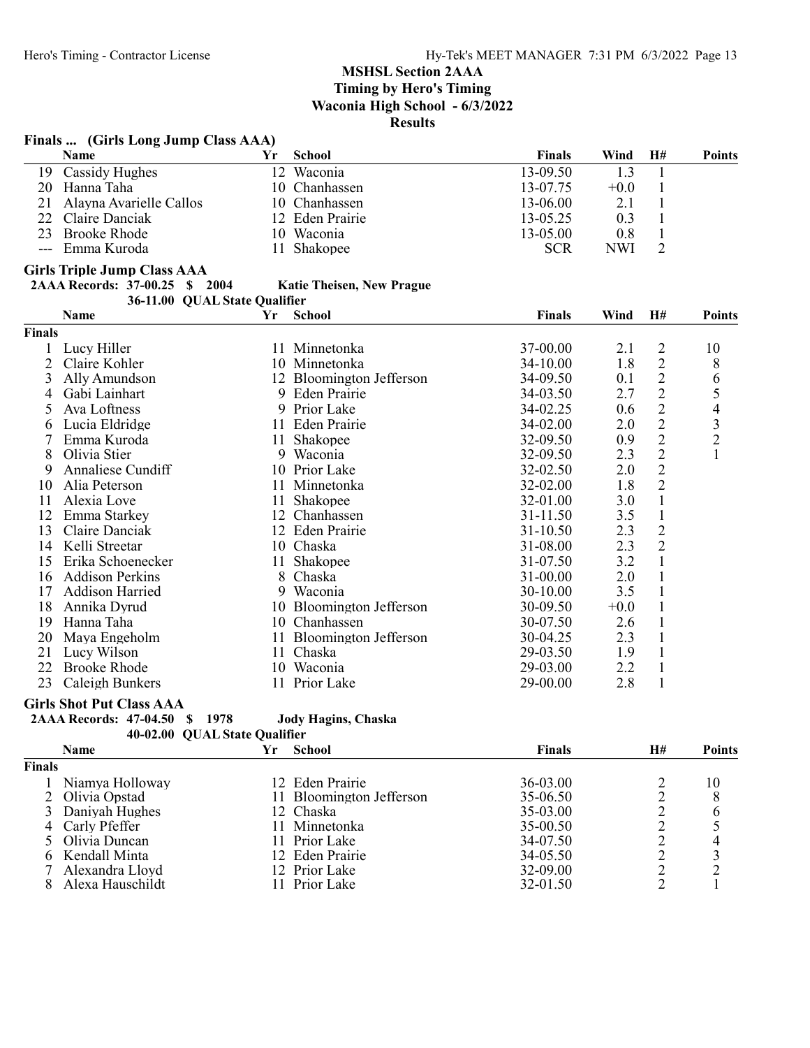# Finals ... (Girls Long Jump Class AAA)

|     | <b>Name</b>             |                 | <b>School</b>   | <b>Finals</b> | Wind       | H# | <b>Points</b> |
|-----|-------------------------|-----------------|-----------------|---------------|------------|----|---------------|
| 19. | Cassidy Hughes          | 12 <sup>7</sup> | Waconia         | 13-09.50      |            |    |               |
| 20  | Hanna Taha              |                 | 10 Chanhassen   | 13-07.75      | $+0.0$     |    |               |
| 21  | Alayna Avarielle Callos |                 | 10 Chanhassen   | 13-06.00      |            |    |               |
|     | 22 Claire Danciak       |                 | 12 Eden Prairie | 13-05.25      | 0.3        |    |               |
|     | 23 Brooke Rhode         |                 | 10 Waconia      | 13-05.00      | 0.8        |    |               |
|     | --- Emma Kuroda         |                 | Shakopee        | <b>SCR</b>    | <b>NWI</b> |    |               |

### Girls Triple Jump Class AAA

### 2AAA Records: 37-00.25 \$ 2004 Katie Theisen, New Prague 36-11.00 QUAL State Qualifier

|               | Name                   | Yr | <b>School</b>            | <b>Finals</b> | Wind   | H#             | <b>Points</b>  |
|---------------|------------------------|----|--------------------------|---------------|--------|----------------|----------------|
| <b>Finals</b> |                        |    |                          |               |        |                |                |
|               | Lucy Hiller            |    | 11 Minnetonka            | 37-00.00      | 2.1    | 2              | 10             |
| 2             | Claire Kohler          |    | 10 Minnetonka            | $34-10.00$    | 1.8    | $\overline{2}$ | 8              |
| 3             | Ally Amundson          |    | 12 Bloomington Jefferson | 34-09.50      | 0.1    | $\overline{c}$ | 6              |
| 4             | Gabi Lainhart          |    | 9 Eden Prairie           | 34-03.50      | 2.7    | $\overline{2}$ | 5              |
| 5             | Ava Loftness           | 9  | Prior Lake               | 34-02.25      | 0.6    | $\mathbf{2}$   | 4              |
| 6             | Lucia Eldridge         |    | 11 Eden Prairie          | 34-02.00      | 2.0    | $\overline{2}$ | 3              |
|               | Emma Kuroda            | 11 | Shakopee                 | 32-09.50      | 0.9    | $\overline{2}$ | $\overline{c}$ |
| 8             | Olivia Stier           | 9. | Waconia                  | 32-09.50      | 2.3    | $\overline{2}$ |                |
| 9             | Annaliese Cundiff      |    | 10 Prior Lake            | 32-02.50      | 2.0    | $\overline{c}$ |                |
| 10            | Alia Peterson          |    | 11 Minnetonka            | 32-02.00      | 1.8    | $\overline{2}$ |                |
| 11            | Alexia Love            | 11 | Shakopee                 | 32-01.00      | 3.0    | $\mathbf{1}$   |                |
| 12            | Emma Starkey           | 12 | Chanhassen               | 31-11.50      | 3.5    | $\mathbf{1}$   |                |
| 13            | Claire Danciak         |    | 12 Eden Prairie          | $31 - 10.50$  | 2.3    | $\overline{c}$ |                |
| 14            | Kelli Streetar         |    | 10 Chaska                | 31-08.00      | 2.3    | $\overline{2}$ |                |
| 15            | Erika Schoenecker      |    | 11 Shakopee              | 31-07.50      | 3.2    | $\mathbf{1}$   |                |
| 16            | <b>Addison Perkins</b> | 8  | Chaska                   | 31-00.00      | 2.0    | $\mathbf{1}$   |                |
| 17            | Addison Harried        | 9  | Waconia                  | 30-10.00      | 3.5    |                |                |
| 18            | Annika Dyrud           |    | 10 Bloomington Jefferson | 30-09.50      | $+0.0$ |                |                |
| 19            | Hanna Taha             |    | 10 Chanhassen            | 30-07.50      | 2.6    |                |                |
| 20            | Maya Engeholm          |    | 11 Bloomington Jefferson | 30-04.25      | 2.3    |                |                |
| 21            | Lucy Wilson            |    | 11 Chaska                | 29-03.50      | 1.9    |                |                |
| 22            | <b>Brooke Rhode</b>    |    | 10 Waconia               | 29-03.00      | 2.2    |                |                |
| 23            | Caleigh Bunkers        |    | 11 Prior Lake            | 29-00.00      | 2.8    |                |                |

## Girls Shot Put Class AAA

| 2AAA Records: 47-04.50 \$ 1978 |  | <b>Jody Hagins, Chaska</b>    |
|--------------------------------|--|-------------------------------|
|                                |  | 40-02.00 OUAL State Oualifier |

|               | <b>Name</b>       | Yr. | <b>School</b>            | Finals   | H# | <b>Points</b> |
|---------------|-------------------|-----|--------------------------|----------|----|---------------|
| <b>Finals</b> |                   |     |                          |          |    |               |
|               | Niamya Holloway   |     | 12 Eden Prairie          | 36-03.00 |    | 10            |
|               | 2 Olivia Opstad   |     | 11 Bloomington Jefferson | 35-06.50 |    | 8             |
|               | 3 Daniyah Hughes  |     | 12 Chaska                | 35-03.00 |    | 6             |
|               | 4 Carly Pfeffer   | 11. | Minnetonka               | 35-00.50 |    |               |
|               | 5 Olivia Duncan   |     | 11 Prior Lake            | 34-07.50 |    |               |
|               | 6 Kendall Minta   |     | 12 Eden Prairie          | 34-05.50 |    |               |
|               | 7 Alexandra Lloyd |     | 12 Prior Lake            | 32-09.00 |    |               |
|               | Alexa Hauschildt  |     | 11 Prior Lake            | 32-01.50 |    |               |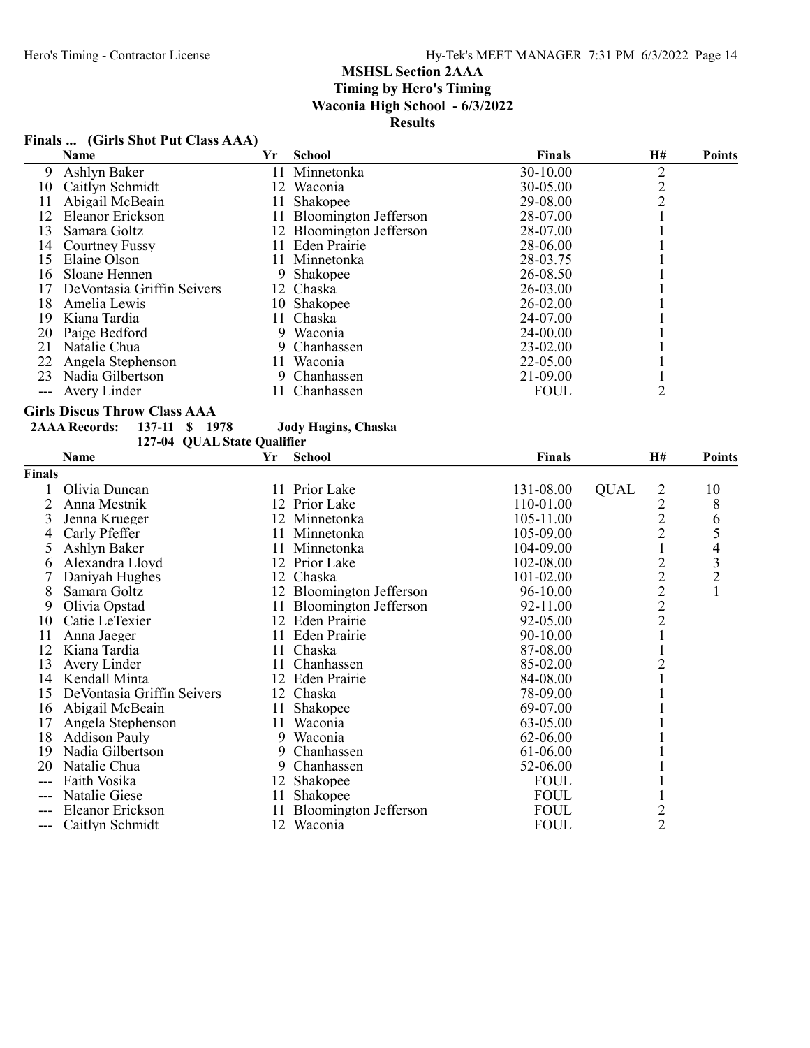# Finals ... (Girls Shot Put Class AAA)

|    | <b>Name</b>                 | Yr  | School                   | <b>Finals</b> | H# | <b>Points</b> |
|----|-----------------------------|-----|--------------------------|---------------|----|---------------|
| 9  | Ashlyn Baker                |     | 11 Minnetonka            | 30-10.00      | ↑  |               |
| 10 | Caitlyn Schmidt             | 12  | Waconia                  | 30-05.00      |    |               |
| 11 | Abigail McBeain             | 11  | Shakopee                 | 29-08.00      |    |               |
| 12 | Eleanor Erickson            | 11  | Bloomington Jefferson    | 28-07.00      |    |               |
| 13 | Samara Goltz                |     | 12 Bloomington Jefferson | 28-07.00      |    |               |
| 14 | Courtney Fussy              | 11. | Eden Prairie             | 28-06.00      |    |               |
| 15 | Elaine Olson                |     | 11 Minnetonka            | 28-03.75      |    |               |
| 16 | Sloane Hennen               |     | Shakopee                 | 26-08.50      |    |               |
|    | De Vontasia Griffin Seivers |     | 12 Chaska                | 26-03.00      |    |               |
| 18 | Amelia Lewis                |     | 10 Shakopee              | $26 - 02.00$  |    |               |
| 19 | Kiana Tardia                |     | 11 Chaska                | 24-07.00      |    |               |
| 20 | Paige Bedford               | 9.  | Waconia                  | 24-00.00      |    |               |
| 21 | Natalie Chua                |     | Chanhassen               | 23-02.00      |    |               |
| 22 | Angela Stephenson           | 11. | Waconia                  | 22-05.00      |    |               |
| 23 | Nadia Gilbertson            |     | Chanhassen               | 21-09.00      |    |               |
|    | Avery Linder                | П   | Chanhassen               | <b>FOUL</b>   | 2  |               |
|    |                             |     |                          |               |    |               |

#### Girls Discus Throw Class AAA

# 2AAA Records: 137-11 \$ 1978 Jody Hagins, Chaska

127-04 QUAL State Qualifier

|                | Name                       | Yr | <b>School</b>            | <b>Finals</b> | Η#                             | <b>Points</b>  |
|----------------|----------------------------|----|--------------------------|---------------|--------------------------------|----------------|
| Finals         |                            |    |                          |               |                                |                |
|                | Olivia Duncan              |    | 11 Prior Lake            | 131-08.00     | <b>QUAL</b><br>2               | 10             |
|                | Anna Mestnik               |    | 12 Prior Lake            | 110-01.00     | $\overline{c}$                 | 8              |
|                | Jenna Krueger              |    | 12 Minnetonka            | 105-11.00     |                                | 6              |
| 4              | Carly Pfeffer              |    | 11 Minnetonka            | 105-09.00     | $\frac{2}{2}$                  | 5              |
| 5              | Ashlyn Baker               |    | 11 Minnetonka            | 104-09.00     |                                | 4              |
| 6              | Alexandra Lloyd            |    | 12 Prior Lake            | 102-08.00     |                                | 3              |
|                | Daniyah Hughes             | 12 | Chaska                   | 101-02.00     | $\frac{2}{2}$<br>$\frac{2}{2}$ | $\overline{2}$ |
| 8              | Samara Goltz               |    | 12 Bloomington Jefferson | 96-10.00      |                                |                |
| 9              | Olivia Opstad              |    | 11 Bloomington Jefferson | 92-11.00      |                                |                |
| 10             | Catie LeTexier             |    | 12 Eden Prairie          | 92-05.00      |                                |                |
| 11             | Anna Jaeger                |    | 11 Eden Prairie          | 90-10.00      |                                |                |
| 12             | Kiana Tardia               |    | 11 Chaska                | 87-08.00      |                                |                |
| 13             | Avery Linder               |    | 11 Chanhassen            | 85-02.00      | $\overline{c}$                 |                |
| 14             | Kendall Minta              |    | 12 Eden Prairie          | 84-08.00      |                                |                |
| 15             | DeVontasia Griffin Seivers |    | 12 Chaska                | 78-09.00      |                                |                |
| 16             | Abigail McBeain            | 11 | Shakopee                 | 69-07.00      |                                |                |
| 17             | Angela Stephenson          | 11 | Waconia                  | 63-05.00      |                                |                |
| 18             | <b>Addison Pauly</b>       | 9  | Waconia                  | 62-06.00      |                                |                |
| 19             | Nadia Gilbertson           | 9  | Chanhassen               | 61-06.00      |                                |                |
| 20             | Natalie Chua               | 9  | Chanhassen               | 52-06.00      |                                |                |
| $\overline{a}$ | Faith Vosika               | 12 | Shakopee                 | <b>FOUL</b>   |                                |                |
| $---$          | Natalie Giese              | 11 | Shakopee                 | <b>FOUL</b>   |                                |                |
| ---            | Eleanor Erickson           | 11 | Bloomington Jefferson    | <b>FOUL</b>   | $\overline{c}$                 |                |
| ---            | Caitlyn Schmidt            | 12 | Waconia                  | <b>FOUL</b>   | $\overline{2}$                 |                |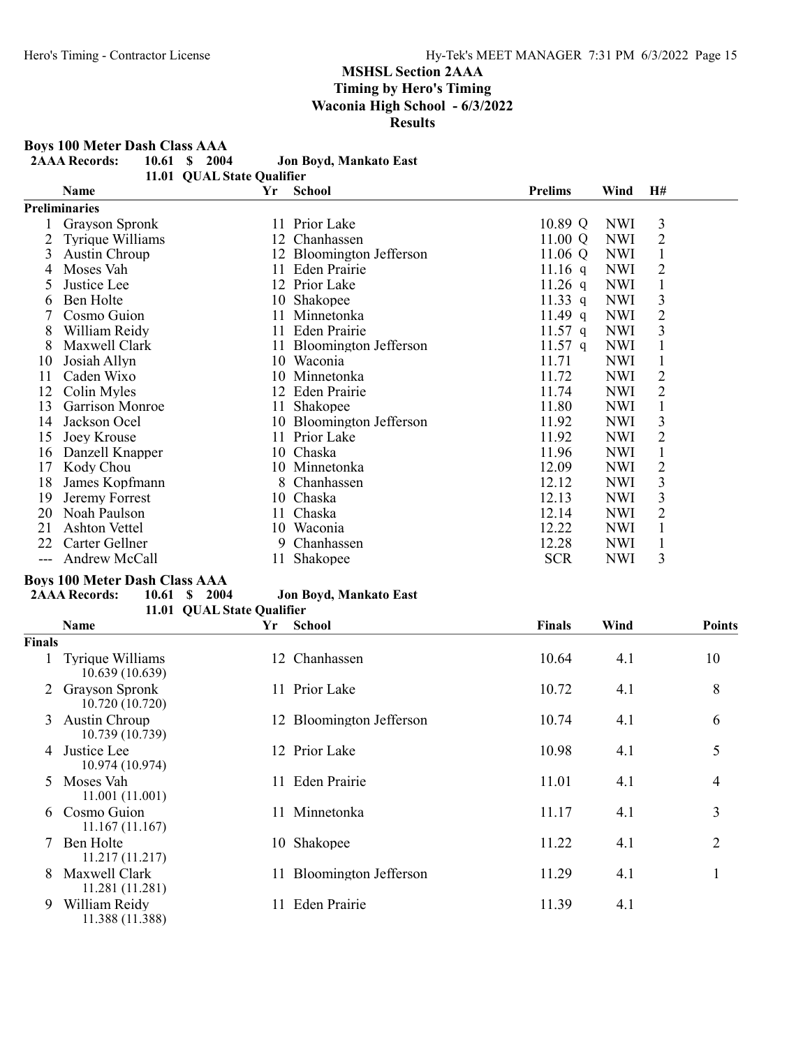Boys 100 Meter Dash Class AAA<br>2AAA Records: 10.61 \$2004

| <b>2AAA Records:</b> | 10.61 \$ 2004 |  | Jon Boyd, Mankato East |
|----------------------|---------------|--|------------------------|
|                      |               |  |                        |

11.01 QUAL State Qualifier Name  $Yr$  School Prelims Wind H#

|               | <b>Preliminaries</b> |    |                          |            |            |                |  |
|---------------|----------------------|----|--------------------------|------------|------------|----------------|--|
|               | Grayson Spronk       |    | 11 Prior Lake            | 10.89 Q    | <b>NWI</b> | 3              |  |
|               | Tyrique Williams     |    | 12 Chanhassen            | 11.00 Q    | <b>NWI</b> | $\overline{2}$ |  |
| 3             | Austin Chroup        |    | 12 Bloomington Jefferson | 11.06 Q    | <b>NWI</b> |                |  |
| 4             | Moses Vah            |    | 11 Eden Prairie          | 11.16 q    | <b>NWI</b> | $\overline{2}$ |  |
| $\mathcal{D}$ | Justice Lee          | 12 | Prior Lake               | 11.26 q    | <b>NWI</b> |                |  |
| 6             | Ben Holte            |    | 10 Shakopee              | 11.33 q    | <b>NWI</b> | 3              |  |
|               | Cosmo Guion          | 11 | Minnetonka               | $11.49$ q  | <b>NWI</b> | $\overline{2}$ |  |
| 8             | William Reidy        |    | 11 Eden Prairie          | 11.57 q    | <b>NWI</b> | 3              |  |
| 8             | Maxwell Clark        |    | Bloomington Jefferson    | 11.57 q    | <b>NWI</b> |                |  |
| 10            | Josiah Allyn         |    | 10 Waconia               | 11.71      | <b>NWI</b> |                |  |
| 11            | Caden Wixo           |    | 10 Minnetonka            | 11.72      | <b>NWI</b> | 2              |  |
| 12            | Colin Myles          |    | 12 Eden Prairie          | 11.74      | <b>NWI</b> | $\overline{2}$ |  |
| 13            | Garrison Monroe      | 11 | Shakopee                 | 11.80      | <b>NWI</b> |                |  |
| 14            | Jackson Ocel         |    | 10 Bloomington Jefferson | 11.92      | <b>NWI</b> | 3              |  |
| 15            | Joey Krouse          |    | 11 Prior Lake            | 11.92      | <b>NWI</b> | 2              |  |
| 16            | Danzell Knapper      |    | 10 Chaska                | 11.96      | <b>NWI</b> |                |  |
| 17            | Kody Chou            |    | 10 Minnetonka            | 12.09      | <b>NWI</b> | $\overline{2}$ |  |
| 18            | James Kopfmann       |    | 8 Chanhassen             | 12.12      | <b>NWI</b> | 3              |  |
| 19            | Jeremy Forrest       |    | 10 Chaska                | 12.13      | <b>NWI</b> | 3              |  |
| 20            | Noah Paulson         |    | 11 Chaska                | 12.14      | <b>NWI</b> | $\overline{2}$ |  |
| 21            | Ashton Vettel        |    | 10 Waconia               | 12.22      | <b>NWI</b> |                |  |
| 22            | Carter Gellner       | 9  | Chanhassen               | 12.28      | <b>NWI</b> |                |  |
|               | Andrew McCall        | 11 | Shakopee                 | <b>SCR</b> | <b>NWI</b> | 3              |  |

# Boys 100 Meter Dash Class AAA

| <b>2AAA Records:</b> |  | 10.61 \$ 2004 | Jon Boyd, Mankato East     |
|----------------------|--|---------------|----------------------------|
|                      |  |               | 11.01 OUAL State Oualifier |

|               | Name                                       | Yr | School                   | <b>Finals</b> | Wind | <b>Points</b>  |
|---------------|--------------------------------------------|----|--------------------------|---------------|------|----------------|
| <b>Finals</b> |                                            |    |                          |               |      |                |
|               | <b>Tyrique Williams</b><br>10.639 (10.639) |    | 12 Chanhassen            | 10.64         | 4.1  | 10             |
|               | <b>Grayson Spronk</b><br>10.720 (10.720)   |    | 11 Prior Lake            | 10.72         | 4.1  | 8              |
| 3             | Austin Chroup<br>10.739 (10.739)           |    | 12 Bloomington Jefferson | 10.74         | 4.1  | 6              |
| 4             | Justice Lee<br>10.974 (10.974)             |    | 12 Prior Lake            | 10.98         | 4.1  | 5              |
| 5             | Moses Vah<br>11.001(11.001)                |    | 11 Eden Prairie          | 11.01         | 4.1  | 4              |
| 6             | Cosmo Guion<br>11.167(11.167)              |    | 11 Minnetonka            | 11.17         | 4.1  | 3              |
|               | Ben Holte<br>11.217(11.217)                | 10 | Shakopee                 | 11.22         | 4.1  | $\overline{2}$ |
| 8             | Maxwell Clark<br>11.281 (11.281)           |    | 11 Bloomington Jefferson | 11.29         | 4.1  |                |
| 9             | William Reidy<br>11.388 (11.388)           | 11 | Eden Prairie             | 11.39         | 4.1  |                |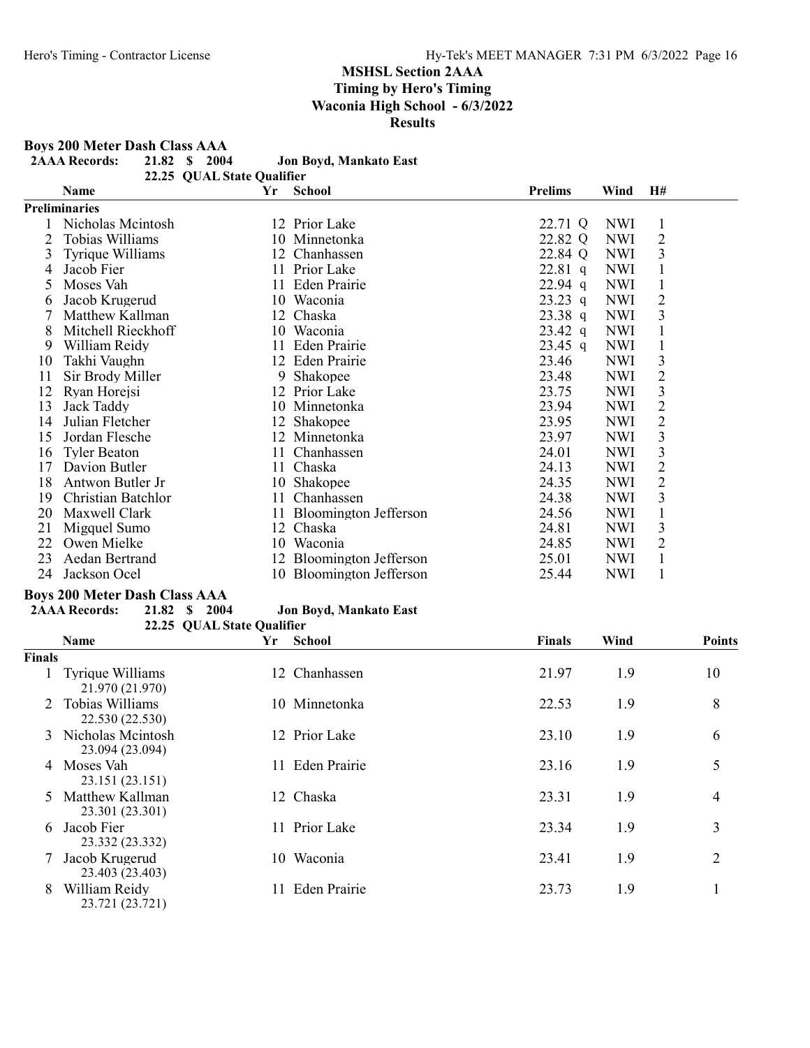Boys 200 Meter Dash Class AAA<br>2AAA Records: 21.82 \$2004

| <b>2AAA Records:</b> | 21.82 \$ 2004 |  | Jon Boyd, Mankato East |
|----------------------|---------------|--|------------------------|

|          | 22.25 QUAL State Qualifier |                |      |      |
|----------|----------------------------|----------------|------|------|
| Name     | Yr School                  | <b>Prelims</b> | Wind | - H# |
| $\cdots$ |                            |                |      |      |

|    | <b>Preliminaries</b> |    |                          |           |            |                |
|----|----------------------|----|--------------------------|-----------|------------|----------------|
|    | Nicholas Mcintosh    |    | 12 Prior Lake            | 22.71 Q   | <b>NWI</b> | 1              |
| 2  | Tobias Williams      |    | 10 Minnetonka            | 22.82 Q   | <b>NWI</b> | 2              |
| 3  | Tyrique Williams     |    | 12 Chanhassen            | 22.84 Q   | <b>NWI</b> | 3              |
| 4  | Jacob Fier           |    | 11 Prior Lake            | $22.81$ q | <b>NWI</b> |                |
| 5  | Moses Vah            |    | 11 Eden Prairie          | $22.94$ q | <b>NWI</b> |                |
| 6  | Jacob Krugerud       |    | 10 Waconia               | $23.23$ q | <b>NWI</b> | 2              |
|    | Matthew Kallman      |    | 12 Chaska                | $23.38$ q | <b>NWI</b> | $\overline{3}$ |
| 8  | Mitchell Rieckhoff   |    | 10 Waconia               | $23.42$ q | <b>NWI</b> |                |
| 9  | William Reidy        |    | 11 Eden Prairie          | $23.45$ q | <b>NWI</b> |                |
| 10 | Takhi Vaughn         |    | 12 Eden Prairie          | 23.46     | <b>NWI</b> | 3              |
| 11 | Sir Brody Miller     | 9  | Shakopee                 | 23.48     | <b>NWI</b> | 2              |
| 12 | Ryan Horejsi         |    | 12 Prior Lake            | 23.75     | <b>NWI</b> | 3              |
| 13 | Jack Taddy           |    | 10 Minnetonka            | 23.94     | NWI        | 2              |
| 14 | Julian Fletcher      |    | 12 Shakopee              | 23.95     | <b>NWI</b> | 2              |
| 15 | Jordan Flesche       |    | 12 Minnetonka            | 23.97     | <b>NWI</b> | 3              |
| 16 | <b>Tyler Beaton</b>  |    | 11 Chanhassen            | 24.01     | <b>NWI</b> | 3              |
| 17 | Davion Butler        |    | 11 Chaska                | 24.13     | NWI        | 2              |
| 18 | Antwon Butler Jr     |    | 10 Shakopee              | 24.35     | NWI        | 2              |
| 19 | Christian Batchlor   | 11 | Chanhassen               | 24.38     | NWI        | 3              |
| 20 | Maxwell Clark        |    | 11 Bloomington Jefferson | 24.56     | <b>NWI</b> |                |
| 21 | Migquel Sumo         |    | 12 Chaska                | 24.81     | <b>NWI</b> | 3              |
| 22 | Owen Mielke          |    | 10 Waconia               | 24.85     | NWI        | 2              |
| 23 | Aedan Bertrand       |    | 12 Bloomington Jefferson | 25.01     | <b>NWI</b> |                |
| 24 | Jackson Ocel         |    | 10 Bloomington Jefferson | 25.44     | <b>NWI</b> |                |

# Boys 200 Meter Dash Class AAA<br>2AAA Records: 21.82 \$2004

#### Jon Boyd, Mankato East 22.25 QUAL State Qualifier

|               | 22.23 QUALISTATE QUALIFIEI                |    |                     |               |      |               |
|---------------|-------------------------------------------|----|---------------------|---------------|------|---------------|
|               | <b>Name</b>                               | Yr | School              | <b>Finals</b> | Wind | <b>Points</b> |
| Finals        |                                           |    |                     |               |      |               |
|               | Tyrique Williams<br>21.970 (21.970)       |    | 12 Chanhassen       | 21.97         | 1.9  | 10            |
| $\mathcal{L}$ | Tobias Williams<br>22.530 (22.530)        |    | 10 Minnetonka       | 22.53         | 1.9  | 8             |
|               | 3 Nicholas Meintosh<br>23.094 (23.094)    |    | 12 Prior Lake       | 23.10         | 1.9  | 6             |
| 4             | Moses Vah<br>23.151 (23.151)              | 11 | <b>Eden Prairie</b> | 23.16         | 1.9  | 5             |
| 5.            | <b>Matthew Kallman</b><br>23.301 (23.301) |    | 12 Chaska           | 23.31         | 1.9  | 4             |
| 6             | Jacob Fier<br>23.332 (23.332)             |    | 11 Prior Lake       | 23.34         | 1.9  | 3             |
|               | Jacob Krugerud<br>23.403 (23.403)         |    | 10 Waconia          | 23.41         | 1.9  | 2             |
| 8             | William Reidy<br>23.721 (23.721)          | 11 | <b>Eden Prairie</b> | 23.73         | 1.9  |               |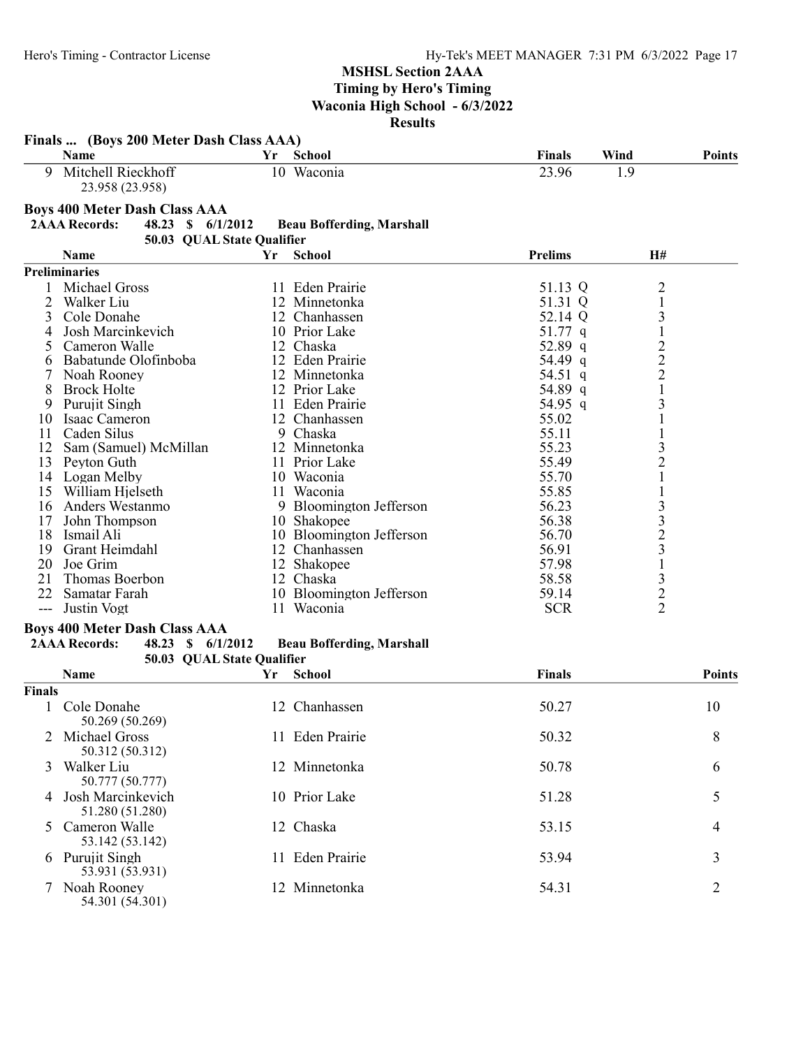|               | Finals  (Boys 200 Meter Dash Class AAA)   |                            |                                  |                    |                   |               |
|---------------|-------------------------------------------|----------------------------|----------------------------------|--------------------|-------------------|---------------|
|               | Name                                      | Yr                         | <b>School</b>                    | <b>Finals</b>      | Wind              | <b>Points</b> |
| 9             | Mitchell Rieckhoff<br>23.958 (23.958)     |                            | 10 Waconia                       | 23.96              | 1.9               |               |
|               | <b>Boys 400 Meter Dash Class AAA</b>      |                            |                                  |                    |                   |               |
|               | <b>2AAA Records:</b><br>48.23 \$ 6/1/2012 |                            | <b>Beau Bofferding, Marshall</b> |                    |                   |               |
|               |                                           | 50.03 QUAL State Qualifier |                                  |                    |                   |               |
|               | Name                                      | Yr                         | <b>School</b>                    | <b>Prelims</b>     | H#                |               |
|               | <b>Preliminaries</b>                      |                            |                                  |                    |                   |               |
|               | Michael Gross                             |                            | 11 Eden Prairie                  |                    |                   |               |
|               |                                           |                            |                                  | 51.13 Q            | $\overline{c}$    |               |
| 2             | Walker Liu                                |                            | 12 Minnetonka                    | 51.31 Q<br>52.14 Q | $\mathbf 1$       |               |
| 3<br>4        | Cole Donahe<br>Josh Marcinkevich          |                            | 12 Chanhassen<br>10 Prior Lake   | $51.77$ q          | 3<br>$\mathbf{1}$ |               |
|               | Cameron Walle                             |                            | 12 Chaska                        |                    |                   |               |
| 5             |                                           |                            |                                  | 52.89 q            | $\frac{2}{2}$     |               |
| 6             | Babatunde Olofinboba                      |                            | 12 Eden Prairie                  | 54.49 q            |                   |               |
|               | Noah Rooney                               |                            | 12 Minnetonka                    | 54.51 q            | $\mathbf{1}$      |               |
| 8             | <b>Brock Holte</b>                        |                            | 12 Prior Lake                    | 54.89 q            |                   |               |
| 9             | Purujit Singh                             |                            | 11 Eden Prairie                  | 54.95 q            | 3                 |               |
| 10            | Isaac Cameron                             |                            | 12 Chanhassen                    | 55.02              | $\mathbf{1}$      |               |
| 11            | Caden Silus                               |                            | 9 Chaska                         | 55.11<br>55.23     |                   |               |
| 12            | Sam (Samuel) McMillan                     |                            | 12 Minnetonka                    |                    | 3                 |               |
| 13            | Peyton Guth                               |                            | 11 Prior Lake                    | 55.49              | $\overline{c}$    |               |
|               | 14 Logan Melby                            |                            | 10 Waconia                       | 55.70              | $\mathbf{1}$      |               |
|               | 15 William Hjelseth                       |                            | 11 Waconia                       | 55.85              | $\mathbf 1$       |               |
|               | 16 Anders Westanmo                        |                            | 9 Bloomington Jefferson          | 56.23              |                   |               |
| 17            | John Thompson                             |                            | 10 Shakopee                      | 56.38              | 33231             |               |
| 18            | Ismail Ali                                |                            | 10 Bloomington Jefferson         | 56.70              |                   |               |
| 19            | Grant Heimdahl                            |                            | 12 Chanhassen                    | 56.91              |                   |               |
| 20            | Joe Grim                                  |                            | 12 Shakopee                      | 57.98              |                   |               |
| 21            | Thomas Boerbon                            |                            | 12 Chaska                        | 58.58              | 3                 |               |
| 22            | Samatar Farah                             |                            | 10 Bloomington Jefferson         | 59.14              | $\overline{c}$    |               |
| $---$         | Justin Vogt                               |                            | 11 Waconia                       | <b>SCR</b>         | $\overline{2}$    |               |
|               | <b>Boys 400 Meter Dash Class AAA</b>      |                            |                                  |                    |                   |               |
|               | <b>2AAA Records:</b><br>48.23 \$ 6/1/2012 |                            | <b>Beau Bofferding, Marshall</b> |                    |                   |               |
|               |                                           | 50.03 QUAL State Qualifier |                                  |                    |                   |               |
|               | Name                                      | Yr                         | <b>School</b>                    | <b>Finals</b>      |                   | <b>Points</b> |
| <b>Finals</b> |                                           |                            |                                  |                    |                   |               |
|               | Cole Donahe<br>50.269 (50.269)            |                            | 12 Chanhassen                    | 50.27              |                   | 10            |
|               | Michael Gross<br>50.312 (50.312)          |                            | 11 Eden Prairie                  | 50.32              |                   | 8             |
| 3             | Walker Liu<br>50.777 (50.777)             |                            | 12 Minnetonka                    | 50.78              |                   | 6             |
| 4             | Josh Marcinkevich<br>51.280 (51.280)      |                            | 10 Prior Lake                    | 51.28              |                   | 5             |
| 5.            | Cameron Walle<br>53.142 (53.142)          |                            | 12 Chaska                        | 53.15              |                   | 4             |
|               | 6 Purujit Singh<br>53.931 (53.931)        |                            | 11 Eden Prairie                  | 53.94              |                   | 3             |

7 Noah Rooney 12 Minnetonka 54.31 2 54.301 (54.301)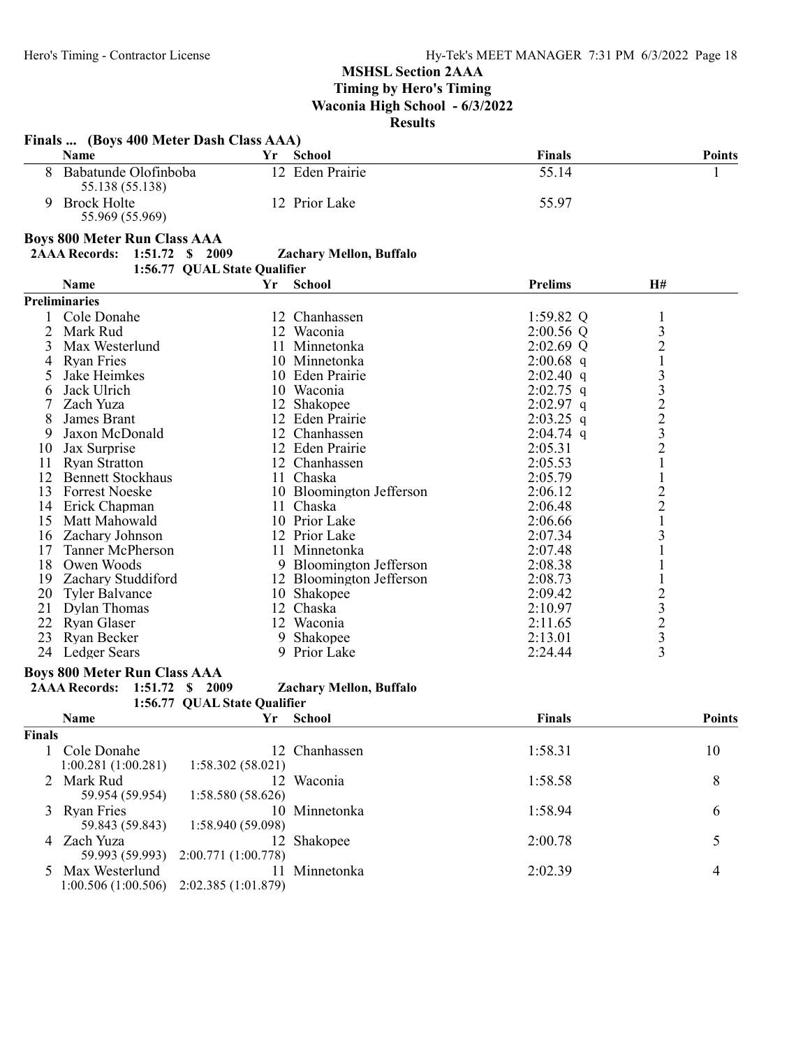## Finals ... (Boys 400 Meter Dash Class AAA) Name **Solution Community School** Points Points Points Points Points Points 8 Babatunde Olofinboba 12 Eden Prairie 55.14 1 55.138 (55.138) 9 Brock Holte 12 Prior Lake 55.97 55.969 (55.969) Boys 800 Meter Run Class AAA 2AAA Records: 1:51.72 \$ 2009 Zachary Mellon, Buffalo 1:56.77 QUAL State Qualifier Name **Name Report School Prelims** H# Preliminaries 1 Cole Donahe 12 Chanhassen 1:59.82 Q 1<br>
2 Mark Rud 12 Waconia 12 2:00.56 Q 3 2 Mark Rud 12 Waconia 2:00.56 Q 3 3 Max Westerlund 11 Minnetonka 2:02.69 Q 2<br>4 Ryan Fries 10 Minnetonka 2:00.68 q 1 4 Ryan Fries 10 Minnetonka 2:00.68 q 1<br>5 Jake Heimkes 10 Eden Prairie 2:02.40 q 3 5 Jake Heimkes 10 Eden Prairie 2:02.40 q 3<br>
6 Jack Ulrich 10 Waconia 2:02.75 q 3<br>
7 Zach Yuza 12 Shakopee 2:02.97 q 2 6 Jack Ulrich 10 Waconia 2:02.75 q<br>
2:02.97 q<br>
2:02.97 q 12 Shakopee 2:02.97 q 2<br>
8 James Brant 12 Eden Prairie 2:03.25 q 2 8 James Brant 12 Eden Prairie 2:03.25 q 2<br>
9 Jaxon McDonald 12 Chanhassen 2:04.74 q 3<br>
12 Eden Prairie 2:05.31 2 9 Jaxon McDonald 12 Chanhassen<br>
12 Eden Prairie 10 Jax Surprise 12 Eden Prairie 2:05.31 2<br>11 Ryan Stratton 12 Chanhassen 2:05.53 1 11 Ryan Stratton 12 Chanhassen 2:05.53 1<br>12 Bennett Stockhaus 11 Chaska 2:05.79 1 12 Bennett Stockhaus 11 Chaska 2:05.79 1<br>13 Forrest Noeske 10 Bloomington Jefferson 2:06.12 2 13 Forrest Noeske 10 Bloomington Jefferson 2:06.12 2<br>14 Erick Chapman 11 Chaska 2:06.48 2 14 Erick Chapman 11 Chaska 2:06.48 2<br>15 Matt Mahowald 10 Prior Lake 2:06.66 1 15 Matt Mahowald 10 Prior Lake 2:06.66 1<br>16 Zachary Johnson 12 Prior Lake 2:07.34 3 16 Zachary Johnson 12 Prior Lake 2:07.34 3<br>17 Tanner McPherson 11 Minnetonka 2:07.48 1 17 Tanner McPherson 11 Minnetonka 2:07.48 1<br>18 Owen Woods 9 Bloomington Jefferson 2:08.38 1 18 Owen Woods 9 Bloomington Jefferson 2:08.38<br>19 Zachary Studdiford 12 Bloomington Jefferson 2:08.73 19 Zachary Studdiford 12 Bloomington Jefferson 2:08.73 1<br>
20 Tyler Balvance 10 Shakopee 2:09.42 2 10 Shakopee 2:09.42 2<br>
2:09.42 2<br>
2:10.97 3<br>
2:10.97 3<br>
2:11.65 2 21 Dylan Thomas 12 Chaska 2:10.97<br>22 Ryan Glaser 12 Waconia 2:11.65 22 Ryan Glaser 12 Waconia 2:11.65 2<br>
23 Ryan Becker 9 Shakopee 2:13.01 3 23 Ryan Becker 9 Shakopee 2:13.01 3<br>24 Ledger Sears 9 Prior Lake 2:24.44 3 24 Ledger Sears 9 Prior Lake 2:24.44

#### Boys 800 Meter Run Class AAA

#### 2AAA Records: 1:51.72 \$ 2009 Zachary Mellon, Buffalo

1:56.77 QUAL State Qualifier Name **Solution Community School** Points Points Points Points Points Points

| Finals |                                   |                                                 |               |         |    |
|--------|-----------------------------------|-------------------------------------------------|---------------|---------|----|
|        | Cole Donahe<br>1:00.281(1:00.281) | 1:58.302(58.021)                                | 12 Chanhassen | 1:58.31 | 10 |
|        | 2 Mark Rud<br>59.954 (59.954)     | 1:58.580 (58.626)                               | 12 Waconia    | 1:58.58 | 8  |
|        | 3 Ryan Fries<br>59.843 (59.843)   | 1:58.940 (59.098)                               | 10 Minnetonka | 1:58.94 | 6  |
| 4      | Zach Yuza<br>59.993 (59.993)      | 2:00.771 (1:00.778)                             | 12 Shakopee   | 2:00.78 |    |
|        | 5 Max Westerlund                  | 11<br>$1:00.506(1:00.506)$ $2:02.385(1:01.879)$ | Minnetonka    | 2:02.39 |    |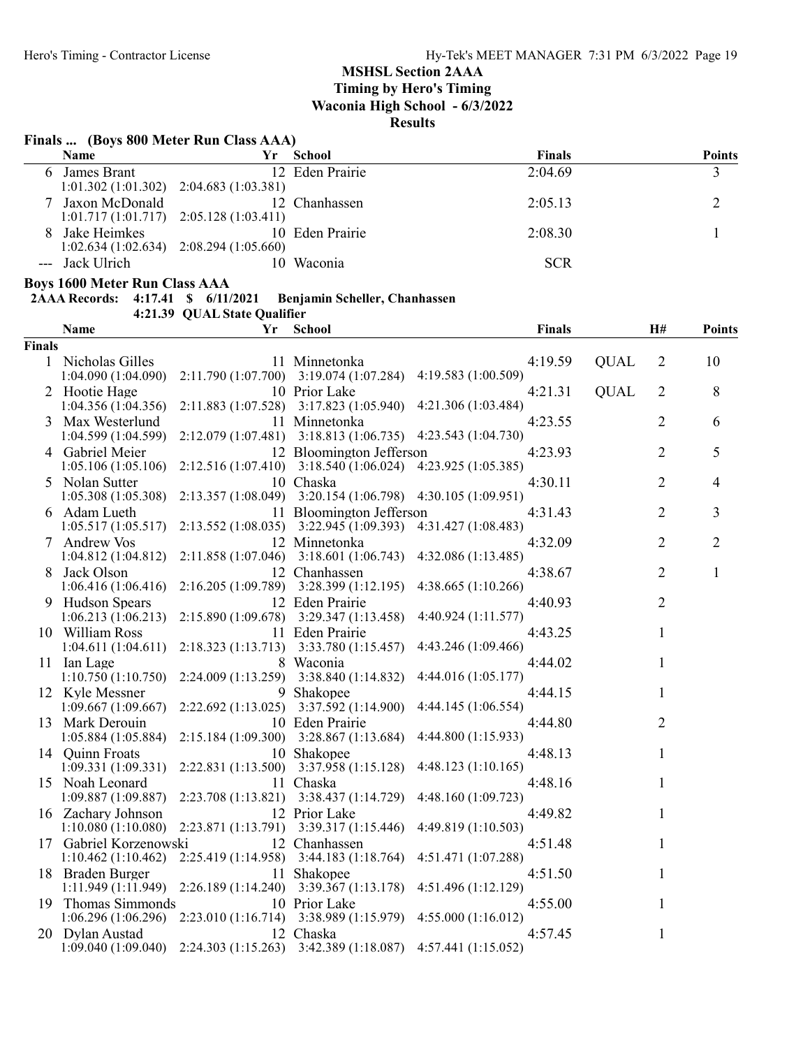Timing by Hero's Timing

Waconia High School - 6/3/2022

Results

# Finals ... (Boys 800 Meter Run Class AAA)

| Name             | Үr                                        | – School        | <b>Finals</b> | <b>Points</b> |
|------------------|-------------------------------------------|-----------------|---------------|---------------|
| 6 James Brant    |                                           | 12 Eden Prairie | 2:04.69       |               |
|                  | $1:01.302(1:01.302)$ $2:04.683(1:03.381)$ |                 |               |               |
| 7 Jaxon McDonald |                                           | 12 Chanhassen   | 2:05.13       |               |
|                  | $1:01.717(1:01.717)$ $2:05.128(1:03.411)$ |                 |               |               |
| 8 Jake Heimkes   |                                           | 10 Eden Prairie | 2:08.30       |               |
|                  | $1:02.634(1:02.634)$ $2:08.294(1:05.660)$ |                 |               |               |
| --- Jack Ulrich  |                                           | 10 Waconia      | <b>SCR</b>    |               |

Boys 1600 Meter Run Class AAA

2AAA Records: 4:17.41 \$ 6/11/2021 Benjamin Scheller, Chanhassen

4:21.39 QUAL State Qualifier

|        | Name                                         | Yr                  | <b>School</b>                                                       | <b>Finals</b>                  |             | H#             | <b>Points</b> |
|--------|----------------------------------------------|---------------------|---------------------------------------------------------------------|--------------------------------|-------------|----------------|---------------|
| Finals |                                              |                     |                                                                     |                                |             |                |               |
|        | 1 Nicholas Gilles<br>1:04.090(1:04.090)      |                     | 11 Minnetonka<br>$2:11.790(1:07.700)$ $3:19.074(1:07.284)$          | 4:19.59<br>4:19.583 (1:00.509) | <b>QUAL</b> | $\overline{2}$ | 10            |
|        | 2 Hootie Hage<br>1:04.356(1:04.356)          |                     | 10 Prior Lake<br>2:11.883 (1:07.528) 3:17.823 (1:05.940)            | 4:21.31<br>4:21.306 (1:03.484) | <b>QUAL</b> | 2              | 8             |
| 3.     | Max Westerlund<br>1:04.599(1:04.599)         | 2:12.079 (1:07.481) | 11 Minnetonka<br>3:18.813(1:06.735)                                 | 4:23.55<br>4:23.543 (1:04.730) |             | 2              | 6             |
|        | 4 Gabriel Meier<br>1:05.106(1:05.106)        |                     | 12 Bloomington Jefferson<br>2:12.516 (1:07.410) 3:18.540 (1:06.024) | 4:23.93<br>4:23.925 (1:05.385) |             | 2              | 5             |
|        | 5 Nolan Sutter<br>1:05.308(1:05.308)         |                     | 10 Chaska<br>2:13.357 (1:08.049) 3:20.154 (1:06.798)                | 4:30.11<br>4:30.105 (1:09.951) |             | 2              | 4             |
|        | 6 Adam Lueth<br>1:05.517(1:05.517)           |                     | 11 Bloomington Jefferson<br>2:13.552 (1:08.035) 3:22.945 (1:09.393) | 4:31.43<br>4:31.427 (1:08.483) |             | $\overline{2}$ | 3             |
|        | 7 Andrew Vos<br>1:04.812(1:04.812)           |                     | 12 Minnetonka<br>2:11.858 (1:07.046) 3:18.601 (1:06.743)            | 4:32.09<br>4:32.086 (1:13.485) |             | 2              | 2             |
| 8.     | Jack Olson<br>1:06.416(1:06.416)             | 2:16.205 (1:09.789) | 12 Chanhassen<br>3:28.399(1:12.195)                                 | 4:38.67<br>4:38.665 (1:10.266) |             | 2              | $\mathbf{1}$  |
|        | 9 Hudson Spears<br>1:06.213(1:06.213)        | 2:15.890(1:09.678)  | 12 Eden Prairie<br>3:29.347 (1:13.458)                              | 4:40.93<br>4:40.924 (1:11.577) |             | $\overline{2}$ |               |
|        | 10 William Ross<br>1:04.611(1:04.611)        |                     | 11 Eden Prairie<br>2:18.323 (1:13.713) 3:33.780 (1:15.457)          | 4:43.25<br>4:43.246 (1:09.466) |             | 1              |               |
|        | 11 Ian Lage<br>1:10.750(1:10.750)            |                     | 8 Waconia<br>2:24.009 (1:13.259) 3:38.840 (1:14.832)                | 4:44.02<br>4:44.016 (1:05.177) |             | 1              |               |
|        | 12 Kyle Messner<br>1:09.667(1:09.667)        | 2:22.692(1:13.025)  | 9 Shakopee<br>3:37.592 (1:14.900)                                   | 4:44.15<br>4:44.145 (1:06.554) |             | 1              |               |
| 13     | Mark Derouin<br>1:05.884(1:05.884)           | 2:15.184(1:09.300)  | 10 Eden Prairie<br>3:28.867(1:13.684)                               | 4:44.80<br>4:44.800 (1:15.933) |             | 2              |               |
|        | 14 Quinn Froats<br>1:09.331(1:09.331)        |                     | 10 Shakopee<br>2:22.831 (1:13.500) 3:37.958 (1:15.128)              | 4:48.13<br>4:48.123(1:10.165)  |             | 1              |               |
|        | 15 Noah Leonard<br>1:09.887(1:09.887)        |                     | 11 Chaska<br>2:23.708 (1:13.821) 3:38.437 (1:14.729)                | 4:48.16<br>4:48.160 (1:09.723) |             | 1              |               |
|        | 16 Zachary Johnson<br>1:10.080(1:10.080)     |                     | 12 Prior Lake<br>2:23.871 (1:13.791) 3:39.317 (1:15.446)            | 4:49.82<br>4:49.819 (1:10.503) |             | 1              |               |
|        | 17 Gabriel Korzenowski<br>1:10.462(1:10.462) | 2:25.419(1:14.958)  | 12 Chanhassen<br>3:44.183(1:18.764)                                 | 4:51.48<br>4:51.471 (1:07.288) |             | 1              |               |
|        | 18 Braden Burger<br>1:11.949(1:11.949)       | 2:26.189(1:14.240)  | 11 Shakopee<br>3:39.367(1:13.178)                                   | 4:51.50<br>4:51.496 (1:12.129) |             | 1              |               |
| 19     | Thomas Simmonds<br>1:06.296(1:06.296)        |                     | 10 Prior Lake<br>2:23.010 (1:16.714) 3:38.989 (1:15.979)            | 4:55.00<br>4:55.000(1:16.012)  |             | 1              |               |
|        | 20 Dylan Austad<br>1:09.040(1:09.040)        |                     | 12 Chaska<br>2:24.303 (1:15.263) 3:42.389 (1:18.087)                | 4:57.45<br>4:57.441 (1:15.052) |             | 1              |               |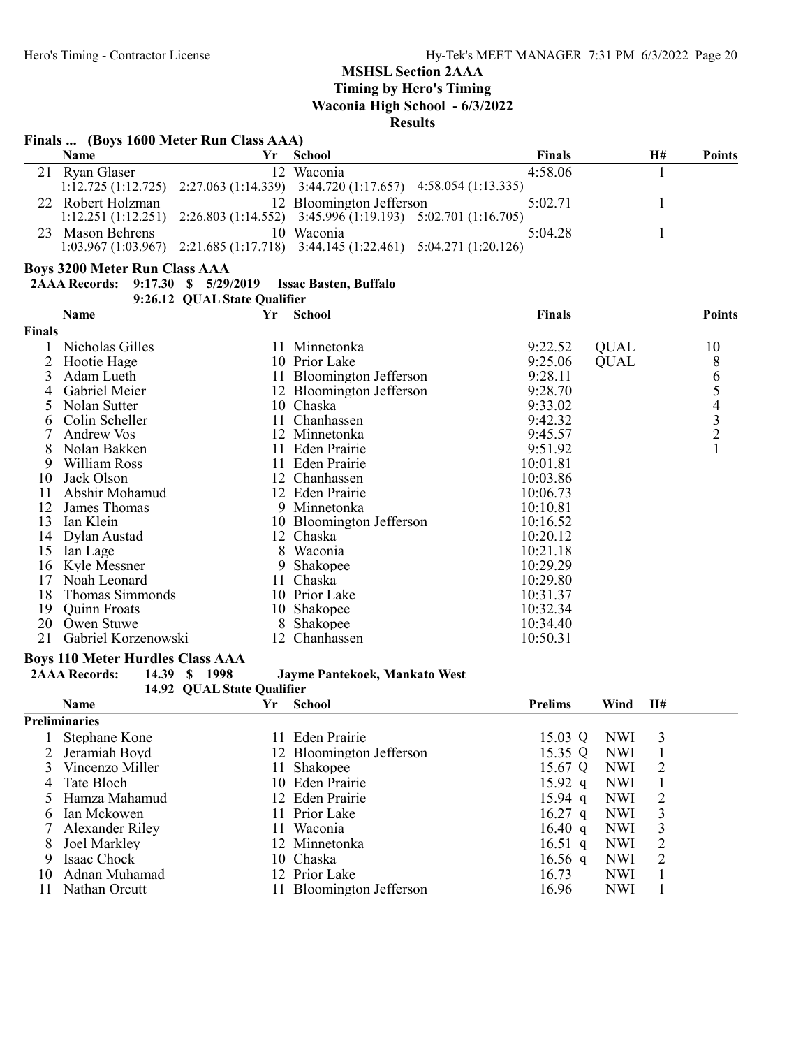Timing by Hero's Timing

Waconia High School - 6/3/2022

#### Results

# Finals ... (Boys 1600 Meter Run Class AAA)

|     | <b>Name</b>       | Yr | School                                                                                  | <b>Finals</b> | Н# | <b>Points</b> |
|-----|-------------------|----|-----------------------------------------------------------------------------------------|---------------|----|---------------|
|     | 21 Ryan Glaser    |    | 12 Waconia                                                                              | 4:58.06       |    |               |
|     |                   |    | $1:12.725 (1:12.725)$ $2:27.063 (1:14.339)$ $3:44.720 (1:17.657)$ $4:58.054 (1:13.335)$ |               |    |               |
|     | 22 Robert Holzman |    | 12 Bloomington Jefferson                                                                | 5:02.71       |    |               |
|     |                   |    | $1:12.251 (1:12.251)$ $2:26.803 (1:14.552)$ $3:45.996 (1:19.193)$ $5:02.701 (1:16.705)$ |               |    |               |
| 23. | Mason Behrens     |    | 10 Waconia                                                                              | 5:04.28       |    |               |
|     |                   |    | 1:03.967 (1:03.967) 2:21.685 (1:17.718) 3:44.145 (1:22.461) 5:04.271 (1:20.126)         |               |    |               |

### Boys 3200 Meter Run Class AAA

|  |  | 2AAA Records: 9:17.30 \$ 5/29/2019 Issac Basten, Buffalo |
|--|--|----------------------------------------------------------|
|  |  |                                                          |

9:26.12 QUAL State Qualifier

|        | Name                | Yr  | <b>School</b>            | <b>Finals</b> |             | <b>Points</b>  |
|--------|---------------------|-----|--------------------------|---------------|-------------|----------------|
| Finals |                     |     |                          |               |             |                |
|        | Nicholas Gilles     | 11  | Minnetonka               | 9:22.52       | <b>QUAL</b> | 10             |
|        | Hootie Hage         |     | 10 Prior Lake            | 9:25.06       | <b>QUAL</b> | 8              |
| 3      | Adam Lueth          |     | 11 Bloomington Jefferson | 9:28.11       |             | 6              |
|        | Gabriel Meier       |     | 12 Bloomington Jefferson | 9:28.70       |             | 5              |
| 5      | Nolan Sutter        |     | 10 Chaska                | 9:33.02       |             | 4              |
| 6      | Colin Scheller      | 11  | Chanhassen               | 9:42.32       |             | 3              |
|        | Andrew Vos          |     | 12 Minnetonka            | 9:45.57       |             | $\overline{c}$ |
| 8      | Nolan Bakken        |     | 11 Eden Prairie          | 9:51.92       |             |                |
| 9      | William Ross        | 11  | Eden Prairie             | 10:01.81      |             |                |
| 10     | Jack Olson          |     | 12 Chanhassen            | 10:03.86      |             |                |
| 11     | Abshir Mohamud      |     | 12 Eden Prairie          | 10:06.73      |             |                |
| 12     | James Thomas        | 9.  | Minnetonka               | 10:10.81      |             |                |
| 13     | Ian Klein           |     | 10 Bloomington Jefferson | 10:16.52      |             |                |
| 14     | Dylan Austad        | 12  | Chaska                   | 10:20.12      |             |                |
| 15     | Ian Lage            | 8   | Waconia                  | 10:21.18      |             |                |
| 16     | Kyle Messner        | 9   | Shakopee                 | 10:29.29      |             |                |
| 17     | Noah Leonard        | 11  | Chaska                   | 10:29.80      |             |                |
| 18     | Thomas Simmonds     |     | 10 Prior Lake            | 10:31.37      |             |                |
| 19     | <b>Quinn Froats</b> | 10  | Shakopee                 | 10:32.34      |             |                |
| 20     | Owen Stuwe          |     | Shakopee                 | 10:34.40      |             |                |
| 21     | Gabriel Korzenowski | 12. | Chanhassen               | 10:50.31      |             |                |

### Boys 110 Meter Hurdles Class AAA

| <b>2AAA Records:</b> | 14.39 \$ 1998 |  |  | Jayme Pantekoek, Mankato West |
|----------------------|---------------|--|--|-------------------------------|
|----------------------|---------------|--|--|-------------------------------|

14.92 QUAL State Qualifier

|    | <b>Name</b>     | Yr | <b>School</b>            | <b>Prelims</b>    | Wind       | H# |  |
|----|-----------------|----|--------------------------|-------------------|------------|----|--|
|    | Preliminaries   |    |                          |                   |            |    |  |
|    | Stephane Kone   |    | 11 Eden Prairie          | 15.03 Q           | NWI        | 3  |  |
|    | Jeramiah Boyd   |    | 12 Bloomington Jefferson | 15.35 Q           | <b>NWI</b> |    |  |
|    | Vincenzo Miller |    | Shakopee                 | 15.67 Q           | <b>NWI</b> |    |  |
| 4  | Tate Bloch      |    | 10 Eden Prairie          | $15.92$ q         | <b>NWI</b> |    |  |
|    | Hamza Mahamud   |    | 12 Eden Prairie          | $15.94$ q         | <b>NWI</b> | 2  |  |
| h  | Ian Mckowen     |    | 11 Prior Lake            | $16.27$ q         | <b>NWI</b> | 3  |  |
|    | Alexander Riley | П  | Waconia                  | $16.40 \text{ q}$ | <b>NWI</b> | 3  |  |
| 8  | Joel Markley    |    | 12 Minnetonka            | $16.51$ q         | <b>NWI</b> | 2  |  |
| 9  | Isaac Chock     |    | 10 Chaska                | 16.56 q           | <b>NWI</b> | 2  |  |
| 10 | Adnan Muhamad   |    | 12 Prior Lake            | 16.73             | <b>NWI</b> |    |  |
|    | Nathan Orcutt   |    | Bloomington Jefferson    | 16.96             | <b>NWI</b> |    |  |
|    |                 |    |                          |                   |            |    |  |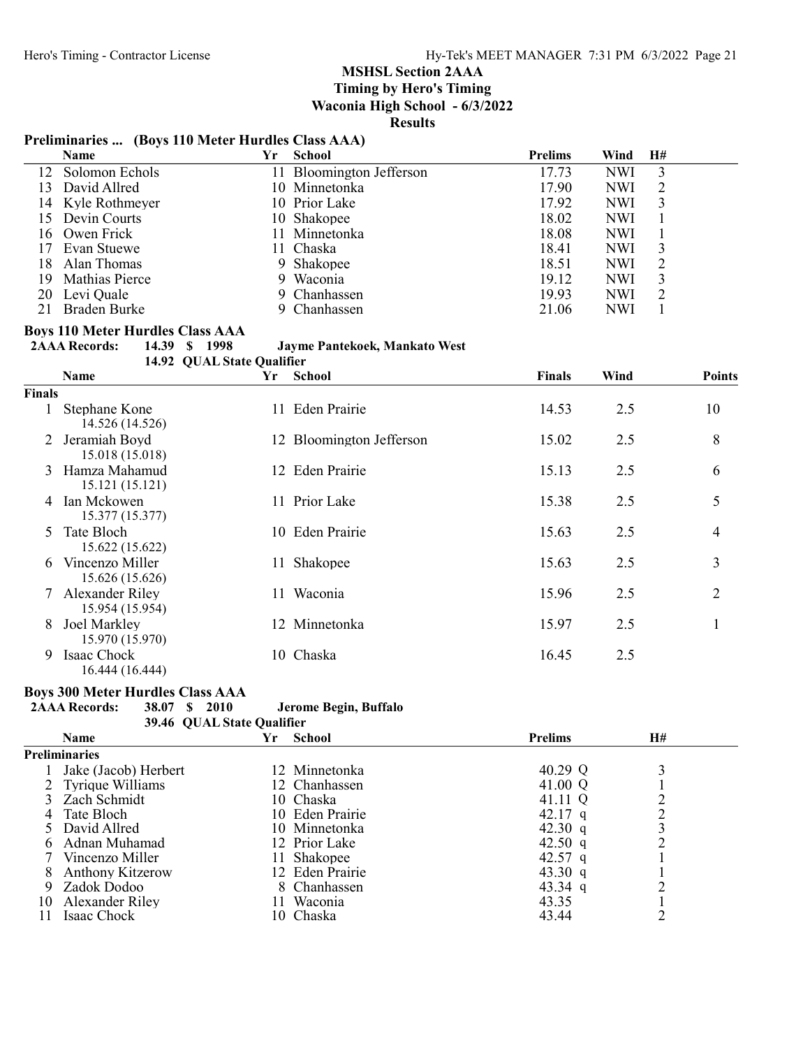Timing by Hero's Timing Waconia High School - 6/3/2022

# Results

# Preliminaries ... (Boys 110 Meter Hurdles Class AAA)

|     | Name              | Yr | <b>School</b>            | <b>Prelims</b> | Wind       | H# |  |
|-----|-------------------|----|--------------------------|----------------|------------|----|--|
| 12. | Solomon Echols    |    | 11 Bloomington Jefferson | 17.73          | <b>NWI</b> |    |  |
| 13  | David Allred      |    | 10 Minnetonka            | 17.90          | <b>NWI</b> |    |  |
|     | 14 Kyle Rothmeyer |    | 10 Prior Lake            | 17.92          | <b>NWI</b> |    |  |
| 15. | Devin Courts      |    | 10 Shakopee              | 18.02          | <b>NWI</b> |    |  |
|     | 16 Owen Frick     |    | 11 Minnetonka            | 18.08          | <b>NWI</b> |    |  |
| 17  | Evan Stuewe       |    | 11 Chaska                | 18.41          | <b>NWI</b> |    |  |
| 18  | Alan Thomas       |    | 9 Shakopee               | 18.51          | <b>NWI</b> |    |  |
| 19. | Mathias Pierce    |    | 9 Waconia                | 19.12          | <b>NWI</b> |    |  |
| 20  | Levi Quale        |    | 9 Chanhassen             | 19.93          | <b>NWI</b> |    |  |
| 21  | Braden Burke      |    | 9 Chanhassen             | 21.06          | <b>NWI</b> |    |  |

# **Boys 110 Meter Hurdles Class AAA<br>2AAA Records:** 14.39 \$ 1998

# Jayme Pantekoek, Mankato West

14.92 QUAL State Qualifier

|               | Name                                 | Yr | <b>School</b>            | Finals | Wind | <b>Points</b> |
|---------------|--------------------------------------|----|--------------------------|--------|------|---------------|
| <b>Finals</b> |                                      |    |                          |        |      |               |
|               | Stephane Kone<br>14.526 (14.526)     |    | 11 Eden Prairie          | 14.53  | 2.5  | 10            |
| 2             | Jeramiah Boyd<br>15.018 (15.018)     |    | 12 Bloomington Jefferson | 15.02  | 2.5  | 8             |
|               | 3 Hamza Mahamud<br>15.121 (15.121)   |    | 12 Eden Prairie          | 15.13  | 2.5  | 6             |
|               | 4 Ian Mckowen<br>15.377 (15.377)     |    | 11 Prior Lake            | 15.38  | 2.5  | 5             |
| $\sim$        | Tate Bloch<br>15.622 (15.622)        |    | 10 Eden Prairie          | 15.63  | 2.5  | 4             |
| 6             | Vincenzo Miller<br>15.626 (15.626)   | 11 | Shakopee                 | 15.63  | 2.5  | 3             |
|               | 7 Alexander Riley<br>15.954 (15.954) | 11 | Waconia                  | 15.96  | 2.5  | 2             |
| 8             | Joel Markley<br>15.970 (15.970)      |    | 12 Minnetonka            | 15.97  | 2.5  | 1             |
| 9             | Isaac Chock<br>16.444 (16.444)       | 10 | Chaska                   | 16.45  | 2.5  |               |

# Boys 300 Meter Hurdles Class AAA

2AAA Records: 38.07 \$ 2010 Jerome Begin, Buffalo

| 39.46 QUAL State Qualifier |  |
|----------------------------|--|
|                            |  |

|    | <b>Name</b>             | Yr | <b>School</b>   | <b>Prelims</b> | <b>H#</b> |
|----|-------------------------|----|-----------------|----------------|-----------|
|    | <b>Preliminaries</b>    |    |                 |                |           |
|    | Jake (Jacob) Herbert    |    | 12 Minnetonka   | 40.29 Q        |           |
|    | Tyrique Williams        |    | 12 Chanhassen   | 41.00 Q        |           |
|    | Zach Schmidt            |    | 10 Chaska       | 41.11 Q        |           |
| 4  | Tate Bloch              |    | 10 Eden Prairie | 42.17 q        |           |
|    | David Allred            |    | 10 Minnetonka   | 42.30 q        |           |
|    | Adnan Muhamad           |    | 12 Prior Lake   | 42.50 q        |           |
|    | Vincenzo Miller         |    | 11 Shakopee     | 42.57 q        |           |
|    | <b>Anthony Kitzerow</b> |    | 12 Eden Prairie | 43.30 q        |           |
| 9  | Zadok Dodoo             |    | 8 Chanhassen    | 43.34 q        |           |
| 10 | Alexander Riley         | Ħ  | Waconia         | 43.35          |           |
|    | Isaac Chock             |    | 10 Chaska       | 43.44          |           |
|    |                         |    |                 |                |           |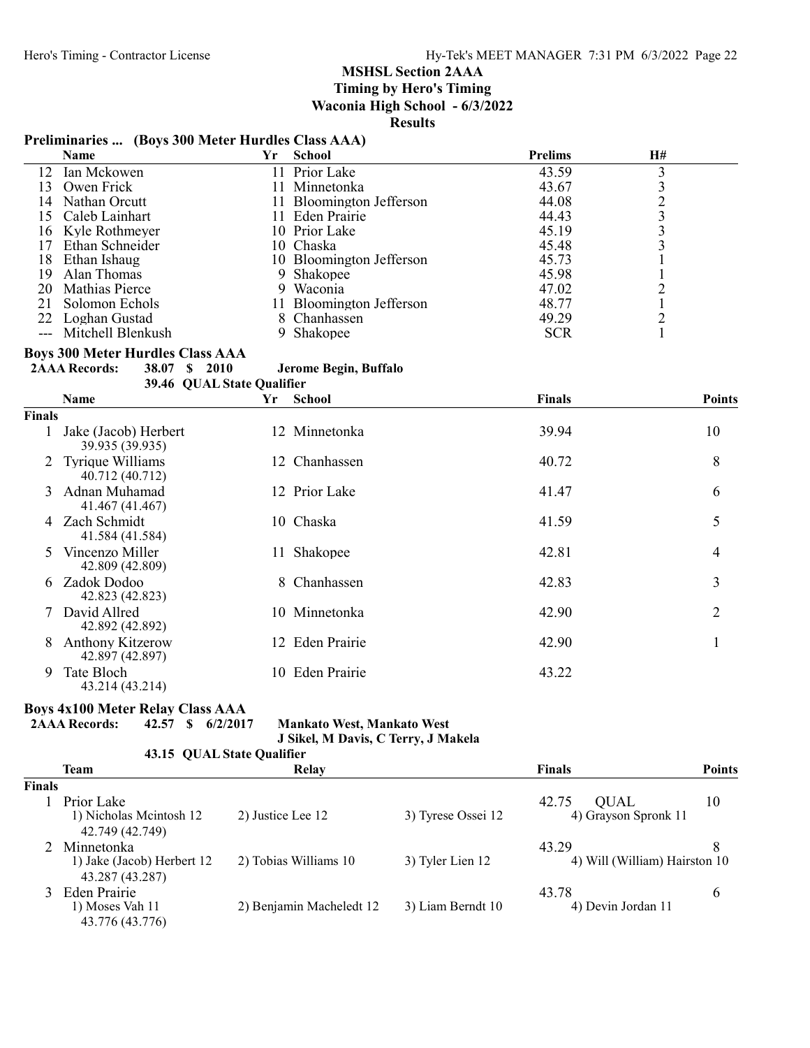Timing by Hero's Timing

Waconia High School - 6/3/2022

Results

# Preliminaries ... (Boys 300 Meter Hurdles Class AAA)

|     | Name                  | Yr | <b>School</b>            | <b>Prelims</b> | H# |  |
|-----|-----------------------|----|--------------------------|----------------|----|--|
|     | 12 Ian Mckowen        |    | 11 Prior Lake            | 43.59          |    |  |
|     | 13 Owen Frick         |    | 11 Minnetonka            | 43.67          |    |  |
|     | 14 Nathan Orcutt      |    | 11 Bloomington Jefferson | 44.08          |    |  |
|     | 15 Caleb Lainhart     |    | 11 Eden Prairie          | 44.43          |    |  |
|     | 16 Kyle Rothmeyer     |    | 10 Prior Lake            | 45.19          |    |  |
|     | 17 Ethan Schneider    |    | 10 Chaska                | 45.48          |    |  |
|     | 18 Ethan Ishaug       |    | 10 Bloomington Jefferson | 45.73          |    |  |
| 19. | Alan Thomas           |    | 9 Shakopee               | 45.98          |    |  |
|     | 20 Mathias Pierce     |    | 9 Waconia                | 47.02          |    |  |
|     | 21 Solomon Echols     |    | 11 Bloomington Jefferson | 48.77          |    |  |
|     | 22 Loghan Gustad      |    | 8 Chanhassen             | 49.29          |    |  |
|     | --- Mitchell Blenkush |    | 9 Shakopee               | <b>SCR</b>     |    |  |

# Boys 300 Meter Hurdles Class AAA<br>2AAA Records: 38.07 \$2010

| 38.07 \$ 2010 |                      |  |                       |
|---------------|----------------------|--|-----------------------|
|               | <b>2AAA Records:</b> |  | Jerome Begin, Buffalo |

39.46 QUAL State Qualifier

|               | Name                                       | Yr | <b>School</b> | <b>Finals</b> | <b>Points</b>  |
|---------------|--------------------------------------------|----|---------------|---------------|----------------|
| <b>Finals</b> |                                            |    |               |               |                |
|               | Jake (Jacob) Herbert<br>39.935 (39.935)    |    | 12 Minnetonka | 39.94         | 10             |
|               | 2 Tyrique Williams<br>40.712 (40.712)      |    | 12 Chanhassen | 40.72         | 8              |
| 3             | Adnan Muhamad<br>41.467 (41.467)           |    | 12 Prior Lake | 41.47         | 6              |
| 4             | Zach Schmidt<br>41.584 (41.584)            |    | 10 Chaska     | 41.59         | 5              |
| 5.            | Vincenzo Miller<br>42.809 (42.809)         | 11 | Shakopee      | 42.81         | 4              |
| 6             | Zadok Dodoo<br>42.823 (42.823)             |    | 8 Chanhassen  | 42.83         | 3              |
|               | David Allred<br>42.892 (42.892)            |    | 10 Minnetonka | 42.90         | $\overline{2}$ |
| 8             | <b>Anthony Kitzerow</b><br>42.897 (42.897) | 12 | Eden Prairie  | 42.90         |                |
| 9             | Tate Bloch<br>43.214 (43.214)              | 10 | Eden Prairie  | 43.22         |                |

# Boys 4x100 Meter Relay Class AAA

2AAA Records: 42.57 \$ 6/2/2017 Mankato West, Mankato West J Sikel, M Davis, C Terry, J Makela

43.15 QUAL State Qualifier

|               | Team                                                          | Relay                    |                    | Finals                                       | <b>Points</b> |
|---------------|---------------------------------------------------------------|--------------------------|--------------------|----------------------------------------------|---------------|
| <b>Finals</b> |                                                               |                          |                    |                                              |               |
|               | Prior Lake<br>1) Nicholas Meintosh 12<br>42.749 (42.749)      | 2) Justice Lee 12        | 3) Tyrese Ossei 12 | 42.75<br><b>OUAL</b><br>4) Grayson Spronk 11 | 10            |
|               | 2 Minnetonka<br>1) Jake (Jacob) Herbert 12<br>43.287 (43.287) | 2) Tobias Williams 10    | 3) Tyler Lien 12   | 43.29<br>4) Will (William) Hairston 10       |               |
|               | 3 Eden Prairie<br>1) Moses Vah 11<br>43.776 (43.776)          | 2) Benjamin Macheledt 12 | 3) Liam Berndt 10  | 43.78<br>4) Devin Jordan 11                  | 6             |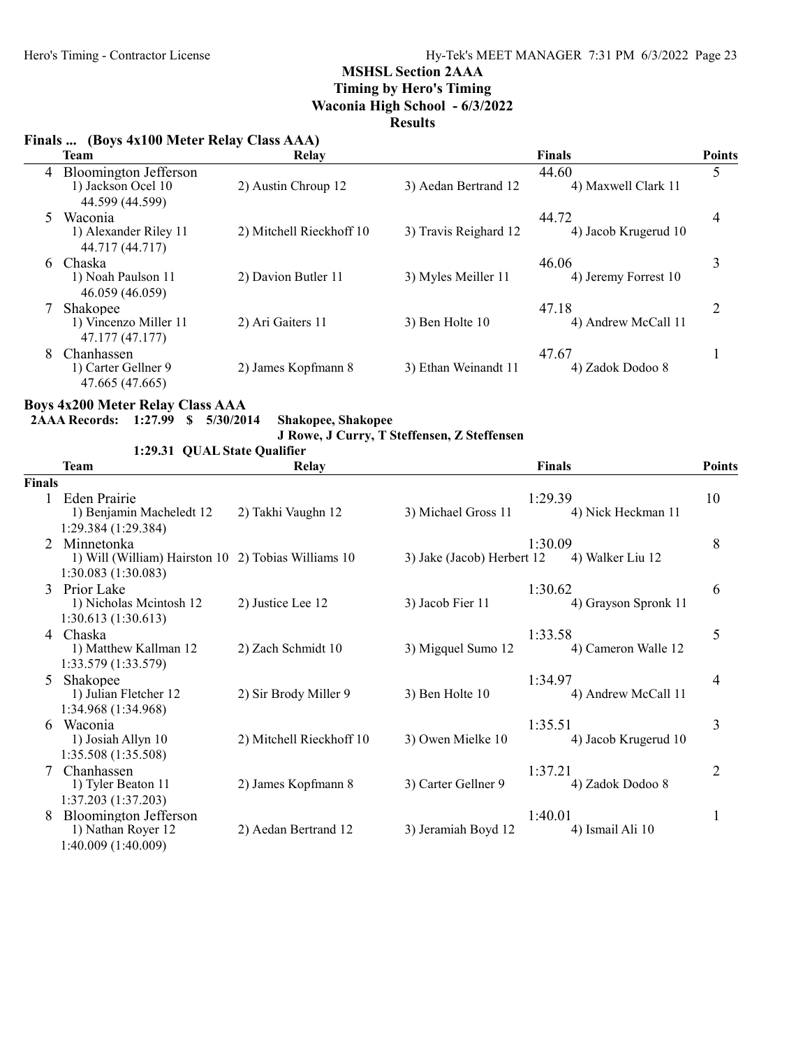# Timing by Hero's Timing

Waconia High School - 6/3/2022

# Results

# Finals ... (Boys 4x100 Meter Relay Class AAA)

|   | <b>Team</b>                                                      | Relay                    |                       | <b>Finals</b>                 | <b>Points</b> |
|---|------------------------------------------------------------------|--------------------------|-----------------------|-------------------------------|---------------|
|   | 4 Bloomington Jefferson<br>1) Jackson Ocel 10<br>44.599 (44.599) | 2) Austin Chroup 12      | 3) Aedan Bertrand 12  | 44.60<br>4) Maxwell Clark 11  | 5             |
| 5 | Waconia<br>1) Alexander Riley 11<br>44.717 (44.717)              | 2) Mitchell Rieckhoff 10 | 3) Travis Reighard 12 | 44.72<br>4) Jacob Krugerud 10 | 4             |
|   | 6 Chaska<br>1) Noah Paulson 11<br>46.059 (46.059)                | 2) Davion Butler 11      | 3) Myles Meiller 11   | 46.06<br>4) Jeremy Forrest 10 | 3             |
|   | Shakopee<br>1) Vincenzo Miller 11<br>47.177 (47.177)             | 2) Ari Gaiters 11        | 3) Ben Holte 10       | 47.18<br>4) Andrew McCall 11  | 2             |
| 8 | Chanhassen<br>1) Carter Gellner 9<br>47.665 (47.665)             | 2) James Kopfmann 8      | 3) Ethan Weinandt 11  | 47.67<br>4) Zadok Dodoo 8     |               |

# Boys 4x200 Meter Relay Class AAA

2AAA Records: 1:27.99 \$ 5/30/2014 Shakopee, Shakopee

J Rowe, J Curry, T Steffensen, Z Steffensen

# 1:29.31 QUAL State Qualifier

|               | <b>Team</b>                                                                              | <b>Relay</b>             |                            | <b>Finals</b>                   | <b>Points</b>  |
|---------------|------------------------------------------------------------------------------------------|--------------------------|----------------------------|---------------------------------|----------------|
| <b>Finals</b> |                                                                                          |                          |                            |                                 |                |
|               | <b>Eden Prairie</b><br>1) Benjamin Macheledt 12<br>1:29.384 (1:29.384)                   | 2) Takhi Vaughn 12       | 3) Michael Gross 11        | 1:29.39<br>4) Nick Heckman 11   | 10             |
|               | Minnetonka<br>1) Will (William) Hairston 10 2) Tobias Williams 10<br>1:30.083 (1:30.083) |                          | 3) Jake (Jacob) Herbert 12 | 1:30.09<br>4) Walker Liu 12     | 8              |
|               | 3 Prior Lake<br>1) Nicholas Meintosh 12<br>1:30.613(1:30.613)                            | 2) Justice Lee 12        | 3) Jacob Fier 11           | 1:30.62<br>4) Grayson Spronk 11 | 6              |
|               | 4 Chaska<br>1) Matthew Kallman 12<br>1:33.579 (1:33.579)                                 | 2) Zach Schmidt 10       | 3) Migquel Sumo 12         | 1:33.58<br>4) Cameron Walle 12  | 5              |
| 5             | Shakopee<br>1) Julian Fletcher 12<br>1:34.968 (1:34.968)                                 | 2) Sir Brody Miller 9    | 3) Ben Holte 10            | 1:34.97<br>4) Andrew McCall 11  | 4              |
| 6             | Waconia<br>1) Josiah Allyn 10<br>1:35.508 (1:35.508)                                     | 2) Mitchell Rieckhoff 10 | 3) Owen Mielke 10          | 1:35.51<br>4) Jacob Krugerud 10 | 3              |
|               | Chanhassen<br>1) Tyler Beaton 11<br>1:37.203 (1:37.203)                                  | 2) James Kopfmann 8      | 3) Carter Gellner 9        | 1:37.21<br>4) Zadok Dodoo 8     | $\overline{2}$ |
|               | Bloomington Jefferson<br>1) Nathan Royer 12<br>1:40.009 (1:40.009)                       | 2) Aedan Bertrand 12     | 3) Jeramiah Boyd 12        | 1:40.01<br>4) Ismail Ali 10     | 1              |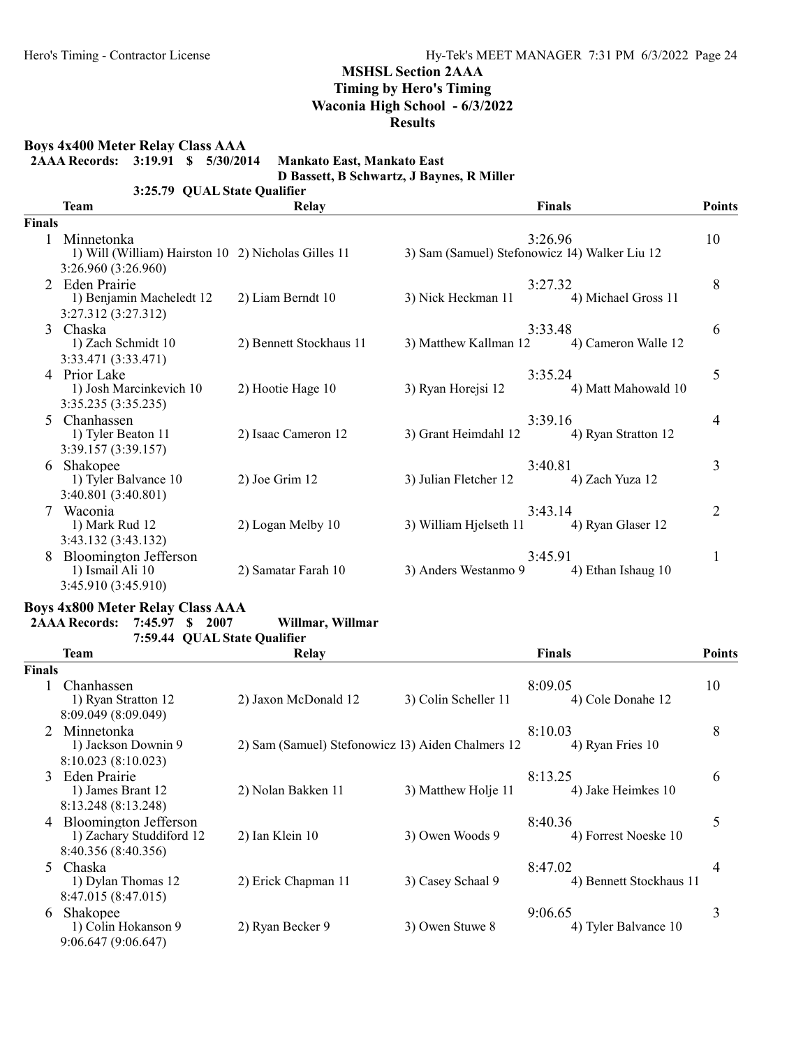Boys 4x400 Meter Relay Class AAA

|               | 2AAA Records: 3:19.91 \$ 5/30/2014                                                       | Mankato East, Mankato East | D Bassett, B Schwartz, J Baynes, R Miller     |                                |                |
|---------------|------------------------------------------------------------------------------------------|----------------------------|-----------------------------------------------|--------------------------------|----------------|
|               | 3:25.79 QUAL State Qualifier<br><b>Team</b>                                              | <b>Relay</b>               |                                               | <b>Finals</b>                  | <b>Points</b>  |
| <b>Finals</b> |                                                                                          |                            |                                               |                                |                |
|               | 1 Minnetonka<br>1) Will (William) Hairston 10 2) Nicholas Gilles 11                      |                            | 3) Sam (Samuel) Stefonowicz 14) Walker Liu 12 | 3:26.96                        | 10             |
|               | 3:26.960 (3:26.960)<br>2 Eden Prairie<br>1) Benjamin Macheledt 12<br>3:27.312 (3:27.312) | 2) Liam Berndt 10          | 3:27.32<br>3) Nick Heckman 11                 | 4) Michael Gross 11            | 8              |
|               | 3 Chaska<br>1) Zach Schmidt 10<br>3:33.471 (3:33.471)                                    | 2) Bennett Stockhaus 11    | 3) Matthew Kallman 12                         | 3:33.48<br>4) Cameron Walle 12 | 6              |
|               | 4 Prior Lake<br>1) Josh Marcinkevich 10<br>3:35.235 (3:35.235)                           | 2) Hootie Hage 10          | 3) Ryan Horejsi 12                            | 3:35.24<br>4) Matt Mahowald 10 | 5              |
| 5             | Chanhassen<br>1) Tyler Beaton 11<br>3:39.157 (3:39.157)                                  | 2) Isaac Cameron 12        | 3) Grant Heimdahl 12                          | 3:39.16<br>4) Ryan Stratton 12 | 4              |
| 6             | Shakopee<br>1) Tyler Balvance 10<br>3:40.801 (3:40.801)                                  | 2) Joe Grim 12             | 3:40.81<br>3) Julian Fletcher 12              | 4) Zach Yuza 12                | 3              |
|               | Waconia<br>1) Mark Rud 12<br>3:43.132 (3:43.132)                                         | 2) Logan Melby 10          | 3) William Hjelseth 11                        | 3:43.14<br>4) Ryan Glaser 12   | $\overline{2}$ |
|               | <b>Bloomington Jefferson</b><br>1) Ismail Ali 10                                         | 2) Samatar Farah 10        | 3:45.91<br>3) Anders Westanmo 9               | 4) Ethan Ishaug 10             | 1              |

# Boys 4x800 Meter Relay Class AAA

3:45.910 (3:45.910)

# 2AAA Records: 7:45.97 \$ 2007 Willmar, Willmar

7:59.44 QUAL State Qualifier

|               | <b>Team</b>                                                                     | Relay                                             |                      | Finals                             | <b>Points</b> |
|---------------|---------------------------------------------------------------------------------|---------------------------------------------------|----------------------|------------------------------------|---------------|
| <b>Finals</b> |                                                                                 |                                                   |                      |                                    |               |
|               | Chanhassen<br>1) Ryan Stratton 12<br>8:09.049 (8:09.049)                        | 2) Jaxon McDonald 12                              | 3) Colin Scheller 11 | 8:09.05<br>4) Cole Donahe 12       | 10            |
|               | 2 Minnetonka<br>1) Jackson Downin 9<br>8:10.023(8:10.023)                       | 2) Sam (Samuel) Stefonowicz 13) Aiden Chalmers 12 |                      | 8:10.03<br>4) Ryan Fries 10        | 8             |
|               | 3 Eden Prairie<br>1) James Brant 12<br>8:13.248 (8:13.248)                      | 2) Nolan Bakken 11                                | 3) Matthew Holje 11  | 8:13.25<br>4) Jake Heimkes 10      | 6             |
| 4             | <b>Bloomington Jefferson</b><br>1) Zachary Studdiford 12<br>8:40.356 (8:40.356) | $2)$ Ian Klein $10$                               | 3) Owen Woods 9      | 8:40.36<br>4) Forrest Noeske 10    | 5             |
|               | 5 Chaska<br>1) Dylan Thomas 12<br>8:47.015 (8:47.015)                           | 2) Erick Chapman 11                               | 3) Casey Schaal 9    | 8:47.02<br>4) Bennett Stockhaus 11 | 4             |
| 6             | Shakopee<br>1) Colin Hokanson 9<br>9:06.647 (9:06.647)                          | 2) Ryan Becker 9                                  | 3) Owen Stuwe 8      | 9:06.65<br>4) Tyler Balvance 10    | 3             |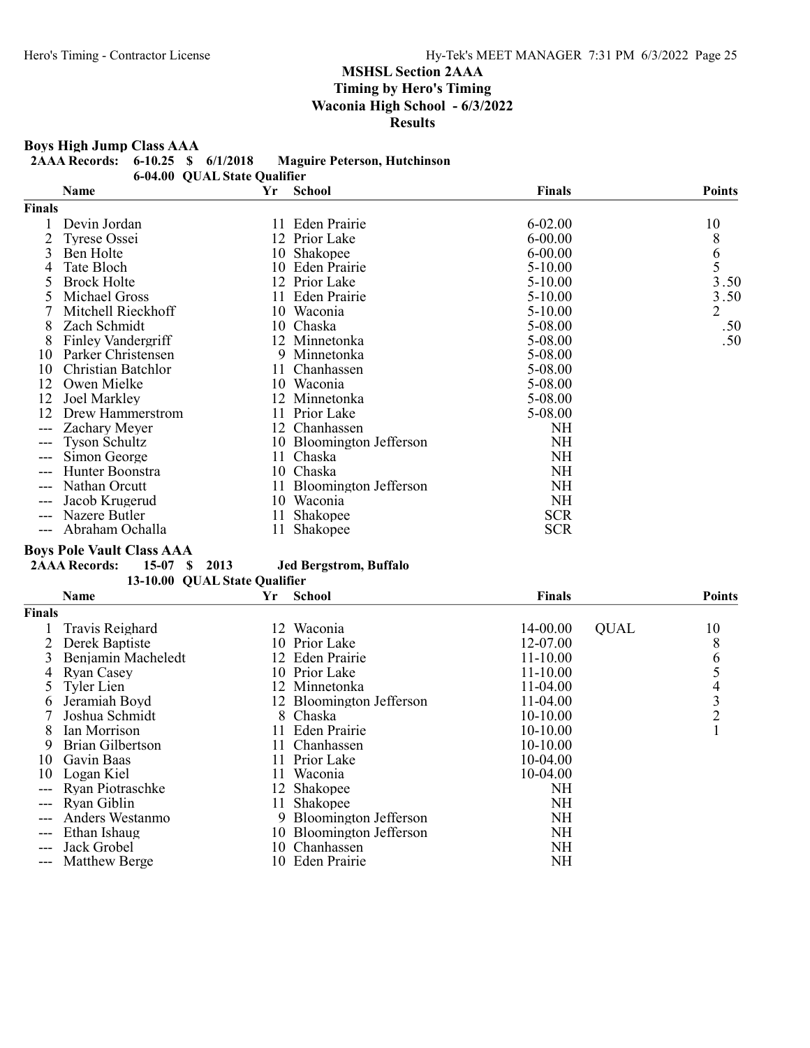Boys High Jump Class AAA

2AAA Records: 6-10.25 \$ 6/1/2018 Maguire Peterson, Hutchinson

6-04.00 QUAL State Qualifier

|               | Name                 | Yr  | <b>School</b>            | Finals      | <b>Points</b>                         |
|---------------|----------------------|-----|--------------------------|-------------|---------------------------------------|
| <b>Finals</b> |                      |     |                          |             |                                       |
|               | Devin Jordan         | 11- | Eden Prairie             | $6 - 02.00$ | 10                                    |
|               | Tyrese Ossei         |     | 12 Prior Lake            | $6 - 00.00$ | 8                                     |
| 3             | Ben Holte            | 10  | Shakopee                 | $6 - 00.00$ | $\begin{array}{c} 6 \\ 5 \end{array}$ |
|               | Tate Bloch           |     | 10 Eden Prairie          | $5-10.00$   |                                       |
| 5             | <b>Brock Holte</b>   | 12  | Prior Lake               | $5-10.00$   | 3.50                                  |
|               | Michael Gross        | 11  | Eden Prairie             | $5-10.00$   | 3.50                                  |
|               | Mitchell Rieckhoff   | 10  | Waconia                  | $5-10.00$   | $\overline{2}$                        |
| 8             | Zach Schmidt         |     | 10 Chaska                | 5-08.00     | .50                                   |
| 8             | Finley Vandergriff   |     | 12 Minnetonka            | 5-08.00     | .50                                   |
| 10            | Parker Christensen   | 9   | Minnetonka               | 5-08.00     |                                       |
| 10            | Christian Batchlor   | 11  | Chanhassen               | 5-08.00     |                                       |
| 12            | Owen Mielke          | 10  | Waconia                  | 5-08.00     |                                       |
| 12            | Joel Markley         |     | 12 Minnetonka            | 5-08.00     |                                       |
| 12            | Drew Hammerstrom     | 11  | Prior Lake               | 5-08.00     |                                       |
|               | Zachary Meyer        |     | 12 Chanhassen            | NH          |                                       |
| $---$         | <b>Tyson Schultz</b> |     | 10 Bloomington Jefferson | NH          |                                       |
| $---$         | Simon George         | 11  | Chaska                   | NH          |                                       |
|               | Hunter Boonstra      | 10  | Chaska                   | NH          |                                       |
|               | Nathan Orcutt        | 11  | Bloomington Jefferson    | NH          |                                       |
|               | Jacob Krugerud       | 10  | Waconia                  | NH          |                                       |
|               | Nazere Butler        | 11  | Shakopee                 | <b>SCR</b>  |                                       |
| ---           | Abraham Ochalla      | 11  | Shakopee                 | <b>SCR</b>  |                                       |

**Boys Pole Vault Class AAA**<br>2AAA Records: 15-07 \$ 2013

Jed Bergstrom, Buffalo 13-10.00 QUAL State Qualifier

|               | <b>Name</b>          | Yr  | <b>School</b>            | Finals    |             | <b>Points</b>  |
|---------------|----------------------|-----|--------------------------|-----------|-------------|----------------|
| <b>Finals</b> |                      |     |                          |           |             |                |
|               | Travis Reighard      | 12. | Waconia                  | 14-00.00  | <b>QUAL</b> | 10             |
|               | Derek Baptiste       |     | 10 Prior Lake            | 12-07.00  |             | 8              |
|               | Benjamin Macheledt   |     | 12 Eden Prairie          | 11-10.00  |             | 6              |
| 4             | <b>Ryan Casey</b>    |     | 10 Prior Lake            | 11-10.00  |             |                |
|               | Tyler Lien           |     | 12 Minnetonka            | 11-04.00  |             | 4              |
| <sub>b</sub>  | Jeramiah Boyd        |     | 12 Bloomington Jefferson | 11-04.00  |             | 3              |
|               | Joshua Schmidt       |     | 8 Chaska                 | 10-10.00  |             | $\overline{2}$ |
| 8             | Ian Morrison         |     | 11 Eden Prairie          | 10-10.00  |             |                |
| 9             | Brian Gilbertson     |     | 11 Chanhassen            | 10-10.00  |             |                |
| 10            | Gavin Baas           |     | 11 Prior Lake            | 10-04.00  |             |                |
| 10            | Logan Kiel           |     | 11 Waconia               | 10-04.00  |             |                |
|               | Ryan Piotraschke     |     | 12 Shakopee              | NH        |             |                |
|               | Ryan Giblin          | 11  | Shakopee                 | NH        |             |                |
|               | Anders Westanmo      |     | 9 Bloomington Jefferson  | <b>NH</b> |             |                |
| ---           | Ethan Ishaug         |     | 10 Bloomington Jefferson | <b>NH</b> |             |                |
|               | Jack Grobel          | 10. | Chanhassen               | NH        |             |                |
| ---           | <b>Matthew Berge</b> | 10  | <b>Eden Prairie</b>      | <b>NH</b> |             |                |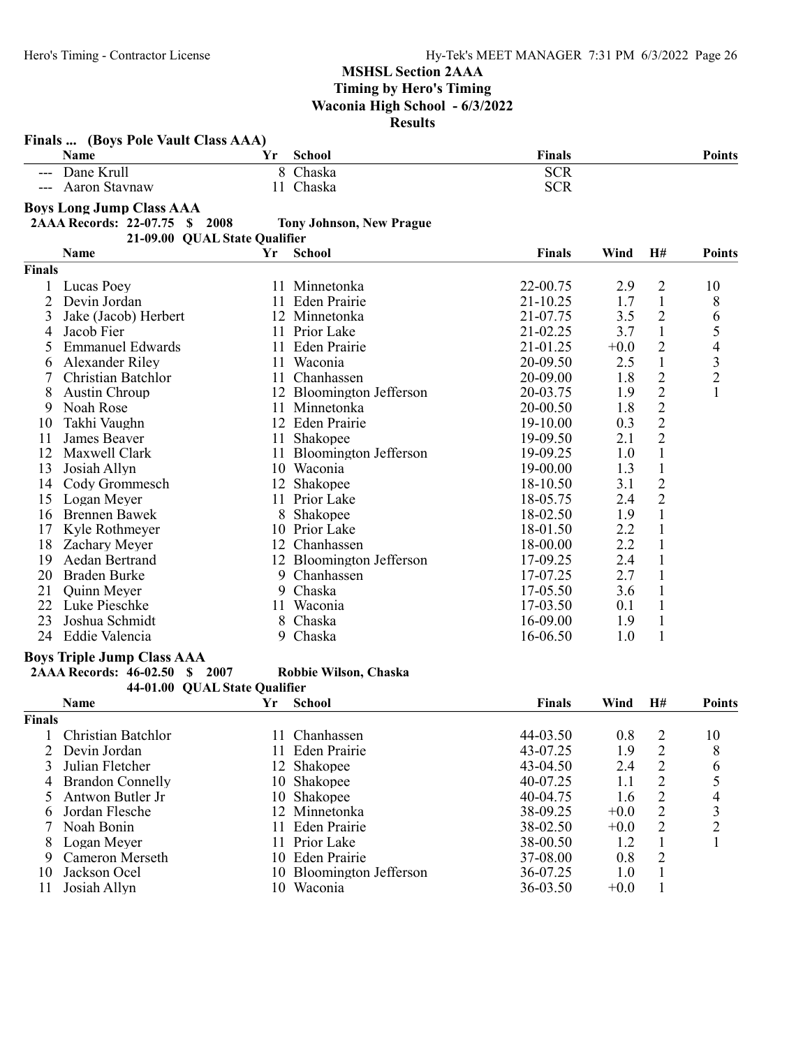|               | Finals  (Boys Pole Vault Class AAA)                   |    |                                 |               |        |                |                          |
|---------------|-------------------------------------------------------|----|---------------------------------|---------------|--------|----------------|--------------------------|
|               | Name                                                  | Yr | <b>School</b>                   | <b>Finals</b> |        |                | <b>Points</b>            |
|               | --- Dane Krull                                        |    | 8 Chaska                        | <b>SCR</b>    |        |                |                          |
|               | Aaron Stavnaw                                         |    | 11 Chaska                       | <b>SCR</b>    |        |                |                          |
|               | <b>Boys Long Jump Class AAA</b>                       |    |                                 |               |        |                |                          |
|               | 2AAA Records: 22-07.75<br>\$ 2008                     |    | <b>Tony Johnson, New Prague</b> |               |        |                |                          |
|               | 21-09.00 QUAL State Qualifier                         |    |                                 |               |        |                |                          |
|               | Name                                                  | Yr | <b>School</b>                   | <b>Finals</b> | Wind   | H#             | <b>Points</b>            |
| <b>Finals</b> |                                                       |    |                                 |               |        |                |                          |
|               | Lucas Poey                                            |    | 11 Minnetonka                   | 22-00.75      | 2.9    | $\overline{2}$ | 10                       |
| 2             | Devin Jordan                                          | 11 | Eden Prairie                    | 21-10.25      | 1.7    | $\mathbf{1}$   | 8                        |
| 3             | Jake (Jacob) Herbert                                  |    | 12 Minnetonka                   | 21-07.75      | 3.5    | $\overline{2}$ | 6                        |
| 4             | Jacob Fier                                            |    | 11 Prior Lake                   | 21-02.25      | 3.7    | $\mathbf{1}$   | 5                        |
| 5             | <b>Emmanuel Edwards</b>                               |    | 11 Eden Prairie                 | 21-01.25      | $+0.0$ | $\mathbf{2}$   | $\overline{\mathcal{L}}$ |
| 6             | Alexander Riley                                       |    | 11 Waconia                      | 20-09.50      | 2.5    | $\mathbf{1}$   | 3                        |
| 7             | Christian Batchlor                                    |    | 11 Chanhassen                   | 20-09.00      | 1.8    | $\overline{c}$ | $\overline{c}$           |
| 8             | Austin Chroup                                         |    | 12 Bloomington Jefferson        | 20-03.75      | 1.9    | $\overline{2}$ | $\mathbf{1}$             |
| 9             | Noah Rose                                             |    | 11 Minnetonka                   | 20-00.50      | 1.8    | $\overline{c}$ |                          |
| 10            | Takhi Vaughn                                          |    | 12 Eden Prairie                 | 19-10.00      | 0.3    | $\overline{2}$ |                          |
| 11            | James Beaver                                          |    | 11 Shakopee                     | 19-09.50      | 2.1    | $\overline{2}$ |                          |
| 12            | Maxwell Clark                                         |    | 11 Bloomington Jefferson        | 19-09.25      | 1.0    | $\mathbf{1}$   |                          |
| 13            | Josiah Allyn                                          |    | 10 Waconia                      | 19-00.00      | 1.3    | $\mathbf{1}$   |                          |
| 14            | Cody Grommesch                                        |    | 12 Shakopee                     | 18-10.50      | 3.1    | $\overline{c}$ |                          |
| 15            | Logan Meyer                                           |    | 11 Prior Lake                   | 18-05.75      | 2.4    | $\overline{2}$ |                          |
| 16            | Brennen Bawek                                         | 8  | Shakopee                        | 18-02.50      | 1.9    | $\mathbf{1}$   |                          |
| 17            | Kyle Rothmeyer                                        |    | 10 Prior Lake                   | 18-01.50      | 2.2    | $\mathbf{1}$   |                          |
| 18            | Zachary Meyer                                         |    | 12 Chanhassen                   | 18-00.00      | 2.2    | $\mathbf{1}$   |                          |
| 19            | Aedan Bertrand                                        |    | 12 Bloomington Jefferson        | 17-09.25      | 2.4    | $\mathbf{1}$   |                          |
| 20            | Braden Burke                                          | 9  | Chanhassen                      | 17-07.25      | 2.7    | $\mathbf{1}$   |                          |
| 21            | Quinn Meyer                                           | 9  | Chaska                          | 17-05.50      | 3.6    | $\mathbf{1}$   |                          |
| 22            | Luke Pieschke                                         | 11 | Waconia                         | 17-03.50      | 0.1    | $\mathbf{1}$   |                          |
| 23            | Joshua Schmidt                                        |    | 8 Chaska                        | 16-09.00      | 1.9    | $\mathbf{1}$   |                          |
| 24            | Eddie Valencia                                        |    | 9 Chaska                        | 16-06.50      | 1.0    | $\mathbf{1}$   |                          |
|               |                                                       |    |                                 |               |        |                |                          |
|               | <b>Boys Triple Jump Class AAA</b>                     |    |                                 |               |        |                |                          |
|               | 2007<br><b>2AAA Records: 46-02.50</b><br>$\mathbf{s}$ |    | Robbie Wilson, Chaska           |               |        |                |                          |
|               | 44-01.00 QUAL State Qualifier<br>Name                 | Yr | <b>School</b>                   | <b>Finals</b> | Wind   | H#             | <b>Points</b>            |
| <b>Finals</b> |                                                       |    |                                 |               |        |                |                          |
|               |                                                       |    |                                 |               |        |                |                          |
|               | Christian Batchlor                                    |    | 11 Chanhassen                   | 44-03.50      | 0.8    | $\overline{c}$ | 10                       |
| 2             | Devin Jordan                                          |    | 11 Eden Prairie                 | 43-07.25      | 1.9    | $\overline{c}$ | 8                        |
| 3             | Julian Fletcher                                       |    | 12 Shakopee                     | 43-04.50      | 2.4    | $\overline{c}$ | 6                        |
| 4             | <b>Brandon Connelly</b>                               |    | 10 Shakopee                     | 40-07.25      | 1.1    | $\overline{c}$ | 5                        |
| 5             | Antwon Butler Jr                                      |    | 10 Shakopee                     | 40-04.75      | 1.6    | $\overline{c}$ | 4                        |
| 6             | Jordan Flesche                                        |    | 12 Minnetonka                   | 38-09.25      | $+0.0$ | $\overline{2}$ | 3                        |
|               | Noah Bonin                                            |    | 11 Eden Prairie                 | 38-02.50      | $+0.0$ | $\overline{c}$ | $\overline{c}$           |
| 8             | Logan Meyer                                           |    | 11 Prior Lake                   | 38-00.50      | 1.2    | 1              | 1                        |
| 9             | <b>Cameron Merseth</b><br>Jackson Ocel                |    | 10 Eden Prairie                 | 37-08.00      | 0.8    | $\overline{c}$ |                          |
| 10            |                                                       |    | 10 Bloomington Jefferson        | 36-07.25      | 1.0    | $\mathbf{1}$   |                          |
| 11            | Josiah Allyn                                          |    | 10 Waconia                      | 36-03.50      | $+0.0$ | 1              |                          |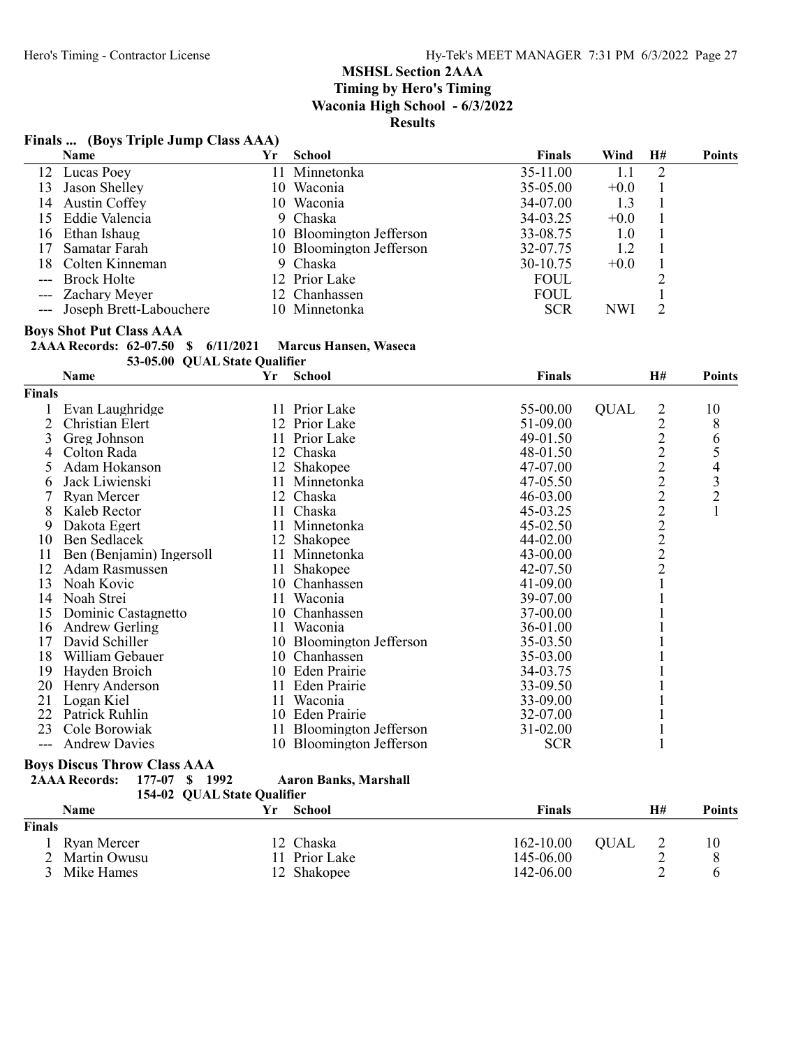# Finals ... (Boys Triple Jump Class AAA)

|    | Name                        | Υr | School                   | <b>Finals</b> | Wind   | H# | <b>Points</b> |
|----|-----------------------------|----|--------------------------|---------------|--------|----|---------------|
|    | 12 Lucas Poey               |    | Minnetonka               | 35-11.00      |        |    |               |
| 13 | Jason Shelley               |    | 10 Waconia               | $35-05.00$    | $+0.0$ |    |               |
|    | 14 Austin Coffey            |    | 10 Waconia               | 34-07.00      | 1.3    |    |               |
|    | 15 Eddie Valencia           |    | 9 Chaska                 | 34-03.25      | $+0.0$ |    |               |
|    | 16 Ethan Ishaug             |    | 10 Bloomington Jefferson | 33-08.75      | 1.0    |    |               |
|    | Samatar Farah               |    | 10 Bloomington Jefferson | 32-07.75      | 1.2    |    |               |
|    | 18 Colten Kinneman          |    | 9 Chaska                 | $30-10.75$    | $+0.0$ |    |               |
|    | --- Brock Holte             |    | 12 Prior Lake            | <b>FOUL</b>   |        |    |               |
|    | --- Zachary Meyer           |    | 12 Chanhassen            | <b>FOUL</b>   |        |    |               |
|    | --- Joseph Brett-Labouchere |    | 10 Minnetonka            | <b>SCR</b>    | NWI    |    |               |

# **Boys Shot Put Class AAA<br>2AAA Records: 62-07.50**

|  |  | 2AAA Records: 62-07.50 \$ 6/11/2021 Marcus Hansen, Waseca |  |
|--|--|-----------------------------------------------------------|--|
|  |  |                                                           |  |

53-05.00 QUAL State Qualifier

|                | Name                                   | Yr | <b>School</b>                | Finals        |             | H#             | <b>Points</b> |
|----------------|----------------------------------------|----|------------------------------|---------------|-------------|----------------|---------------|
| <b>Finals</b>  |                                        |    |                              |               |             |                |               |
|                | Evan Laughridge                        |    | 11 Prior Lake                | 55-00.00      | <b>QUAL</b> | 2              | 10            |
| $\overline{2}$ | Christian Elert                        | 12 | Prior Lake                   | 51-09.00      |             |                | 8             |
| 3              | Greg Johnson                           | 11 | Prior Lake                   | 49-01.50      |             |                | 6             |
| 4              | Colton Rada                            | 12 | Chaska                       | 48-01.50      |             |                |               |
| 5              | Adam Hokanson                          |    | 12 Shakopee                  | 47-07.00      |             | 2222222222     | 54321         |
| 6              | Jack Liwienski                         | 11 | Minnetonka                   | 47-05.50      |             |                |               |
|                | <b>Ryan Mercer</b>                     | 12 | Chaska                       | 46-03.00      |             |                |               |
| 8              | Kaleb Rector                           | 11 | Chaska                       | 45-03.25      |             |                |               |
| 9              | Dakota Egert                           | 11 | Minnetonka                   | 45-02.50      |             |                |               |
| 10             | Ben Sedlacek                           |    | 12 Shakopee                  | 44-02.00      |             |                |               |
| 11             | Ben (Benjamin) Ingersoll               | 11 | Minnetonka                   | 43-00.00      |             |                |               |
| 12             | Adam Rasmussen                         | 11 | Shakopee                     | 42-07.50      |             |                |               |
| 13             | Noah Kovic                             | 10 | Chanhassen                   | 41-09.00      |             |                |               |
| 14             | Noah Strei                             | 11 | Waconia                      | 39-07.00      |             |                |               |
| 15             | Dominic Castagnetto                    | 10 | Chanhassen                   | 37-00.00      |             |                |               |
| 16             | <b>Andrew Gerling</b>                  | 11 | Waconia                      | 36-01.00      |             |                |               |
| 17             | David Schiller                         |    | 10 Bloomington Jefferson     | 35-03.50      |             |                |               |
| 18             | William Gebauer                        | 10 | Chanhassen                   | 35-03.00      |             |                |               |
| 19             | Hayden Broich                          |    | 10 Eden Prairie              | 34-03.75      |             |                |               |
| 20             | Henry Anderson                         |    | 11 Eden Prairie              | 33-09.50      |             |                |               |
| 21             | Logan Kiel                             | 11 | Waconia                      | 33-09.00      |             |                |               |
| 22             | Patrick Ruhlin                         |    | 10 Eden Prairie              | 32-07.00      |             |                |               |
| 23             | Cole Borowiak                          |    | 11 Bloomington Jefferson     | 31-02.00      |             |                |               |
| $---$          | <b>Andrew Davies</b>                   |    | 10 Bloomington Jefferson     | <b>SCR</b>    |             | $\mathbf{1}$   |               |
|                | <b>Boys Discus Throw Class AAA</b>     |    |                              |               |             |                |               |
|                | 177-07 \$ 1992<br><b>2AAA Records:</b> |    | <b>Aaron Banks, Marshall</b> |               |             |                |               |
|                | 154-02 QUAL State Qualifier            |    |                              |               |             |                |               |
|                | Name                                   | Yr | <b>School</b>                | <b>Finals</b> |             | H#             | <b>Points</b> |
| <b>Finals</b>  |                                        |    |                              |               |             |                |               |
|                | Ryan Mercer                            |    | 12 Chaska                    | 162-10.00     | <b>QUAL</b> | $\overline{c}$ | 10            |
| $\overline{2}$ | Martin Owusu                           |    | 11 Prior Lake                | 145-06.00     |             | $\overline{2}$ | 8             |

3 Mike Hames 12 Shakopee 142-06.00 2 6